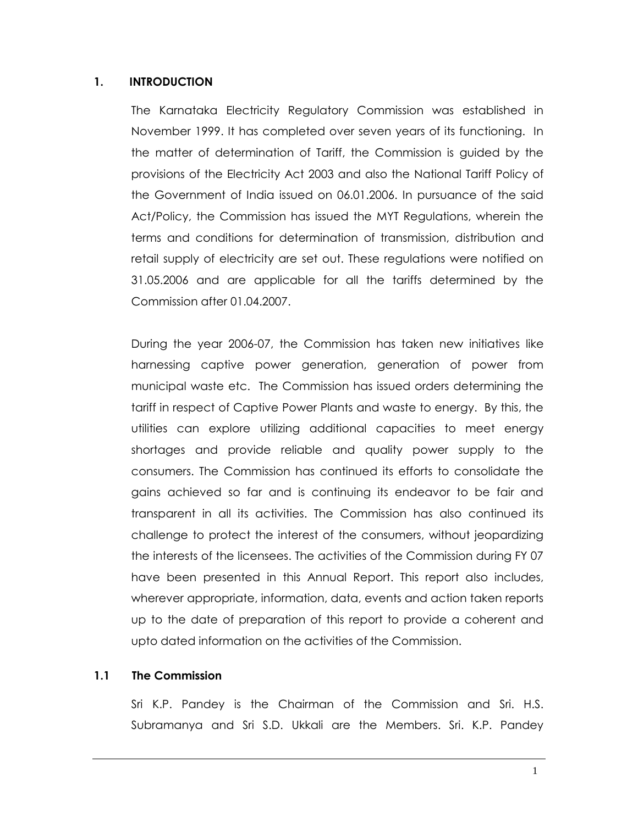#### **1. INTRODUCTION**

The Karnataka Electricity Regulatory Commission was established in November 1999. It has completed over seven years of its functioning. In the matter of determination of Tariff, the Commission is guided by the provisions of the Electricity Act 2003 and also the National Tariff Policy of the Government of India issued on 06.01.2006. In pursuance of the said Act/Policy, the Commission has issued the MYT Regulations, wherein the terms and conditions for determination of transmission, distribution and retail supply of electricity are set out. These regulations were notified on 31.05.2006 and are applicable for all the tariffs determined by the Commission after 01.04.2007.

During the year 2006-07, the Commission has taken new initiatives like harnessing captive power generation, generation of power from municipal waste etc. The Commission has issued orders determining the tariff in respect of Captive Power Plants and waste to energy. By this, the utilities can explore utilizing additional capacities to meet energy shortages and provide reliable and quality power supply to the consumers. The Commission has continued its efforts to consolidate the gains achieved so far and is continuing its endeavor to be fair and transparent in all its activities. The Commission has also continued its challenge to protect the interest of the consumers, without jeopardizing the interests of the licensees. The activities of the Commission during FY 07 have been presented in this Annual Report. This report also includes, wherever appropriate, information, data, events and action taken reports up to the date of preparation of this report to provide a coherent and upto dated information on the activities of the Commission.

#### **1.1 The Commission**

Sri K.P. Pandey is the Chairman of the Commission and Sri. H.S. Subramanya and Sri S.D. Ukkali are the Members. Sri. K.P. Pandey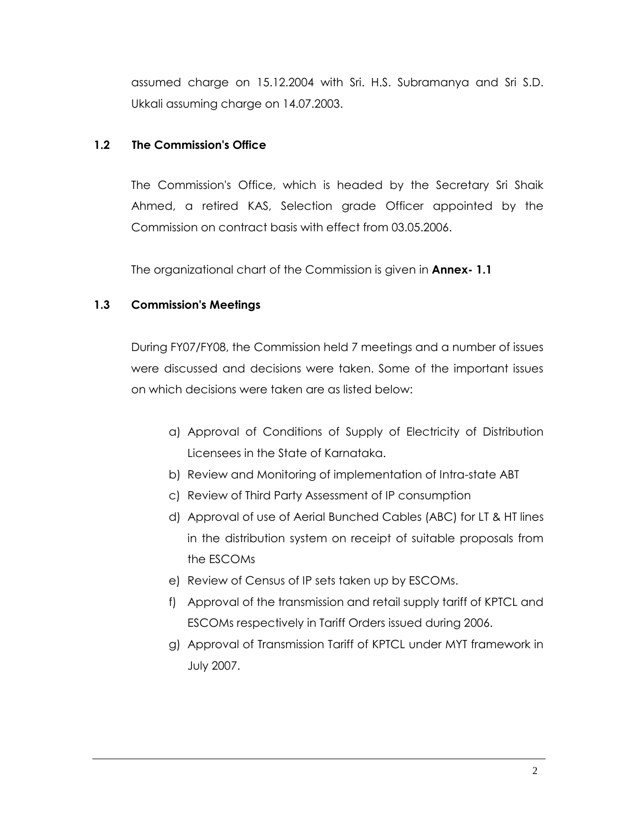assumed charge on 15.12.2004 with Sri. H.S. Subramanya and Sri S.D. Ukkali assuming charge on 14.07.2003.

### **1.2 The Commission's Office**

 The Commission's Office, which is headed by the Secretary Sri Shaik Ahmed, a retired KAS, Selection grade Officer appointed by the Commission on contract basis with effect from 03.05.2006.

The organizational chart of the Commission is given in **Annex- 1.1** 

## **1.3 Commission's Meetings**

 During FY07/FY08, the Commission held 7 meetings and a number of issues were discussed and decisions were taken. Some of the important issues on which decisions were taken are as listed below:

- a) Approval of Conditions of Supply of Electricity of Distribution Licensees in the State of Karnataka.
- b) Review and Monitoring of implementation of Intra-state ABT
- c) Review of Third Party Assessment of IP consumption
- d) Approval of use of Aerial Bunched Cables (ABC) for LT & HT lines in the distribution system on receipt of suitable proposals from the ESCOMs
- e) Review of Census of IP sets taken up by ESCOMs.
- f) Approval of the transmission and retail supply tariff of KPTCL and ESCOMs respectively in Tariff Orders issued during 2006.
- g) Approval of Transmission Tariff of KPTCL under MYT framework in July 2007.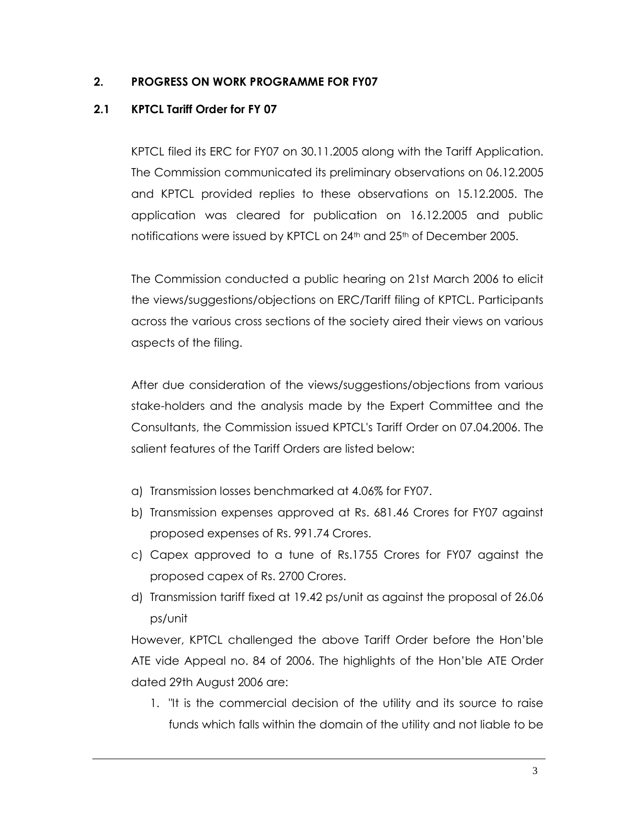### **2. PROGRESS ON WORK PROGRAMME FOR FY07**

### **2.1 KPTCL Tariff Order for FY 07**

KPTCL filed its ERC for FY07 on 30.11.2005 along with the Tariff Application. The Commission communicated its preliminary observations on 06.12.2005 and KPTCL provided replies to these observations on 15.12.2005. The application was cleared for publication on 16.12.2005 and public notifications were issued by KPTCL on 24<sup>th</sup> and 25<sup>th</sup> of December 2005.

The Commission conducted a public hearing on 21st March 2006 to elicit the views/suggestions/objections on ERC/Tariff filing of KPTCL. Participants across the various cross sections of the society aired their views on various aspects of the filing.

After due consideration of the views/suggestions/objections from various stake-holders and the analysis made by the Expert Committee and the Consultants, the Commission issued KPTCL's Tariff Order on 07.04.2006. The salient features of the Tariff Orders are listed below:

- a) Transmission losses benchmarked at 4.06% for FY07.
- b) Transmission expenses approved at Rs. 681.46 Crores for FY07 against proposed expenses of Rs. 991.74 Crores.
- c) Capex approved to a tune of Rs.1755 Crores for FY07 against the proposed capex of Rs. 2700 Crores.
- d) Transmission tariff fixed at 19.42 ps/unit as against the proposal of 26.06 ps/unit

However, KPTCL challenged the above Tariff Order before the Hon"ble ATE vide Appeal no. 84 of 2006. The highlights of the Hon"ble ATE Order dated 29th August 2006 are:

1. "It is the commercial decision of the utility and its source to raise funds which falls within the domain of the utility and not liable to be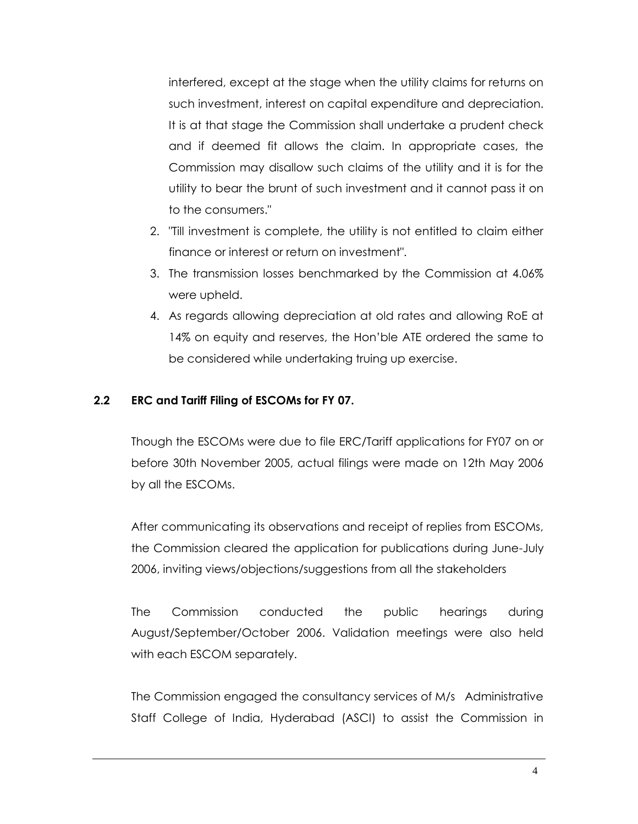interfered, except at the stage when the utility claims for returns on such investment, interest on capital expenditure and depreciation. It is at that stage the Commission shall undertake a prudent check and if deemed fit allows the claim. In appropriate cases, the Commission may disallow such claims of the utility and it is for the utility to bear the brunt of such investment and it cannot pass it on to the consumers."

- 2. "Till investment is complete, the utility is not entitled to claim either finance or interest or return on investment".
- 3. The transmission losses benchmarked by the Commission at 4.06% were upheld.
- 4. As regards allowing depreciation at old rates and allowing RoE at 14% on equity and reserves, the Hon"ble ATE ordered the same to be considered while undertaking truing up exercise.

### **2.2 ERC and Tariff Filing of ESCOMs for FY 07.**

Though the ESCOMs were due to file ERC/Tariff applications for FY07 on or before 30th November 2005, actual filings were made on 12th May 2006 by all the ESCOMs.

After communicating its observations and receipt of replies from ESCOMs, the Commission cleared the application for publications during June-July 2006, inviting views/objections/suggestions from all the stakeholders

The Commission conducted the public hearings during August/September/October 2006. Validation meetings were also held with each ESCOM separately.

The Commission engaged the consultancy services of M/s Administrative Staff College of India, Hyderabad (ASCI) to assist the Commission in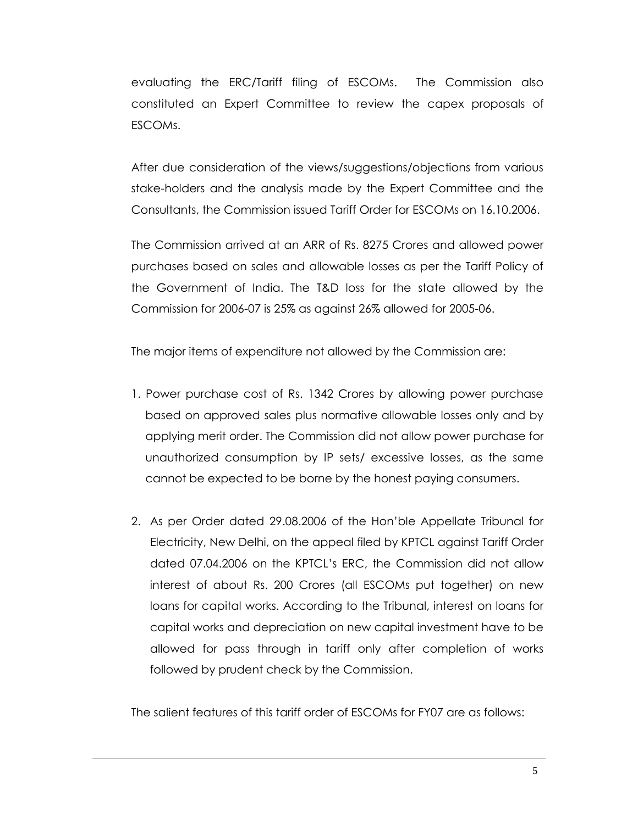evaluating the ERC/Tariff filing of ESCOMs. The Commission also constituted an Expert Committee to review the capex proposals of ESCOMs.

After due consideration of the views/suggestions/objections from various stake-holders and the analysis made by the Expert Committee and the Consultants, the Commission issued Tariff Order for ESCOMs on 16.10.2006.

The Commission arrived at an ARR of Rs. 8275 Crores and allowed power purchases based on sales and allowable losses as per the Tariff Policy of the Government of India. The T&D loss for the state allowed by the Commission for 2006-07 is 25% as against 26% allowed for 2005-06.

The major items of expenditure not allowed by the Commission are:

- 1. Power purchase cost of Rs. 1342 Crores by allowing power purchase based on approved sales plus normative allowable losses only and by applying merit order. The Commission did not allow power purchase for unauthorized consumption by IP sets/ excessive losses, as the same cannot be expected to be borne by the honest paying consumers.
- 2. As per Order dated 29.08.2006 of the Hon"ble Appellate Tribunal for Electricity, New Delhi, on the appeal filed by KPTCL against Tariff Order dated 07.04.2006 on the KPTCL"s ERC, the Commission did not allow interest of about Rs. 200 Crores (all ESCOMs put together) on new loans for capital works. According to the Tribunal, interest on loans for capital works and depreciation on new capital investment have to be allowed for pass through in tariff only after completion of works followed by prudent check by the Commission.

The salient features of this tariff order of ESCOMs for FY07 are as follows: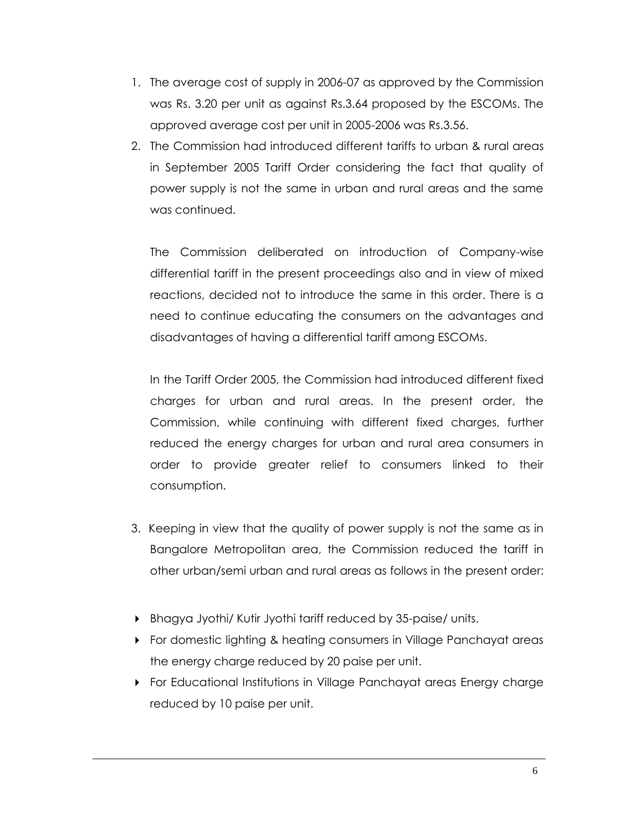- 1. The average cost of supply in 2006-07 as approved by the Commission was Rs. 3.20 per unit as against Rs.3.64 proposed by the ESCOMs. The approved average cost per unit in 2005-2006 was Rs.3.56.
- 2. The Commission had introduced different tariffs to urban & rural areas in September 2005 Tariff Order considering the fact that quality of power supply is not the same in urban and rural areas and the same was continued.

The Commission deliberated on introduction of Company-wise differential tariff in the present proceedings also and in view of mixed reactions, decided not to introduce the same in this order. There is a need to continue educating the consumers on the advantages and disadvantages of having a differential tariff among ESCOMs.

In the Tariff Order 2005, the Commission had introduced different fixed charges for urban and rural areas. In the present order, the Commission, while continuing with different fixed charges, further reduced the energy charges for urban and rural area consumers in order to provide greater relief to consumers linked to their consumption.

- 3. Keeping in view that the quality of power supply is not the same as in Bangalore Metropolitan area, the Commission reduced the tariff in other urban/semi urban and rural areas as follows in the present order:
- Bhagya Jyothi/ Kutir Jyothi tariff reduced by 35-paise/ units.
- **For domestic lighting & heating consumers in Village Panchayat areas** the energy charge reduced by 20 paise per unit.
- For Educational Institutions in Village Panchayat areas Energy charge reduced by 10 paise per unit.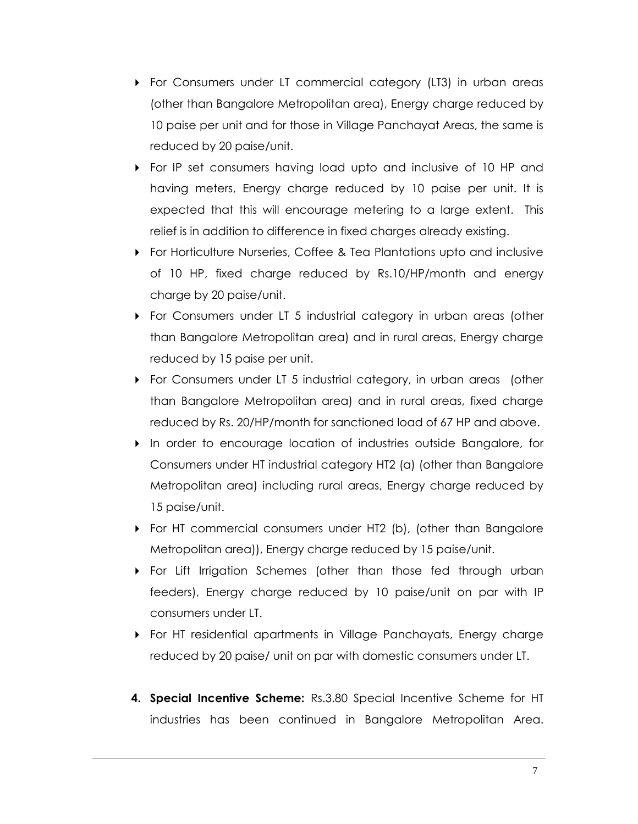- **For Consumers under LT commercial category (LT3) in urban areas** (other than Bangalore Metropolitan area), Energy charge reduced by 10 paise per unit and for those in Village Panchayat Areas, the same is reduced by 20 paise/unit.
- For IP set consumers having load upto and inclusive of 10 HP and having meters, Energy charge reduced by 10 paise per unit. It is expected that this will encourage metering to a large extent. This relief is in addition to difference in fixed charges already existing.
- For Horticulture Nurseries, Coffee & Tea Plantations upto and inclusive of 10 HP, fixed charge reduced by Rs.10/HP/month and energy charge by 20 paise/unit.
- For Consumers under LT 5 industrial category in urban areas (other than Bangalore Metropolitan area) and in rural areas, Energy charge reduced by 15 paise per unit.
- ▶ For Consumers under LT 5 industrial category, in urban areas (other than Bangalore Metropolitan area) and in rural areas, fixed charge reduced by Rs. 20/HP/month for sanctioned load of 67 HP and above.
- In order to encourage location of industries outside Bangalore, for Consumers under HT industrial category HT2 (a) (other than Bangalore Metropolitan area) including rural areas, Energy charge reduced by 15 paise/unit.
- For HT commercial consumers under HT2 (b), (other than Bangalore Metropolitan area)), Energy charge reduced by 15 paise/unit.
- For Lift Irrigation Schemes (other than those fed through urban feeders), Energy charge reduced by 10 paise/unit on par with IP consumers under LT.
- For HT residential apartments in Village Panchayats, Energy charge reduced by 20 paise/ unit on par with domestic consumers under LT.
- **4. Special Incentive Scheme:** Rs.3.80 Special Incentive Scheme for HT industries has been continued in Bangalore Metropolitan Area.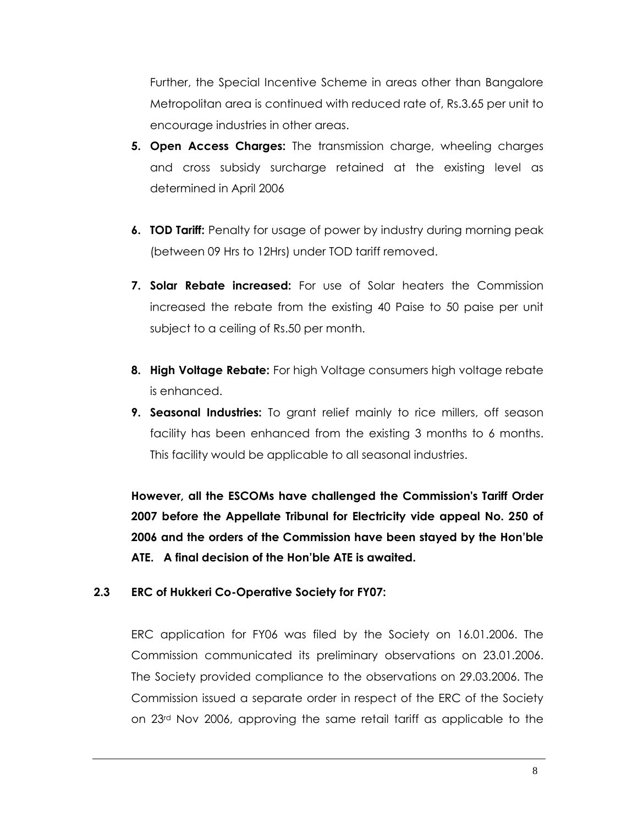Further, the Special Incentive Scheme in areas other than Bangalore Metropolitan area is continued with reduced rate of, Rs.3.65 per unit to encourage industries in other areas.

- **5. Open Access Charges:** The transmission charge, wheeling charges and cross subsidy surcharge retained at the existing level as determined in April 2006
- **6. TOD Tariff:** Penalty for usage of power by industry during morning peak (between 09 Hrs to 12Hrs) under TOD tariff removed.
- **7. Solar Rebate increased:** For use of Solar heaters the Commission increased the rebate from the existing 40 Paise to 50 paise per unit subject to a ceiling of Rs.50 per month.
- **8. High Voltage Rebate:** For high Voltage consumers high voltage rebate is enhanced.
- **9. Seasonal Industries:** To grant relief mainly to rice millers, off season facility has been enhanced from the existing 3 months to 6 months. This facility would be applicable to all seasonal industries.

**However, all the ESCOMs have challenged the Commission's Tariff Order 2007 before the Appellate Tribunal for Electricity vide appeal No. 250 of 2006 and the orders of the Commission have been stayed by the Hon'ble ATE. A final decision of the Hon'ble ATE is awaited.**

### **2.3 ERC of Hukkeri Co-Operative Society for FY07:**

ERC application for FY06 was filed by the Society on 16.01.2006. The Commission communicated its preliminary observations on 23.01.2006. The Society provided compliance to the observations on 29.03.2006. The Commission issued a separate order in respect of the ERC of the Society on 23rd Nov 2006, approving the same retail tariff as applicable to the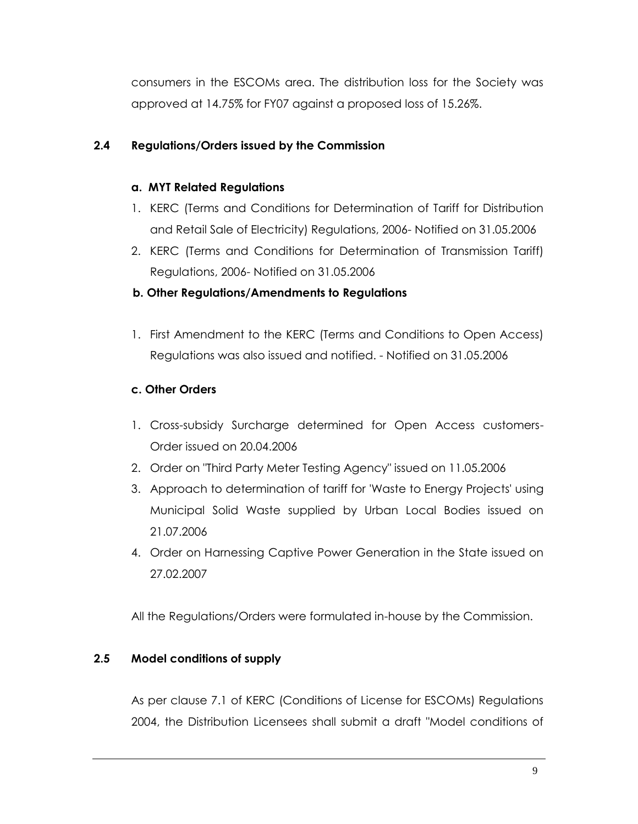consumers in the ESCOMs area. The distribution loss for the Society was approved at 14.75% for FY07 against a proposed loss of 15.26%.

### **2.4 Regulations/Orders issued by the Commission**

### **a. MYT Related Regulations**

- 1. KERC (Terms and Conditions for Determination of Tariff for Distribution and Retail Sale of Electricity) Regulations, 2006- Notified on 31.05.2006
- 2. KERC (Terms and Conditions for Determination of Transmission Tariff) Regulations, 2006- Notified on 31.05.2006

### **b. Other Regulations/Amendments to Regulations**

1. First Amendment to the KERC (Terms and Conditions to Open Access) Regulations was also issued and notified. - Notified on 31.05.2006

## **c. Other Orders**

- 1. Cross-subsidy Surcharge determined for Open Access customers-Order issued on 20.04.2006
- 2. Order on "Third Party Meter Testing Agency" issued on 11.05.2006
- 3. Approach to determination of tariff for 'Waste to Energy Projects' using Municipal Solid Waste supplied by Urban Local Bodies issued on 21.07.2006
- 4. Order on Harnessing Captive Power Generation in the State issued on 27.02.2007

All the Regulations/Orders were formulated in-house by the Commission.

## **2.5 Model conditions of supply**

As per clause 7.1 of KERC (Conditions of License for ESCOMs) Regulations 2004, the Distribution Licensees shall submit a draft "Model conditions of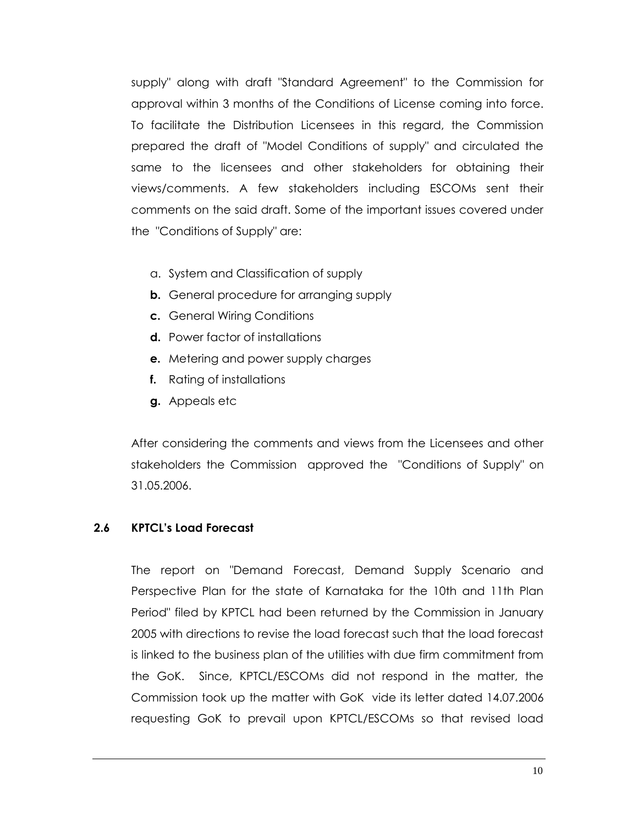supply" along with draft "Standard Agreement" to the Commission for approval within 3 months of the Conditions of License coming into force. To facilitate the Distribution Licensees in this regard, the Commission prepared the draft of "Model Conditions of supply" and circulated the same to the licensees and other stakeholders for obtaining their views/comments. A few stakeholders including ESCOMs sent their comments on the said draft. Some of the important issues covered under the "Conditions of Supply" are:

- a. System and Classification of supply
- **b.** General procedure for arranging supply
- **c.** General Wiring Conditions
- **d.** Power factor of installations
- **e.** Metering and power supply charges
- **f.** Rating of installations
- **g.** Appeals etc

After considering the comments and views from the Licensees and other stakeholders the Commission approved the "Conditions of Supply" on 31.05.2006.

### **2.6 KPTCL's Load Forecast**

The report on "Demand Forecast, Demand Supply Scenario and Perspective Plan for the state of Karnataka for the 10th and 11th Plan Period" filed by KPTCL had been returned by the Commission in January 2005 with directions to revise the load forecast such that the load forecast is linked to the business plan of the utilities with due firm commitment from the GoK. Since, KPTCL/ESCOMs did not respond in the matter, the Commission took up the matter with GoK vide its letter dated 14.07.2006 requesting GoK to prevail upon KPTCL/ESCOMs so that revised load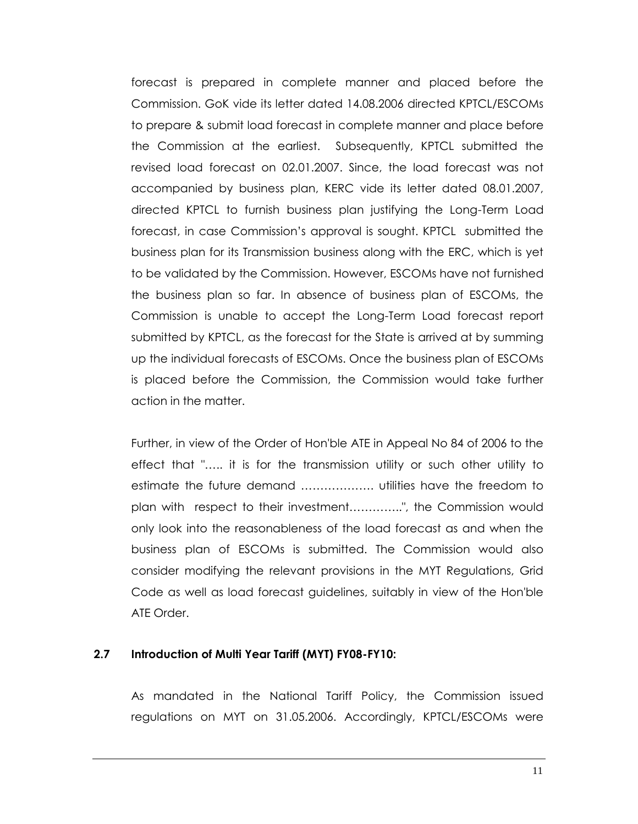forecast is prepared in complete manner and placed before the Commission. GoK vide its letter dated 14.08.2006 directed KPTCL/ESCOMs to prepare & submit load forecast in complete manner and place before the Commission at the earliest. Subsequently, KPTCL submitted the revised load forecast on 02.01.2007. Since, the load forecast was not accompanied by business plan, KERC vide its letter dated 08.01.2007, directed KPTCL to furnish business plan justifying the Long-Term Load forecast, in case Commission"s approval is sought. KPTCL submitted the business plan for its Transmission business along with the ERC, which is yet to be validated by the Commission. However, ESCOMs have not furnished the business plan so far. In absence of business plan of ESCOMs, the Commission is unable to accept the Long-Term Load forecast report submitted by KPTCL, as the forecast for the State is arrived at by summing up the individual forecasts of ESCOMs. Once the business plan of ESCOMs is placed before the Commission, the Commission would take further action in the matter.

Further, in view of the Order of Hon'ble ATE in Appeal No 84 of 2006 to the effect that "….. it is for the transmission utility or such other utility to estimate the future demand ………………. utilities have the freedom to plan with respect to their investment…………..", the Commission would only look into the reasonableness of the load forecast as and when the business plan of ESCOMs is submitted. The Commission would also consider modifying the relevant provisions in the MYT Regulations, Grid Code as well as load forecast guidelines, suitably in view of the Hon'ble ATE Order.

#### **2.7 Introduction of Multi Year Tariff (MYT) FY08-FY10:**

As mandated in the National Tariff Policy, the Commission issued regulations on MYT on 31.05.2006. Accordingly, KPTCL/ESCOMs were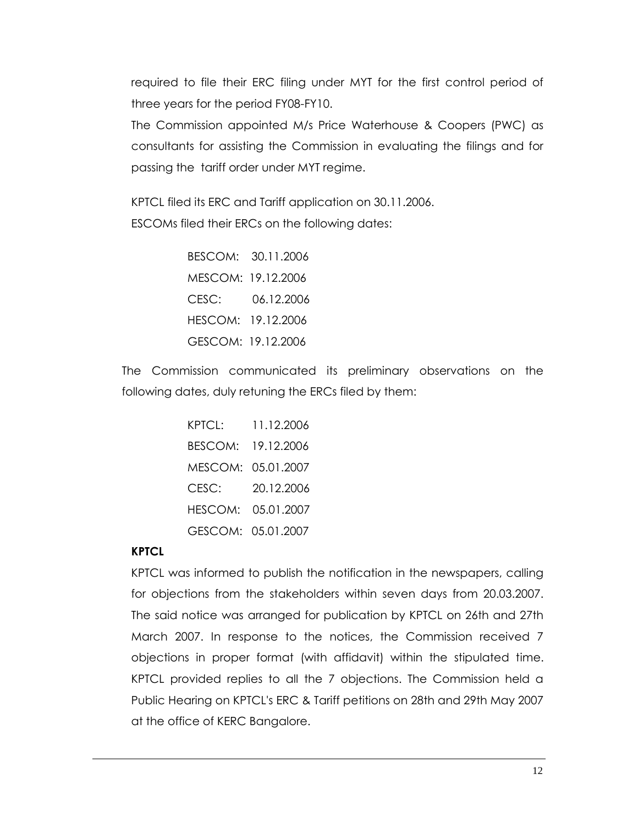required to file their ERC filing under MYT for the first control period of three years for the period FY08-FY10.

The Commission appointed M/s Price Waterhouse & Coopers (PWC) as consultants for assisting the Commission in evaluating the filings and for passing the tariff order under MYT regime.

KPTCL filed its ERC and Tariff application on 30.11.2006. ESCOMs filed their ERCs on the following dates:

> BESCOM: 30.11.2006 MESCOM: 19.12.2006 CESC: 06.12.2006 HESCOM: 19.12.2006 GESCOM: 19.12.2006

The Commission communicated its preliminary observations on the following dates, duly retuning the ERCs filed by them:

| KPTCL: | 11.12.2006         |
|--------|--------------------|
|        | BESCOM: 19.12.2006 |
|        | MESCOM: 05.01.2007 |
| CESC:  | 20.12.2006         |
|        | HESCOM: 05.01.2007 |
|        | GESCOM: 05.01.2007 |

## **KPTCL**

KPTCL was informed to publish the notification in the newspapers, calling for objections from the stakeholders within seven days from 20.03.2007. The said notice was arranged for publication by KPTCL on 26th and 27th March 2007. In response to the notices, the Commission received 7 objections in proper format (with affidavit) within the stipulated time. KPTCL provided replies to all the 7 objections. The Commission held a Public Hearing on KPTCL's ERC & Tariff petitions on 28th and 29th May 2007 at the office of KERC Bangalore.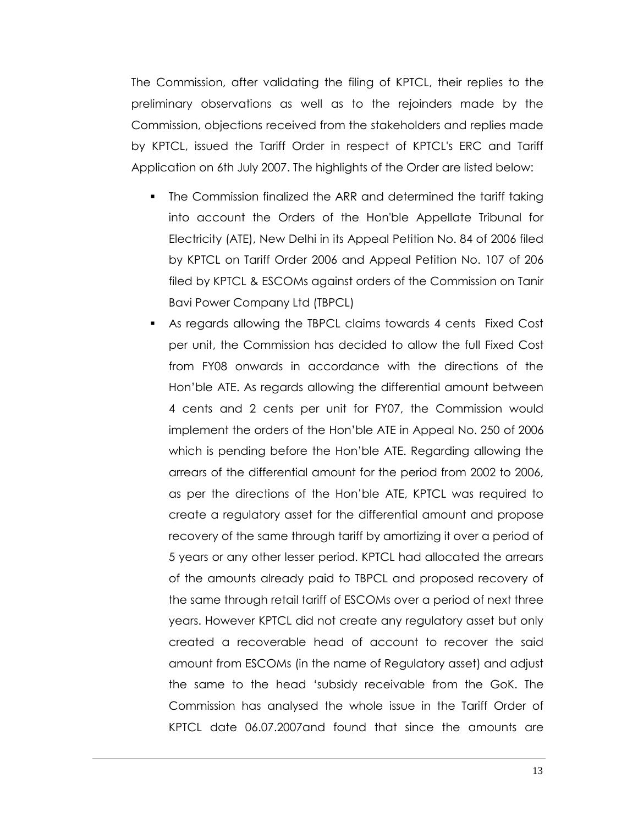The Commission, after validating the filing of KPTCL, their replies to the preliminary observations as well as to the rejoinders made by the Commission, objections received from the stakeholders and replies made by KPTCL, issued the Tariff Order in respect of KPTCL's ERC and Tariff Application on 6th July 2007. The highlights of the Order are listed below:

- The Commission finalized the ARR and determined the tariff taking into account the Orders of the Hon'ble Appellate Tribunal for Electricity (ATE), New Delhi in its Appeal Petition No. 84 of 2006 filed by KPTCL on Tariff Order 2006 and Appeal Petition No. 107 of 206 filed by KPTCL & ESCOMs against orders of the Commission on Tanir Bavi Power Company Ltd (TBPCL)
- As regards allowing the TBPCL claims towards 4 cents Fixed Cost per unit, the Commission has decided to allow the full Fixed Cost from FY08 onwards in accordance with the directions of the Hon"ble ATE. As regards allowing the differential amount between 4 cents and 2 cents per unit for FY07, the Commission would implement the orders of the Hon"ble ATE in Appeal No. 250 of 2006 which is pending before the Hon"ble ATE. Regarding allowing the arrears of the differential amount for the period from 2002 to 2006, as per the directions of the Hon"ble ATE, KPTCL was required to create a regulatory asset for the differential amount and propose recovery of the same through tariff by amortizing it over a period of 5 years or any other lesser period. KPTCL had allocated the arrears of the amounts already paid to TBPCL and proposed recovery of the same through retail tariff of ESCOMs over a period of next three years. However KPTCL did not create any regulatory asset but only created a recoverable head of account to recover the said amount from ESCOMs (in the name of Regulatory asset) and adjust the same to the head "subsidy receivable from the GoK. The Commission has analysed the whole issue in the Tariff Order of KPTCL date 06.07.2007and found that since the amounts are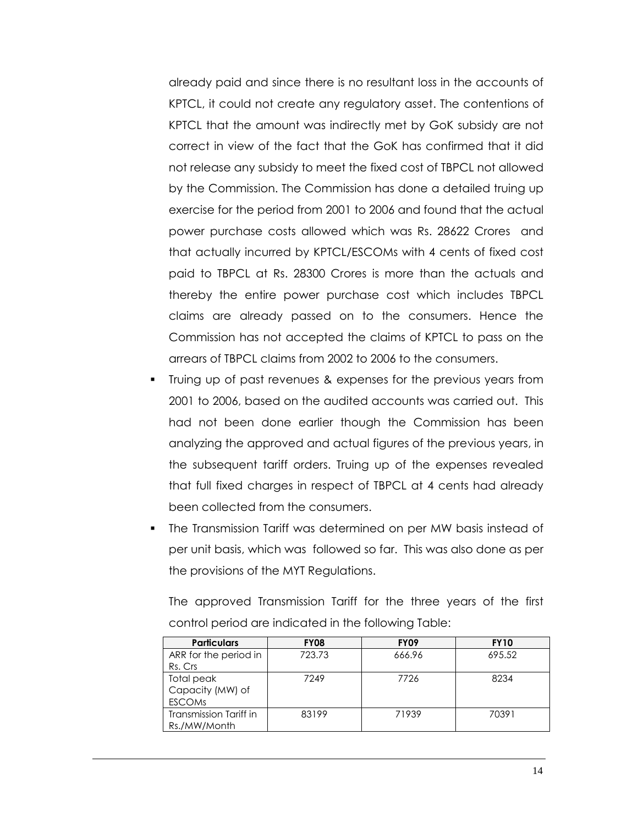already paid and since there is no resultant loss in the accounts of KPTCL, it could not create any regulatory asset. The contentions of KPTCL that the amount was indirectly met by GoK subsidy are not correct in view of the fact that the GoK has confirmed that it did not release any subsidy to meet the fixed cost of TBPCL not allowed by the Commission. The Commission has done a detailed truing up exercise for the period from 2001 to 2006 and found that the actual power purchase costs allowed which was Rs. 28622 Crores and that actually incurred by KPTCL/ESCOMs with 4 cents of fixed cost paid to TBPCL at Rs. 28300 Crores is more than the actuals and thereby the entire power purchase cost which includes TBPCL claims are already passed on to the consumers. Hence the Commission has not accepted the claims of KPTCL to pass on the arrears of TBPCL claims from 2002 to 2006 to the consumers.

- Truing up of past revenues & expenses for the previous years from 2001 to 2006, based on the audited accounts was carried out. This had not been done earlier though the Commission has been analyzing the approved and actual figures of the previous years, in the subsequent tariff orders. Truing up of the expenses revealed that full fixed charges in respect of TBPCL at 4 cents had already been collected from the consumers.
- The Transmission Tariff was determined on per MW basis instead of per unit basis, which was followed so far. This was also done as per the provisions of the MYT Regulations.

The approved Transmission Tariff for the three years of the first control period are indicated in the following Table:

| <b>Particulars</b>     | <b>FY08</b> | <b>FY09</b> | <b>FY10</b> |
|------------------------|-------------|-------------|-------------|
| ARR for the period in  | 723.73      | 666.96      | 695.52      |
| Rs. Crs                |             |             |             |
| Total peak             | 7249        | 7726        | 8234        |
| Capacity (MW) of       |             |             |             |
| <b>ESCOMS</b>          |             |             |             |
| Transmission Tariff in | 83199       | 71939       | 70391       |
| Rs./MW/Month           |             |             |             |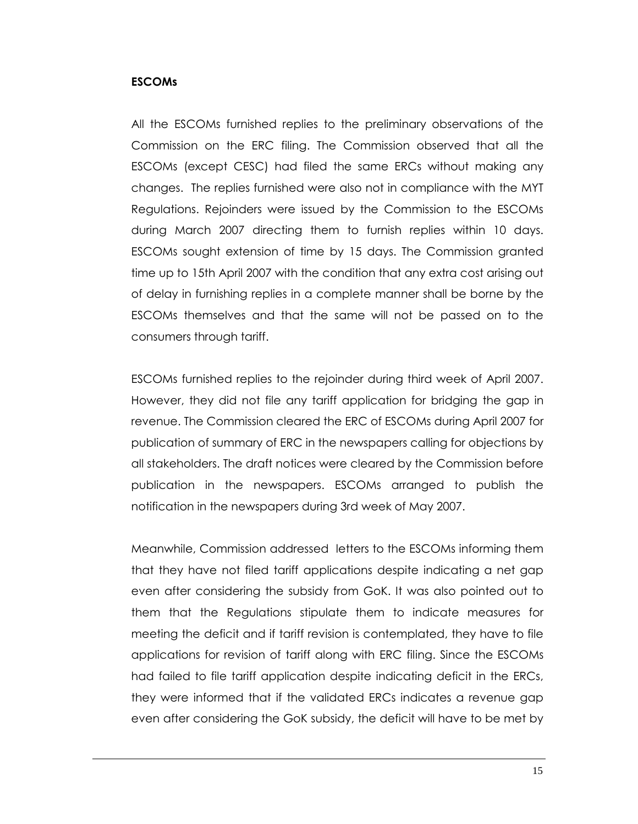#### **ESCOMs**

All the ESCOMs furnished replies to the preliminary observations of the Commission on the ERC filing. The Commission observed that all the ESCOMs (except CESC) had filed the same ERCs without making any changes. The replies furnished were also not in compliance with the MYT Regulations. Rejoinders were issued by the Commission to the ESCOMs during March 2007 directing them to furnish replies within 10 days. ESCOMs sought extension of time by 15 days. The Commission granted time up to 15th April 2007 with the condition that any extra cost arising out of delay in furnishing replies in a complete manner shall be borne by the ESCOMs themselves and that the same will not be passed on to the consumers through tariff.

ESCOMs furnished replies to the rejoinder during third week of April 2007. However, they did not file any tariff application for bridging the gap in revenue. The Commission cleared the ERC of ESCOMs during April 2007 for publication of summary of ERC in the newspapers calling for objections by all stakeholders. The draft notices were cleared by the Commission before publication in the newspapers. ESCOMs arranged to publish the notification in the newspapers during 3rd week of May 2007.

Meanwhile, Commission addressed letters to the ESCOMs informing them that they have not filed tariff applications despite indicating a net gap even after considering the subsidy from GoK. It was also pointed out to them that the Regulations stipulate them to indicate measures for meeting the deficit and if tariff revision is contemplated, they have to file applications for revision of tariff along with ERC filing. Since the ESCOMs had failed to file tariff application despite indicating deficit in the ERCs, they were informed that if the validated ERCs indicates a revenue gap even after considering the GoK subsidy, the deficit will have to be met by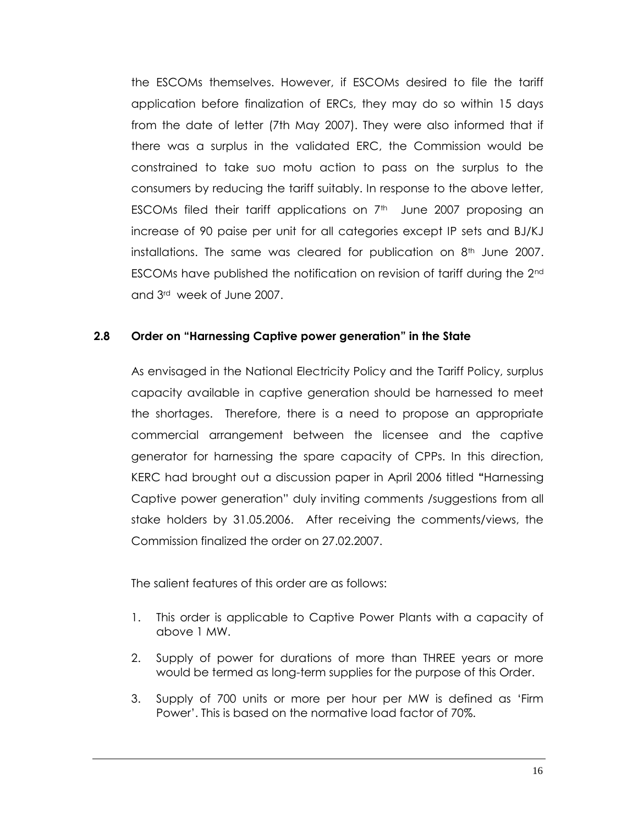the ESCOMs themselves. However, if ESCOMs desired to file the tariff application before finalization of ERCs, they may do so within 15 days from the date of letter (7th May 2007). They were also informed that if there was a surplus in the validated ERC, the Commission would be constrained to take suo motu action to pass on the surplus to the consumers by reducing the tariff suitably. In response to the above letter, ESCOMs filed their tariff applications on  $7<sup>th</sup>$  June 2007 proposing an increase of 90 paise per unit for all categories except IP sets and BJ/KJ installations. The same was cleared for publication on  $8<sup>th</sup>$  June 2007. ESCOMs have published the notification on revision of tariff during the 2nd and 3rd week of June 2007.

### **2.8 Order on "Harnessing Captive power generation" in the State**

As envisaged in the National Electricity Policy and the Tariff Policy, surplus capacity available in captive generation should be harnessed to meet the shortages. Therefore, there is a need to propose an appropriate commercial arrangement between the licensee and the captive generator for harnessing the spare capacity of CPPs. In this direction, KERC had brought out a discussion paper in April 2006 titled **"**Harnessing Captive power generation" duly inviting comments /suggestions from all stake holders by 31.05.2006. After receiving the comments/views, the Commission finalized the order on 27.02.2007.

The salient features of this order are as follows:

- 1. This order is applicable to Captive Power Plants with a capacity of above 1 MW.
- 2. Supply of power for durations of more than THREE years or more would be termed as long-term supplies for the purpose of this Order.
- 3. Supply of 700 units or more per hour per MW is defined as "Firm Power". This is based on the normative load factor of 70%.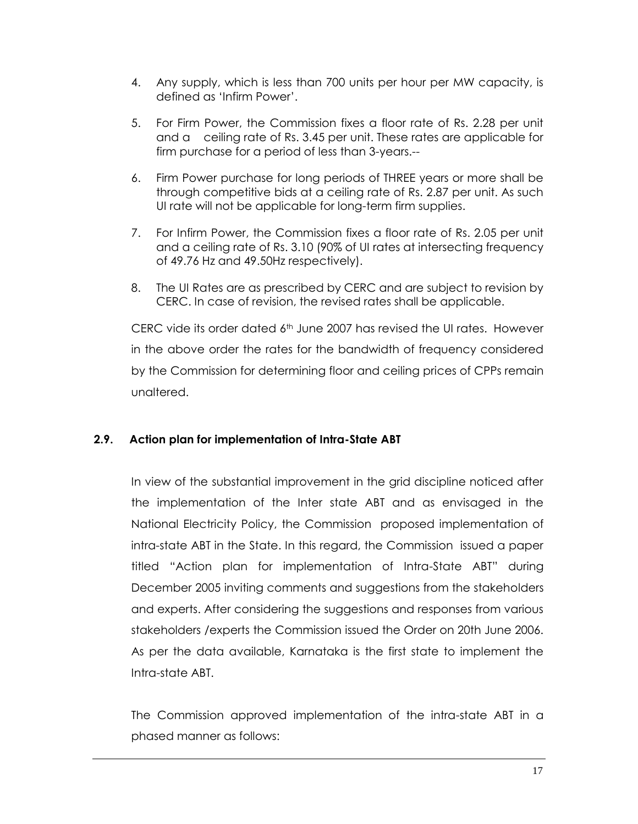- 4. Any supply, which is less than 700 units per hour per MW capacity, is defined as "Infirm Power".
- 5. For Firm Power, the Commission fixes a floor rate of Rs. 2.28 per unit and a ceiling rate of Rs. 3.45 per unit. These rates are applicable for firm purchase for a period of less than 3-years.--
- 6. Firm Power purchase for long periods of THREE years or more shall be through competitive bids at a ceiling rate of Rs. 2.87 per unit. As such UI rate will not be applicable for long-term firm supplies.
- 7. For Infirm Power, the Commission fixes a floor rate of Rs. 2.05 per unit and a ceiling rate of Rs. 3.10 (90% of UI rates at intersecting frequency of 49.76 Hz and 49.50Hz respectively).
- 8. The UI Rates are as prescribed by CERC and are subject to revision by CERC. In case of revision, the revised rates shall be applicable.

CERC vide its order dated 6th June 2007 has revised the UI rates. However in the above order the rates for the bandwidth of frequency considered by the Commission for determining floor and ceiling prices of CPPs remain unaltered.

### **2.9. Action plan for implementation of Intra-State ABT**

In view of the substantial improvement in the grid discipline noticed after the implementation of the Inter state ABT and as envisaged in the National Electricity Policy, the Commission proposed implementation of intra-state ABT in the State. In this regard, the Commission issued a paper titled "Action plan for implementation of Intra-State ABT" during December 2005 inviting comments and suggestions from the stakeholders and experts. After considering the suggestions and responses from various stakeholders /experts the Commission issued the Order on 20th June 2006. As per the data available, Karnataka is the first state to implement the Intra-state ABT.

The Commission approved implementation of the intra-state ABT in a phased manner as follows: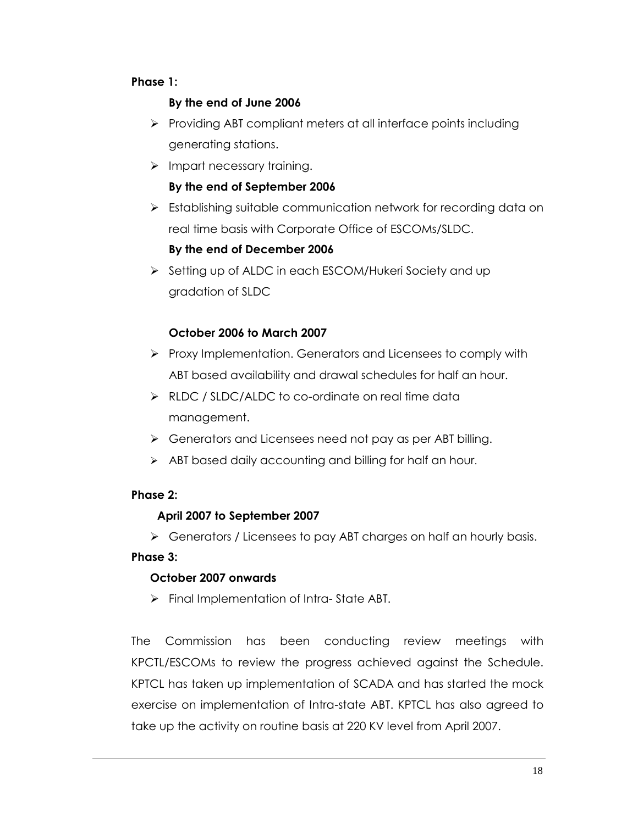## **Phase 1:**

# **By the end of June 2006**

- $\triangleright$  Providing ABT compliant meters at all interface points including generating stations.
- $\triangleright$  Impart necessary training.

# **By the end of September 2006**

Stablishing suitable communication network for recording data on real time basis with Corporate Office of ESCOMs/SLDC.

# **By the end of December 2006**

Setting up of ALDC in each ESCOM/Hukeri Society and up gradation of SLDC

# **October 2006 to March 2007**

- $\triangleright$  Proxy Implementation. Generators and Licensees to comply with ABT based availability and drawal schedules for half an hour.
- ▶ RLDC / SLDC/ALDC to co-ordinate on real time data management.
- Generators and Licensees need not pay as per ABT billing.
- > ABT based daily accounting and billing for half an hour.

## **Phase 2:**

# **April 2007 to September 2007**

Generators / Licensees to pay ABT charges on half an hourly basis.

## **Phase 3:**

# **October 2007 onwards**

 $\triangleright$  Final Implementation of Intra-State ABT.

The Commission has been conducting review meetings with KPCTL/ESCOMs to review the progress achieved against the Schedule. KPTCL has taken up implementation of SCADA and has started the mock exercise on implementation of Intra-state ABT. KPTCL has also agreed to take up the activity on routine basis at 220 KV level from April 2007.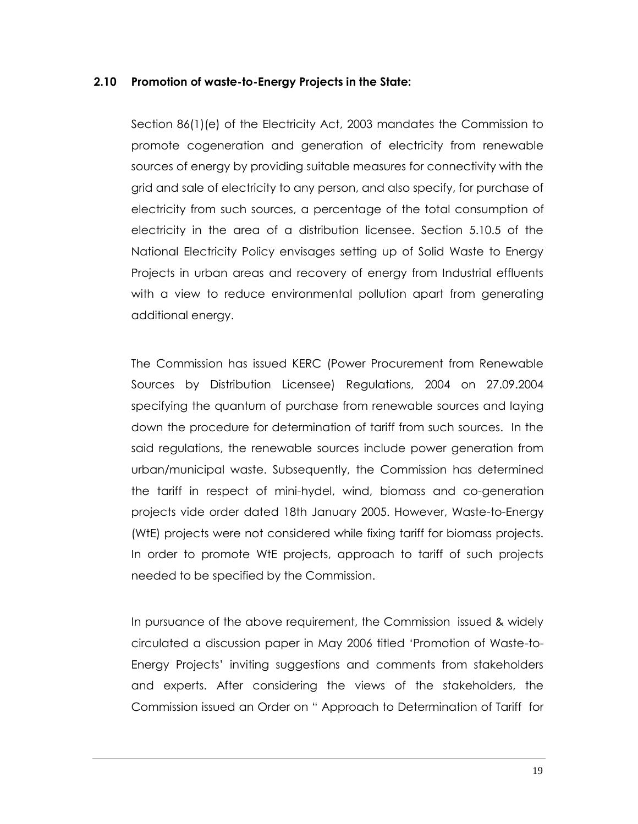#### **2.10 Promotion of waste-to-Energy Projects in the State:**

Section 86(1)(e) of the Electricity Act, 2003 mandates the Commission to promote cogeneration and generation of electricity from renewable sources of energy by providing suitable measures for connectivity with the grid and sale of electricity to any person, and also specify, for purchase of electricity from such sources, a percentage of the total consumption of electricity in the area of a distribution licensee. Section 5.10.5 of the National Electricity Policy envisages setting up of Solid Waste to Energy Projects in urban areas and recovery of energy from Industrial effluents with a view to reduce environmental pollution apart from generating additional energy.

The Commission has issued KERC (Power Procurement from Renewable Sources by Distribution Licensee) Regulations, 2004 on 27.09.2004 specifying the quantum of purchase from renewable sources and laying down the procedure for determination of tariff from such sources. In the said regulations, the renewable sources include power generation from urban/municipal waste. Subsequently, the Commission has determined the tariff in respect of mini-hydel, wind, biomass and co-generation projects vide order dated 18th January 2005. However, Waste-to-Energy (WtE) projects were not considered while fixing tariff for biomass projects. In order to promote WtE projects, approach to tariff of such projects needed to be specified by the Commission.

In pursuance of the above requirement, the Commission issued & widely circulated a discussion paper in May 2006 titled "Promotion of Waste-to-Energy Projects" inviting suggestions and comments from stakeholders and experts. After considering the views of the stakeholders, the Commission issued an Order on " Approach to Determination of Tariff for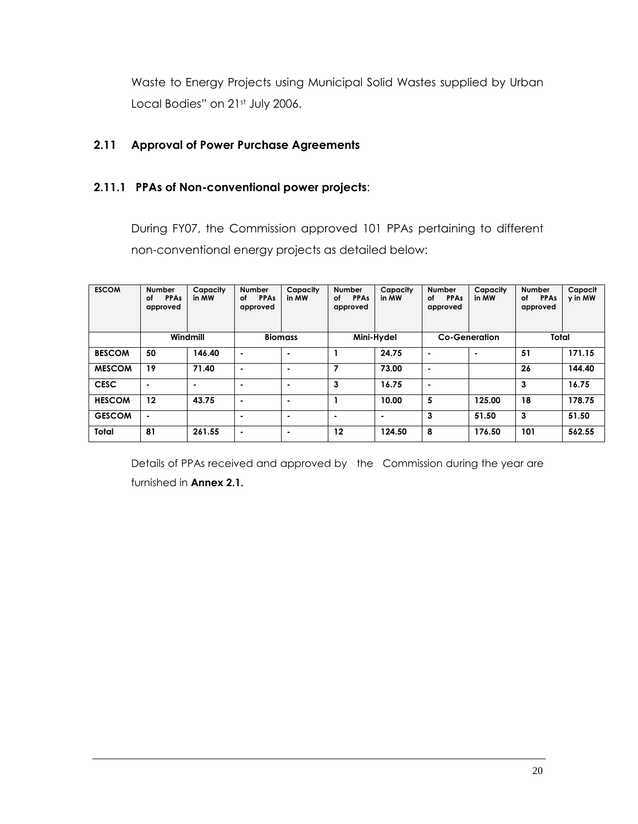Waste to Energy Projects using Municipal Solid Wastes supplied by Urban Local Bodies" on 21st July 2006.

# **2.11 Approval of Power Purchase Agreements**

### **2.11.1 PPAs of Non-conventional power projects**:

During FY07, the Commission approved 101 PPAs pertaining to different non-conventional energy projects as detailed below:

| <b>ESCOM</b>  | <b>Number</b><br><b>PPAs</b><br>оf<br>approved | Capacity<br>in MW | <b>Number</b><br><b>PPAs</b><br>οf<br>approved | Capacity<br>in MW | <b>Number</b><br><b>PPAs</b><br>οf<br>approved | Capacity<br>in MW | <b>Number</b><br>оf<br><b>PPAs</b><br>approved | Capacity<br>in MW    | <b>Number</b><br><b>PPAs</b><br>of<br>approved | Capacit<br>y in MW |
|---------------|------------------------------------------------|-------------------|------------------------------------------------|-------------------|------------------------------------------------|-------------------|------------------------------------------------|----------------------|------------------------------------------------|--------------------|
|               |                                                | Windmill          |                                                | <b>Biomass</b>    |                                                | Mini-Hydel        |                                                | <b>Co-Generation</b> | Total                                          |                    |
| <b>BESCOM</b> | 50                                             | 146.40            | $\blacksquare$                                 | $\blacksquare$    |                                                | 24.75             | $\blacksquare$                                 | $\blacksquare$       | 51                                             | 171.15             |
| <b>MESCOM</b> | 19                                             | 71.40             | $\blacksquare$                                 | $\blacksquare$    | 7                                              | 73.00             | $\blacksquare$                                 |                      | 26                                             | 144.40             |
| <b>CESC</b>   | $\blacksquare$                                 | $\blacksquare$    | $\blacksquare$                                 | $\blacksquare$    | 3                                              | 16.75             | $\blacksquare$                                 |                      | 3                                              | 16.75              |
| <b>HESCOM</b> | 12                                             | 43.75             | $\blacksquare$                                 | $\blacksquare$    |                                                | 10.00             | 5                                              | 125.00               | 18                                             | 178.75             |
| <b>GESCOM</b> | $\blacksquare$                                 |                   |                                                | ۰                 |                                                | $\blacksquare$    | 3                                              | 51.50                | 3                                              | 51.50              |
| Total         | 81                                             | 261.55            | $\blacksquare$                                 | $\blacksquare$    | 12                                             | 124.50            | 8                                              | 176.50               | 101                                            | 562.55             |

Details of PPAs received and approved by the Commission during the year are furnished in **Annex 2.1.**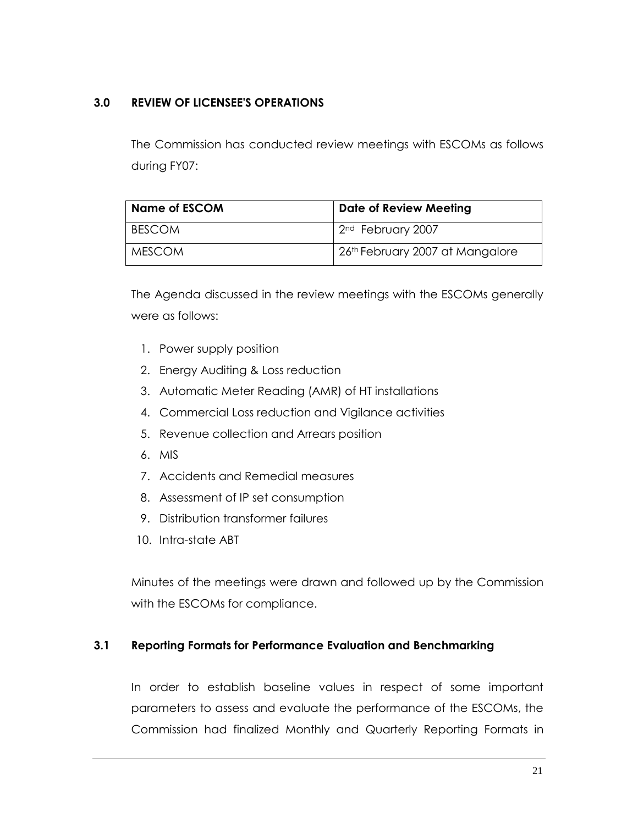## **3.0 REVIEW OF LICENSEE'S OPERATIONS**

The Commission has conducted review meetings with ESCOMs as follows during FY07:

| <b>Name of ESCOM</b> | <b>Date of Review Meeting</b>               |  |  |  |  |
|----------------------|---------------------------------------------|--|--|--|--|
| BESCOM               | 2 <sup>nd</sup> February 2007               |  |  |  |  |
| MESCOM               | 26 <sup>th</sup> February 2007 at Mangalore |  |  |  |  |

The Agenda discussed in the review meetings with the ESCOMs generally were as follows:

- 1. Power supply position
- 2. Energy Auditing & Loss reduction
- 3. Automatic Meter Reading (AMR) of HT installations
- 4. Commercial Loss reduction and Vigilance activities
- 5. Revenue collection and Arrears position
- 6. MIS
- 7. Accidents and Remedial measures
- 8. Assessment of IP set consumption
- 9. Distribution transformer failures
- 10. Intra-state ABT

Minutes of the meetings were drawn and followed up by the Commission with the ESCOMs for compliance.

## **3.1 Reporting Formats for Performance Evaluation and Benchmarking**

In order to establish baseline values in respect of some important parameters to assess and evaluate the performance of the ESCOMs, the Commission had finalized Monthly and Quarterly Reporting Formats in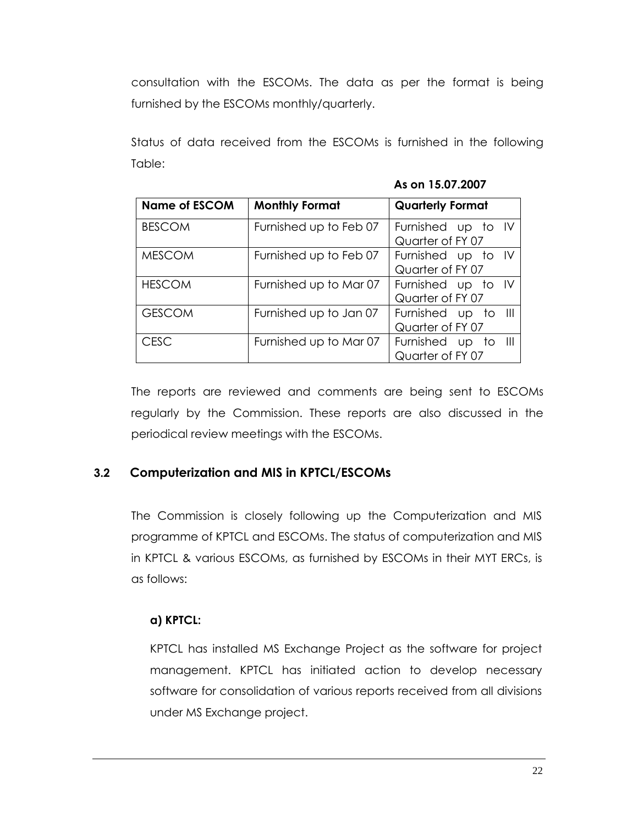consultation with the ESCOMs. The data as per the format is being furnished by the ESCOMs monthly/quarterly.

Status of data received from the ESCOMs is furnished in the following Table:

|  | As on 15.07.2007 |  |
|--|------------------|--|
|--|------------------|--|

| <b>Name of ESCOM</b> | <b>Monthly Format</b>  | <b>Quarterly Format</b>                 |  |  |  |  |
|----------------------|------------------------|-----------------------------------------|--|--|--|--|
| <b>BESCOM</b>        | Furnished up to Feb 07 | Furnished up to IV<br>Quarter of FY 07  |  |  |  |  |
| <b>MESCOM</b>        | Furnished up to Feb 07 | Furnished up to IV<br>Quarter of FY 07  |  |  |  |  |
| <b>HESCOM</b>        | Furnished up to Mar 07 | Furnished up to IV<br>Quarter of FY 07  |  |  |  |  |
| <b>GESCOM</b>        | Furnished up to Jan 07 | Furnished up to III<br>Quarter of FY 07 |  |  |  |  |
| <b>CESC</b>          | Furnished up to Mar 07 | Furnished up to III<br>Quarter of FY 07 |  |  |  |  |

The reports are reviewed and comments are being sent to ESCOMs regularly by the Commission. These reports are also discussed in the periodical review meetings with the ESCOMs.

## **3.2 Computerization and MIS in KPTCL/ESCOMs**

The Commission is closely following up the Computerization and MIS programme of KPTCL and ESCOMs. The status of computerization and MIS in KPTCL & various ESCOMs, as furnished by ESCOMs in their MYT ERCs, is as follows:

### **a) KPTCL:**

KPTCL has installed MS Exchange Project as the software for project management. KPTCL has initiated action to develop necessary software for consolidation of various reports received from all divisions under MS Exchange project.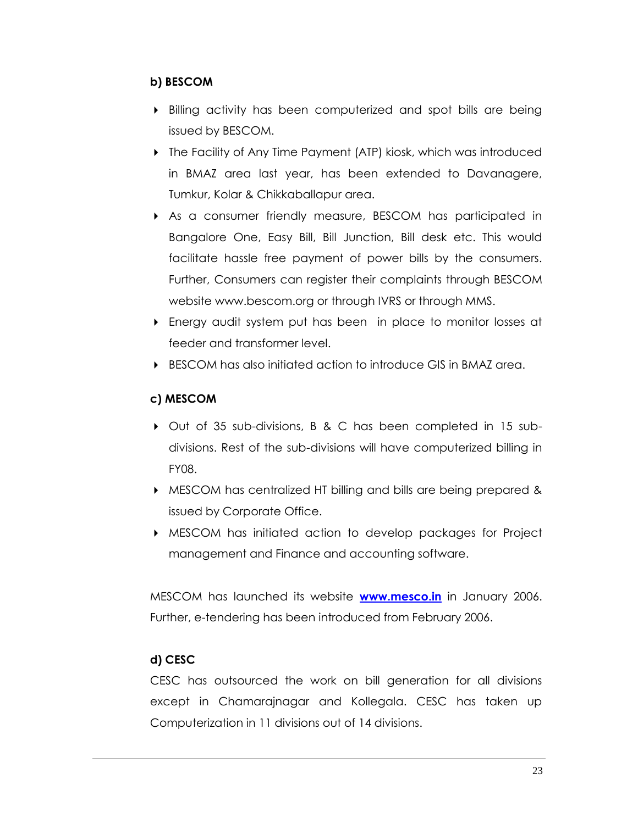### **b) BESCOM**

- Billing activity has been computerized and spot bills are being issued by BESCOM.
- The Facility of Any Time Payment (ATP) kiosk, which was introduced in BMAZ area last year, has been extended to Davanagere, Tumkur, Kolar & Chikkaballapur area.
- As a consumer friendly measure, BESCOM has participated in Bangalore One, Easy Bill, Bill Junction, Bill desk etc. This would facilitate hassle free payment of power bills by the consumers. Further, Consumers can register their complaints through BESCOM website www.bescom.org or through IVRS or through MMS.
- Energy audit system put has been in place to monitor losses at feeder and transformer level.
- BESCOM has also initiated action to introduce GIS in BMAZ area.

# **c) MESCOM**

- Out of 35 sub-divisions, B & C has been completed in 15 subdivisions. Rest of the sub-divisions will have computerized billing in FY08.
- MESCOM has centralized HT billing and bills are being prepared & issued by Corporate Office.
- MESCOM has initiated action to develop packages for Project management and Finance and accounting software.

MESCOM has launched its website **[www.mesco.in](http://www.mesco.in/)** in January 2006. Further, e-tendering has been introduced from February 2006.

# **d) CESC**

CESC has outsourced the work on bill generation for all divisions except in Chamarajnagar and Kollegala. CESC has taken up Computerization in 11 divisions out of 14 divisions.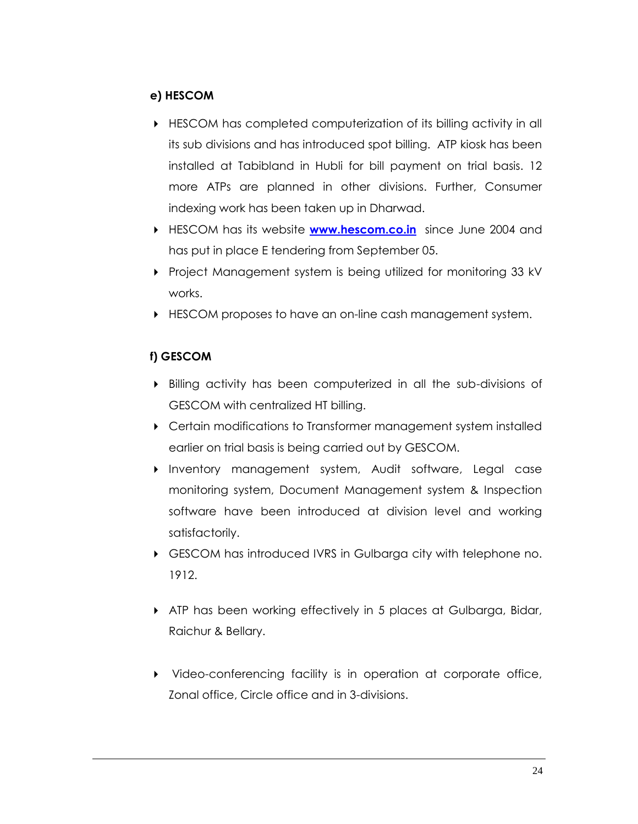### **e) HESCOM**

- HESCOM has completed computerization of its billing activity in all its sub divisions and has introduced spot billing. ATP kiosk has been installed at Tabibland in Hubli for bill payment on trial basis. 12 more ATPs are planned in other divisions. Further, Consumer indexing work has been taken up in Dharwad.
- HESCOM has its website **[www.hescom.co.in](http://www.hescom.co.in/)** since June 2004 and has put in place E tendering from September 05.
- Project Management system is being utilized for monitoring 33 kV works.
- HESCOM proposes to have an on-line cash management system.

## **f) GESCOM**

- Billing activity has been computerized in all the sub-divisions of GESCOM with centralized HT billing.
- Certain modifications to Transformer management system installed earlier on trial basis is being carried out by GESCOM.
- Inventory management system, Audit software, Legal case monitoring system, Document Management system & Inspection software have been introduced at division level and working satisfactorily.
- GESCOM has introduced IVRS in Gulbarga city with telephone no. 1912.
- ATP has been working effectively in 5 places at Gulbarga, Bidar, Raichur & Bellary.
- Video-conferencing facility is in operation at corporate office, Zonal office, Circle office and in 3-divisions.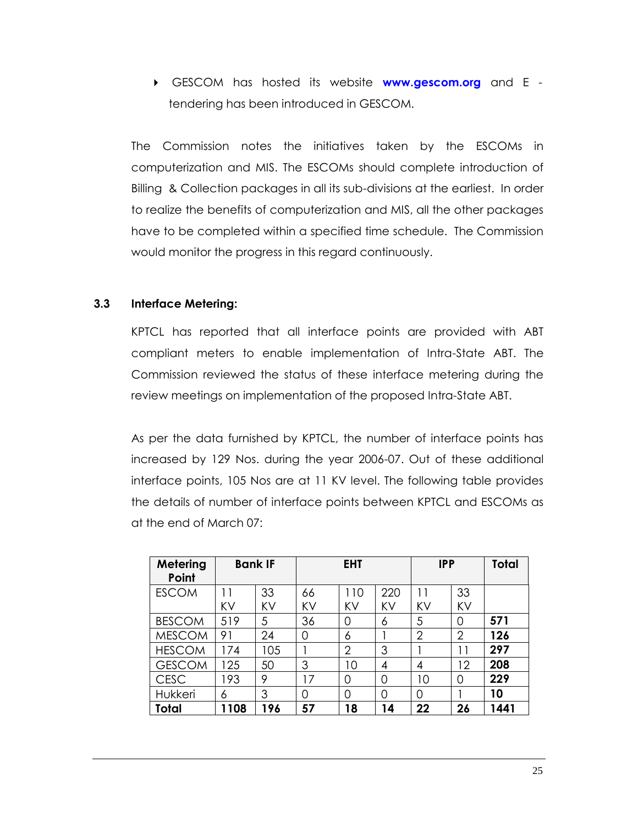GESCOM has hosted its website **[www.gescom.org](http://www.gescom.org/)** and E tendering has been introduced in GESCOM.

The Commission notes the initiatives taken by the ESCOMs in computerization and MIS. The ESCOMs should complete introduction of Billing & Collection packages in all its sub-divisions at the earliest. In order to realize the benefits of computerization and MIS, all the other packages have to be completed within a specified time schedule. The Commission would monitor the progress in this regard continuously.

### **3.3 Interface Metering:**

KPTCL has reported that all interface points are provided with ABT compliant meters to enable implementation of Intra-State ABT. The Commission reviewed the status of these interface metering during the review meetings on implementation of the proposed Intra-State ABT.

As per the data furnished by KPTCL, the number of interface points has increased by 129 Nos. during the year 2006-07. Out of these additional interface points, 105 Nos are at 11 KV level. The following table provides the details of number of interface points between KPTCL and ESCOMs as at the end of March 07:

| Metering<br>Point |      | <b>Bank IF</b> |    | <b>EHT</b>     |          | <b>IPP</b>     |                   | <b>Total</b> |
|-------------------|------|----------------|----|----------------|----------|----------------|-------------------|--------------|
| <b>ESCOM</b>      | 11   | 33             | 66 | 110            | 220      | 11             | 33                |              |
|                   | KV   | KV             | KV | KV             | KV       | KV             | KV                |              |
| <b>BESCOM</b>     | 519  | 5              | 36 | $\overline{0}$ | 6        | 5              | $\overline{0}$    | 571          |
| <b>MESCOM</b>     | 91   | 24             | 0  | 6              |          | $\overline{2}$ | 2                 | 126          |
| <b>HESCOM</b>     | 174  | 105            |    | $\overline{2}$ | 3        |                | 11                | 297          |
| <b>GESCOM</b>     | 125  | 50             | 3  | 10             | 4        | 4              | $12 \overline{ }$ | 208          |
| <b>CESC</b>       | 93   | 9              | 17 | $\Omega$       | $\Omega$ | 10             | $\Omega$          | 229          |
| Hukkeri           | 6    | 3              | 0  | 0              | 0        | $\Omega$       |                   | 10           |
| Total             | 1108 | 196            | 57 | 18             | 14       | 22             | 26                | 1441         |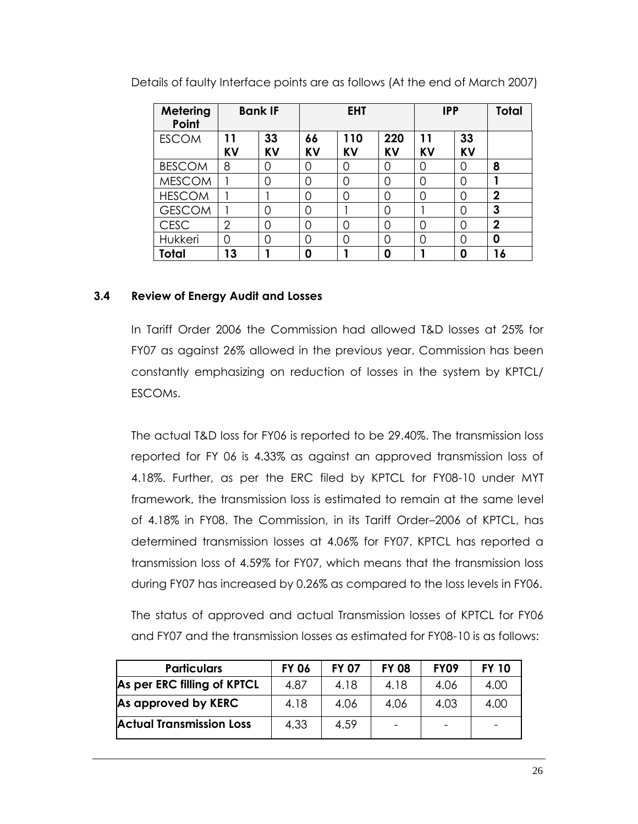| Metering<br>Point |                 | <b>Bank IF</b> | <b>EHT</b>      |                  |                  | <b>IPP</b>      | Total           |                |
|-------------------|-----------------|----------------|-----------------|------------------|------------------|-----------------|-----------------|----------------|
| <b>ESCOM</b>      | 11<br><b>KV</b> | 33<br>KV       | 66<br><b>KV</b> | 110<br><b>KV</b> | 220<br><b>KV</b> | 11<br><b>KV</b> | 33<br><b>KV</b> |                |
| <b>BESCOM</b>     | 8               | 0              | 0               | 0                | $\overline{0}$   | 0               | Ω               | 8              |
| <b>MESCOM</b>     |                 | 0              | 0               | 0                | $\overline{0}$   | 0               | 0               |                |
| <b>HESCOM</b>     |                 |                | 0               | 0                | 0                | 0               | ი               | $\mathbf{2}$   |
| <b>GESCOM</b>     |                 | 0              | 0               |                  | 0                |                 | 0               | 3              |
| <b>CESC</b>       | $\overline{2}$  | 0              | 0               | 0                | $\overline{0}$   | 0               | 0               | $\overline{2}$ |
| Hukkeri           | 0               | 0              | 0               | 0                | 0                | 0               | 0               | 0              |
| Total             | 13              |                | 0               |                  | 0                |                 | 0               | 16             |

Details of faulty Interface points are as follows (At the end of March 2007)

### **3.4 Review of Energy Audit and Losses**

In Tariff Order 2006 the Commission had allowed T&D losses at 25% for FY07 as against 26% allowed in the previous year. Commission has been constantly emphasizing on reduction of losses in the system by KPTCL/ ESCOMs.

The actual T&D loss for FY06 is reported to be 29.40%. The transmission loss reported for FY 06 is 4.33% as against an approved transmission loss of 4.18%. Further, as per the ERC filed by KPTCL for FY08-10 under MYT framework, the transmission loss is estimated to remain at the same level of 4.18% in FY08. The Commission, in its Tariff Order–2006 of KPTCL, has determined transmission losses at 4.06% for FY07. KPTCL has reported a transmission loss of 4.59% for FY07, which means that the transmission loss during FY07 has increased by 0.26% as compared to the loss levels in FY06.

The status of approved and actual Transmission losses of KPTCL for FY06 and FY07 and the transmission losses as estimated for FY08-10 is as follows:

| <b>Particulars</b>              | <b>FY 06</b> | <b>FY 07</b> | <b>FY 08</b> | <b>FY09</b> | <b>FY 10</b> |
|---------------------------------|--------------|--------------|--------------|-------------|--------------|
| As per ERC filling of KPTCL     | 4.87         | 4.18         | 4.18         | 4.06        | 4.00         |
| As approved by KERC             | 4.18         | 4.06         | 4.06         | 4.03        | 4.00         |
| <b>Actual Transmission Loss</b> | 4.33         | 4.59         |              |             |              |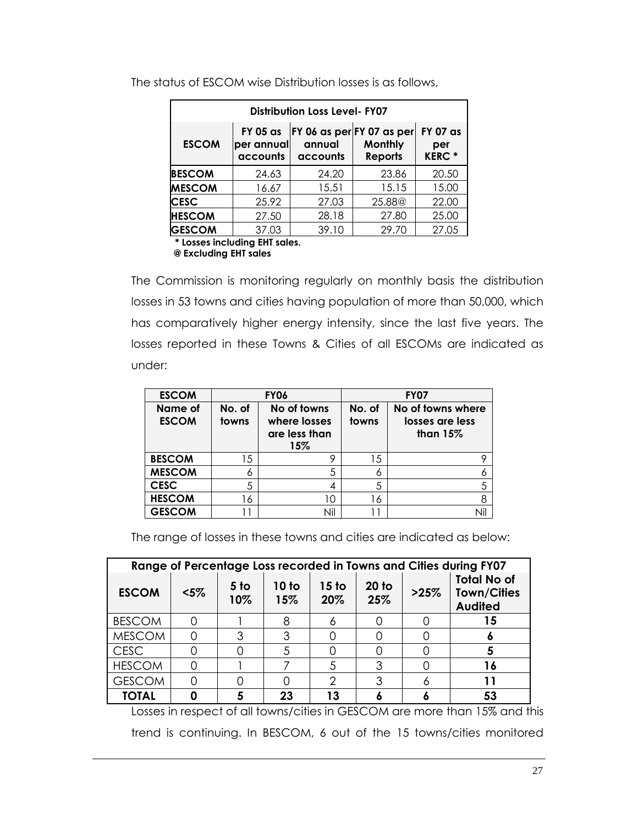| <b>Distribution Loss Level-FY07</b>       |                    |                    |                                                           |  |  |  |  |  |  |
|-------------------------------------------|--------------------|--------------------|-----------------------------------------------------------|--|--|--|--|--|--|
| <b>FY 05 as</b><br>per annual<br>accounts | annual<br>accounts | Monthly<br>Reports | <b>FY 07 as</b><br>per<br><b>KERC*</b>                    |  |  |  |  |  |  |
| 24.63                                     | 24.20              | 23.86              | 20.50                                                     |  |  |  |  |  |  |
| 16.67                                     | 15.51              | 15.15              | 15.00                                                     |  |  |  |  |  |  |
| 25.92                                     | 27.03              | 25.88 <sup>@</sup> | 22.00                                                     |  |  |  |  |  |  |
| 27.50                                     | 28.18              | 27.80              | 25.00                                                     |  |  |  |  |  |  |
| 37.03                                     | 39.10              | 29.70              | 27.05                                                     |  |  |  |  |  |  |
|                                           |                    |                    | FY 06 as per FY 07 as per<br>* Losses including FHT sales |  |  |  |  |  |  |

The status of ESCOM wise Distribution losses is as follows,

 **\* Losses including EHT sales.**

 **@ Excluding EHT sales**

The Commission is monitoring regularly on monthly basis the distribution losses in 53 towns and cities having population of more than 50,000, which has comparatively higher energy intensity, since the last five years. The losses reported in these Towns & Cities of all ESCOMs are indicated as under:

| <b>ESCOM</b>            |                 | <b>FY06</b>                                         | <b>FY07</b>     |                                                    |  |
|-------------------------|-----------------|-----------------------------------------------------|-----------------|----------------------------------------------------|--|
| Name of<br><b>ESCOM</b> | No. of<br>towns | No of towns<br>where losses<br>are less than<br>15% | No. of<br>towns | No of towns where<br>losses are less<br>than $15%$ |  |
| <b>BESCOM</b>           | 15              | 9                                                   | 15              |                                                    |  |
| <b>MESCOM</b>           | 6               | 5                                                   | 6               | 6                                                  |  |
| <b>CESC</b>             | 5               |                                                     | 5               | 5                                                  |  |
| <b>HESCOM</b>           | 16              | 10                                                  | 16              | 8                                                  |  |
| <b>GESCOM</b>           |                 | Nil                                                 |                 | Nil                                                |  |

The range of losses in these towns and cities are indicated as below:

| Range of Percentage Loss recorded in Towns and Cities during FY07 |         |                        |              |              |                |      |                                                            |  |  |
|-------------------------------------------------------------------|---------|------------------------|--------------|--------------|----------------|------|------------------------------------------------------------|--|--|
| <b>ESCOM</b>                                                      | $< 5\%$ | 5 <sub>to</sub><br>10% | 10 to<br>15% | 15 to<br>20% | $20$ to<br>25% | >25% | <b>Total No of</b><br><b>Town/Cities</b><br><b>Audited</b> |  |  |
| <b>BESCOM</b>                                                     |         |                        |              |              |                |      | 15                                                         |  |  |
| <b>MESCOM</b>                                                     |         | 3                      |              |              |                |      |                                                            |  |  |
| <b>CESC</b>                                                       |         |                        |              |              |                |      |                                                            |  |  |
| <b>HESCOM</b>                                                     |         |                        |              |              | 3              |      | 16                                                         |  |  |
| <b>GESCOM</b>                                                     |         |                        |              |              |                |      |                                                            |  |  |
| <b>TOTAL</b>                                                      |         |                        | 23           | 13           |                |      | 53                                                         |  |  |

Losses in respect of all towns/cities in GESCOM are more than 15% and this trend is continuing. In BESCOM, 6 out of the 15 towns/cities monitored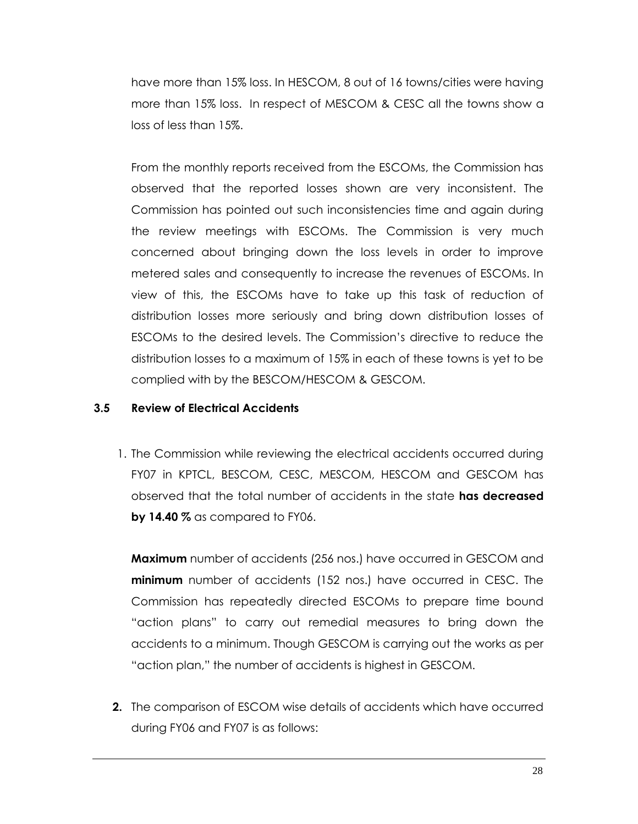have more than 15% loss. In HESCOM, 8 out of 16 towns/cities were having more than 15% loss. In respect of MESCOM & CESC all the towns show a loss of less than 15%.

From the monthly reports received from the ESCOMs, the Commission has observed that the reported losses shown are very inconsistent. The Commission has pointed out such inconsistencies time and again during the review meetings with ESCOMs. The Commission is very much concerned about bringing down the loss levels in order to improve metered sales and consequently to increase the revenues of ESCOMs. In view of this, the ESCOMs have to take up this task of reduction of distribution losses more seriously and bring down distribution losses of ESCOMs to the desired levels. The Commission"s directive to reduce the distribution losses to a maximum of 15% in each of these towns is yet to be complied with by the BESCOM/HESCOM & GESCOM.

### **3.5 Review of Electrical Accidents**

1. The Commission while reviewing the electrical accidents occurred during FY07 in KPTCL, BESCOM, CESC, MESCOM, HESCOM and GESCOM has observed that the total number of accidents in the state **has decreased by 14.40 %** as compared to FY06.

**Maximum** number of accidents (256 nos.) have occurred in GESCOM and **minimum** number of accidents (152 nos.) have occurred in CESC. The Commission has repeatedly directed ESCOMs to prepare time bound "action plans" to carry out remedial measures to bring down the accidents to a minimum. Though GESCOM is carrying out the works as per "action plan," the number of accidents is highest in GESCOM.

**2.** The comparison of ESCOM wise details of accidents which have occurred during FY06 and FY07 is as follows: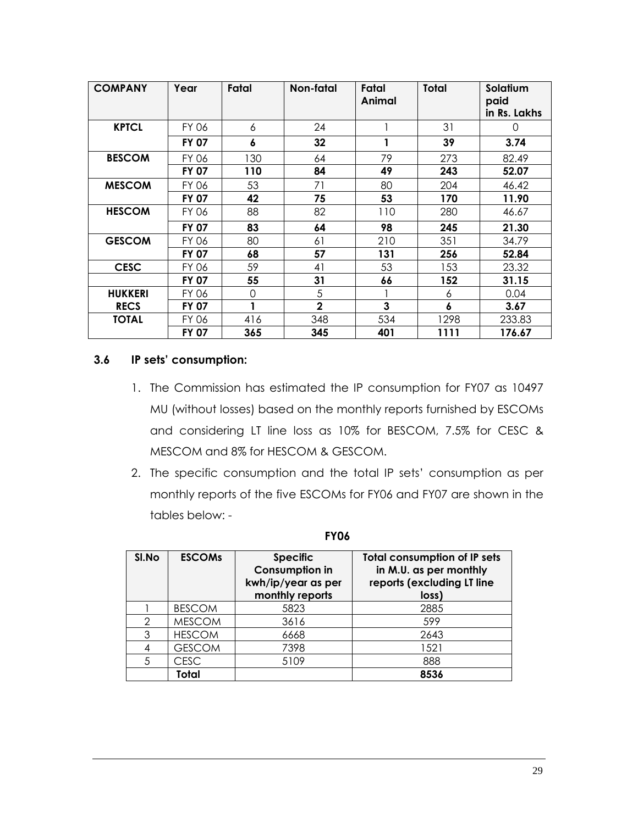| <b>COMPANY</b> | Year         | Fatal | Non-fatal      | Fatal<br>Animal | Total | Solatium<br>paid<br>in Rs. Lakhs |
|----------------|--------------|-------|----------------|-----------------|-------|----------------------------------|
| <b>KPTCL</b>   | FY 06        | 6     | 24             |                 | 31    | $\left( \right)$                 |
|                | <b>FY 07</b> | 6     | 32             | 1               | 39    | 3.74                             |
| <b>BESCOM</b>  | FY 06        | 130   | 64             | 79              | 273   | 82.49                            |
|                | <b>FY 07</b> | 110   | 84             | 49              | 243   | 52.07                            |
| <b>MESCOM</b>  | FY 06        | 53    | 71             | 80              | 204   | 46.42                            |
|                | <b>FY 07</b> | 42    | 75             | 53              | 170   | 11.90                            |
| <b>HESCOM</b>  | FY 06        | 88    | 82             | 110             | 280   | 46.67                            |
|                | <b>FY 07</b> | 83    | 64             | 98              | 245   | 21.30                            |
| <b>GESCOM</b>  | FY 06        | 80    | 61             | 210             | 351   | 34.79                            |
|                | <b>FY 07</b> | 68    | 57             | 131             | 256   | 52.84                            |
| <b>CESC</b>    | FY 06        | 59    | 41             | 53              | 153   | 23.32                            |
|                | <b>FY 07</b> | 55    | 31             | 66              | 152   | 31.15                            |
| <b>HUKKERI</b> | FY 06        | 0     | 5              |                 | 6     | 0.04                             |
| <b>RECS</b>    | <b>FY 07</b> | 1     | $\overline{2}$ | 3               | 6     | 3.67                             |
| <b>TOTAL</b>   | FY 06        | 416   | 348            | 534             | 1298  | 233.83                           |
|                | <b>FY 07</b> | 365   | 345            | 401             | 1111  | 176.67                           |

#### **3.6 IP sets' consumption:**

- 1. The Commission has estimated the IP consumption for FY07 as 10497 MU (without losses) based on the monthly reports furnished by ESCOMs and considering LT line loss as 10% for BESCOM, 7.5% for CESC & MESCOM and 8% for HESCOM & GESCOM.
- 2. The specific consumption and the total IP sets" consumption as per monthly reports of the five ESCOMs for FY06 and FY07 are shown in the tables below: -

| SI.No | <b>ESCOMS</b> | <b>Specific</b><br><b>Consumption in</b><br>kwh/ip/year as per<br>monthly reports | <b>Total consumption of IP sets</b><br>in M.U. as per monthly<br>reports (excluding LT line<br>loss) |
|-------|---------------|-----------------------------------------------------------------------------------|------------------------------------------------------------------------------------------------------|
|       | <b>BESCOM</b> | 5823                                                                              | 2885                                                                                                 |
| 2     | <b>MESCOM</b> | 3616                                                                              | 599                                                                                                  |
| 3     | <b>HESCOM</b> | 6668                                                                              | 2643                                                                                                 |
|       | <b>GESCOM</b> | 7398                                                                              | 1521                                                                                                 |
| 5     | <b>CESC</b>   | 5109                                                                              | 888                                                                                                  |
|       | Total         |                                                                                   | 8536                                                                                                 |

**FY06**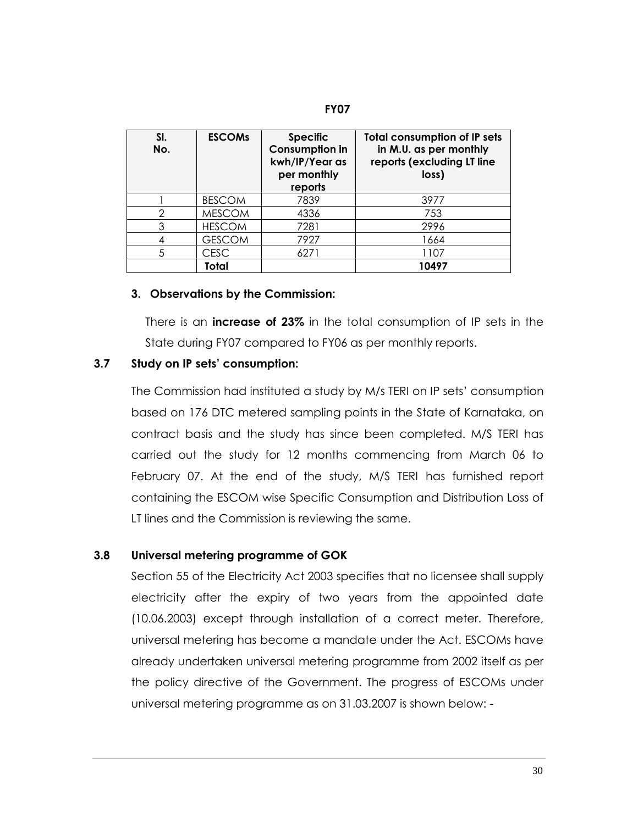#### **FY07**

| SI.<br>No. | <b>ESCOMs</b> | <b>Specific</b><br><b>Consumption in</b><br>kwh/IP/Year as<br>per monthly<br>reports | <b>Total consumption of IP sets</b><br>in M.U. as per monthly<br>reports (excluding LT line<br>loss) |
|------------|---------------|--------------------------------------------------------------------------------------|------------------------------------------------------------------------------------------------------|
|            | <b>BESCOM</b> | 7839                                                                                 | 3977                                                                                                 |
| റ          | <b>MESCOM</b> | 4336                                                                                 | 753                                                                                                  |
| 3          | <b>HESCOM</b> | 7281                                                                                 | 2996                                                                                                 |
|            | <b>GESCOM</b> | 7927                                                                                 | 1664                                                                                                 |
| 5          | CESC          | 6271                                                                                 | 1107                                                                                                 |
|            | Total         |                                                                                      | 10497                                                                                                |

#### **3. Observations by the Commission:**

There is an **increase of 23%** in the total consumption of IP sets in the State during FY07 compared to FY06 as per monthly reports.

#### **3.7 Study on IP sets' consumption:**

The Commission had instituted a study by M/s TERI on IP sets" consumption based on 176 DTC metered sampling points in the State of Karnataka, on contract basis and the study has since been completed. M/S TERI has carried out the study for 12 months commencing from March 06 to February 07. At the end of the study, M/S TERI has furnished report containing the ESCOM wise Specific Consumption and Distribution Loss of LT lines and the Commission is reviewing the same.

#### **3.8 Universal metering programme of GOK**

 Section 55 of the Electricity Act 2003 specifies that no licensee shall supply electricity after the expiry of two years from the appointed date (10.06.2003) except through installation of a correct meter. Therefore, universal metering has become a mandate under the Act. ESCOMs have already undertaken universal metering programme from 2002 itself as per the policy directive of the Government. The progress of ESCOMs under universal metering programme as on 31.03.2007 is shown below: -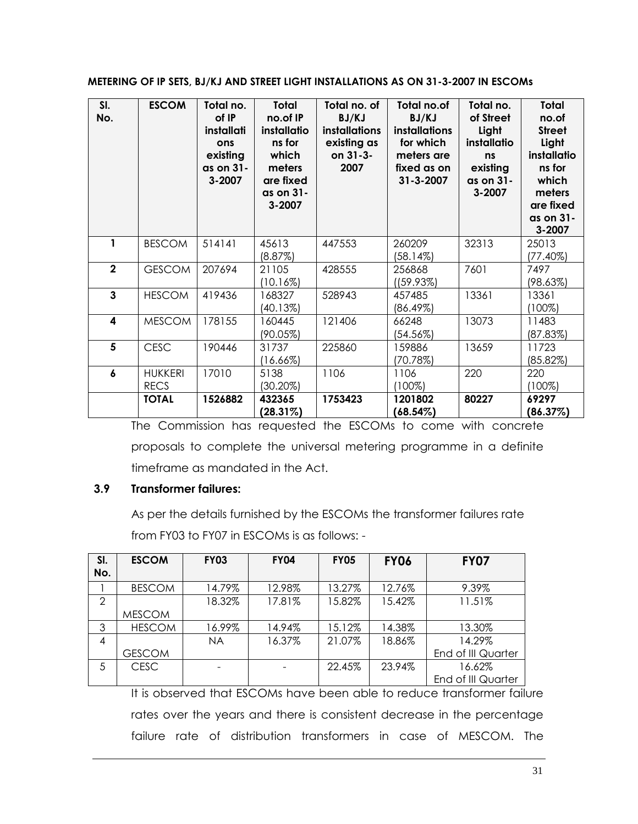#### **METERING OF IP SETS, BJ/KJ AND STREET LIGHT INSTALLATIONS AS ON 31-3-2007 IN ESCOMs**

| SI.<br>No.       | <b>ESCOM</b>                  | Total no.<br>of IP<br>installati<br>ons<br>existing<br>as on 31-<br>3-2007 | <b>Total</b><br>no.of IP<br>installatio<br>ns for<br>which<br>meters<br>are fixed<br>as on 31-<br>3-2007 | Total no. of<br>BJ/KJ<br><i>installations</i><br>existing as<br>on 31-3-<br>2007 | Total no.of<br>BJ/KJ<br><i>installations</i><br>for which<br>meters are<br>fixed as on<br>$31 - 3 - 2007$ | Total no.<br>of Street<br>Light<br>installatio<br>ns<br>existing<br>as on 31-<br>3-2007 | <b>Total</b><br>no.of<br><b>Street</b><br>Light<br>installatio<br>ns for<br>which<br>meters<br>are fixed<br>as on 31-<br>3-2007 |
|------------------|-------------------------------|----------------------------------------------------------------------------|----------------------------------------------------------------------------------------------------------|----------------------------------------------------------------------------------|-----------------------------------------------------------------------------------------------------------|-----------------------------------------------------------------------------------------|---------------------------------------------------------------------------------------------------------------------------------|
| 1                | <b>BESCOM</b>                 | 514141                                                                     | 45613<br>(8.87%)                                                                                         | 447553                                                                           | 260209<br>(58.14%)                                                                                        | 32313                                                                                   | 25013<br>$(77.40\%)$                                                                                                            |
| $\overline{2}$   | <b>GESCOM</b>                 | 207694                                                                     | 21105<br>(10.16%)                                                                                        | 428555                                                                           | 256868<br>(159.93%)                                                                                       | 7601                                                                                    | 7497<br>(98.63%)                                                                                                                |
| $\overline{3}$   | <b>HESCOM</b>                 | 419436                                                                     | 168327<br>(40.13%)                                                                                       | 528943                                                                           | 457485<br>(86.49%)                                                                                        | 13361                                                                                   | 13361<br>$(100\%)$                                                                                                              |
| 4                | <b>MESCOM</b>                 | 178155                                                                     | 160445<br>(90.05%)                                                                                       | 121406                                                                           | 66248<br>(54.56%)                                                                                         | 13073                                                                                   | 11483<br>(87.83%)                                                                                                               |
| 5                | <b>CESC</b>                   | 190446                                                                     | 31737<br>(16.66%)                                                                                        | 225860                                                                           | 159886<br>(70.78%)                                                                                        | 13659                                                                                   | 11723<br>(85.82%)                                                                                                               |
| $\boldsymbol{6}$ | <b>HUKKERI</b><br><b>RECS</b> | 17010                                                                      | 5138<br>$(30.20\%)$                                                                                      | 1106                                                                             | 1106<br>$(100\%)$                                                                                         | 220                                                                                     | 220<br>$(100\%)$                                                                                                                |
|                  | <b>TOTAL</b>                  | 1526882                                                                    | 432365<br>$(28.31\%)$                                                                                    | 1753423                                                                          | 1201802<br>$(68.54\%)$                                                                                    | 80227                                                                                   | 69297<br>(86.37%)                                                                                                               |

The Commission has requested the ESCOMs to come with concrete proposals to complete the universal metering programme in a definite timeframe as mandated in the Act.

## **3.9 Transformer failures:**

As per the details furnished by the ESCOMs the transformer failures rate from FY03 to FY07 in ESCOMs is as follows: -

| SI.<br>No. | <b>ESCOM</b>  | <b>FY03</b> | <b>FY04</b> | <b>FY05</b> | <b>FY06</b> | <b>FY07</b>        |
|------------|---------------|-------------|-------------|-------------|-------------|--------------------|
|            |               |             |             |             |             |                    |
|            | <b>BESCOM</b> | 14.79%      | 12.98%      | 13.27%      | 12.76%      | 9.39%              |
| 2          |               | 18.32%      | 17.81%      | 15.82%      | 15.42%      | 11.51%             |
|            | <b>MESCOM</b> |             |             |             |             |                    |
| 3          | <b>HESCOM</b> | 16.99%      | 14.94%      | 15.12%      | 14.38%      | 13.30%             |
| 4          |               | <b>NA</b>   | 16.37%      | 21.07%      | 18.86%      | 14.29%             |
|            | <b>GESCOM</b> |             |             |             |             | End of III Quarter |
| .5         | <b>CESC</b>   |             |             | 22.45%      | 23.94%      | 16.62%             |
|            |               |             |             |             |             | End of III Quarter |

It is observed that ESCOMs have been able to reduce transformer failure rates over the years and there is consistent decrease in the percentage failure rate of distribution transformers in case of MESCOM. The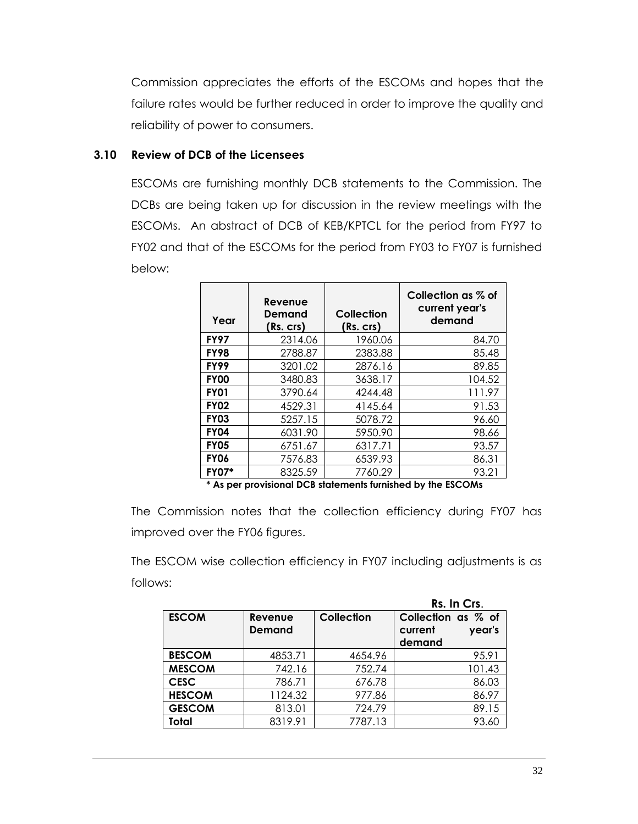Commission appreciates the efforts of the ESCOMs and hopes that the failure rates would be further reduced in order to improve the quality and reliability of power to consumers.

### **3.10 Review of DCB of the Licensees**

ESCOMs are furnishing monthly DCB statements to the Commission. The DCBs are being taken up for discussion in the review meetings with the ESCOMs. An abstract of DCB of KEB/KPTCL for the period from FY97 to FY02 and that of the ESCOMs for the period from FY03 to FY07 is furnished below:

| Year                | Revenue<br>Demand<br>(Rs. crs) | Collection<br>(Rs. crs) | Collection as % of<br>current year's<br>demand |
|---------------------|--------------------------------|-------------------------|------------------------------------------------|
| <b>FY97</b>         | 2314.06                        | 1960.06                 | 84.70                                          |
| <b>FY98</b>         | 2788.87                        | 2383.88                 | 85.48                                          |
| <b>FY99</b>         | 3201.02                        | 2876.16                 | 89.85                                          |
| <b>FY00</b>         | 3480.83                        | 3638.17                 | 104.52                                         |
| <b>FY01</b>         | 3790.64                        | 4244.48                 | 111.97                                         |
| <b>FY02</b>         | 4529.31                        | 4145.64                 | 91.53                                          |
| <b>FY03</b>         | 5257.15                        | 5078.72                 | 96.60                                          |
| <b>FY04</b>         | 6031.90                        | 5950.90                 | 98.66                                          |
| <b>FY05</b>         | 6751.67                        | 6317.71                 | 93.57                                          |
| <b>FY06</b>         | 7576.83                        | 6539.93                 | 86.31                                          |
| <b>FY07*</b><br>÷ a | 8325.59                        | 7760.29<br>ta tanahata  | 93.21<br>والطائر والمطار المرا<br>$P^{\sim}$   |

**\* As per provisional DCB statements furnished by the ESCOMs**

The Commission notes that the collection efficiency during FY07 has improved over the FY06 figures.

The ESCOM wise collection efficiency in FY07 including adjustments is as follows:

|               |                   |                   | Rs. In Crs.                                       |
|---------------|-------------------|-------------------|---------------------------------------------------|
| <b>ESCOM</b>  | Revenue<br>Demand | <b>Collection</b> | Collection as % of<br>year's<br>current<br>demand |
| <b>BESCOM</b> | 4853.71           | 4654.96           | 95.91                                             |
| <b>MESCOM</b> | 742.16            | 752.74            | 101.43                                            |
| <b>CESC</b>   | 786.71            | 676.78            | 86.03                                             |
| <b>HESCOM</b> | 1124.32           | 977.86            | 86.97                                             |
| <b>GESCOM</b> | 813.01            | 724.79            | 89.15                                             |
| Total         | 8319.91           | 7787.13           | 93.60                                             |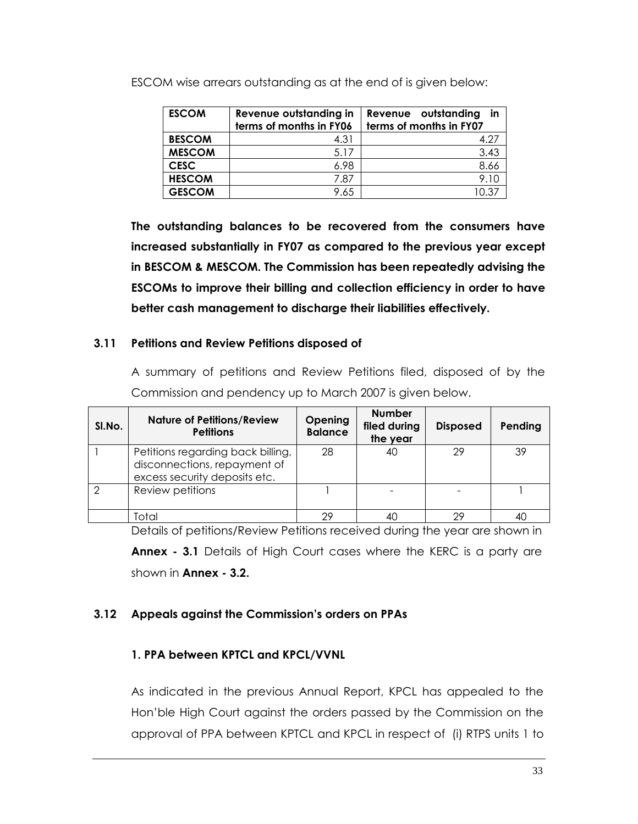| <b>ESCOM</b>  | Revenue outstanding in<br>terms of months in FY06 | Revenue outstanding<br>in<br>terms of months in FY07 |
|---------------|---------------------------------------------------|------------------------------------------------------|
| <b>BESCOM</b> | 4.31                                              | 4.27                                                 |
| <b>MESCOM</b> | 5.17                                              | 3.43                                                 |
| <b>CESC</b>   | 6.98                                              | 8.66                                                 |
| <b>HESCOM</b> | 7.87                                              | 9.10                                                 |
| <b>GESCOM</b> | 9.65                                              | 1በ 37                                                |

ESCOM wise arrears outstanding as at the end of is given below:

**The outstanding balances to be recovered from the consumers have increased substantially in FY07 as compared to the previous year except in BESCOM & MESCOM. The Commission has been repeatedly advising the ESCOMs to improve their billing and collection efficiency in order to have better cash management to discharge their liabilities effectively.**

#### **3.11 Petitions and Review Petitions disposed of**

A summary of petitions and Review Petitions filed, disposed of by the Commission and pendency up to March 2007 is given below.

| SI.No. | <b>Nature of Petitions/Review</b><br><b>Petitions</b>                                              | Opening<br><b>Balance</b> | <b>Number</b><br>filed during<br>the year | <b>Disposed</b> | Pending |
|--------|----------------------------------------------------------------------------------------------------|---------------------------|-------------------------------------------|-----------------|---------|
|        | Petitions regarding back billing,<br>disconnections, repayment of<br>excess security deposits etc. | 28                        | 40                                        | 29              | 39      |
| 2      | Review petitions                                                                                   |                           |                                           |                 |         |
|        | Total                                                                                              | 29                        |                                           | 29              | 4C      |

Details of petitions/Review Petitions received during the year are shown in **Annex - 3.1** Details of High Court cases where the KERC is a party are shown in **Annex - 3.2.**

### **3.12 Appeals against the Commission's orders on PPAs**

### **1. PPA between KPTCL and KPCL/VVNL**

As indicated in the previous Annual Report, KPCL has appealed to the Hon"ble High Court against the orders passed by the Commission on the approval of PPA between KPTCL and KPCL in respect of (i) RTPS units 1 to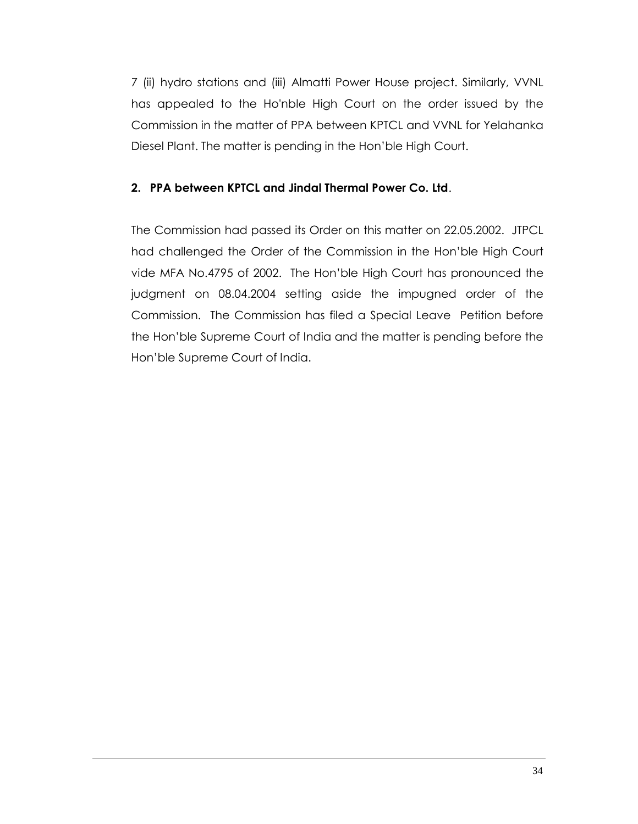7 (ii) hydro stations and (iii) Almatti Power House project. Similarly, VVNL has appealed to the Ho'nble High Court on the order issued by the Commission in the matter of PPA between KPTCL and VVNL for Yelahanka Diesel Plant. The matter is pending in the Hon"ble High Court.

## **2. PPA between KPTCL and Jindal Thermal Power Co. Ltd**.

The Commission had passed its Order on this matter on 22.05.2002. JTPCL had challenged the Order of the Commission in the Hon"ble High Court vide MFA No.4795 of 2002. The Hon"ble High Court has pronounced the judgment on 08.04.2004 setting aside the impugned order of the Commission. The Commission has filed a Special Leave Petition before the Hon"ble Supreme Court of India and the matter is pending before the Hon"ble Supreme Court of India.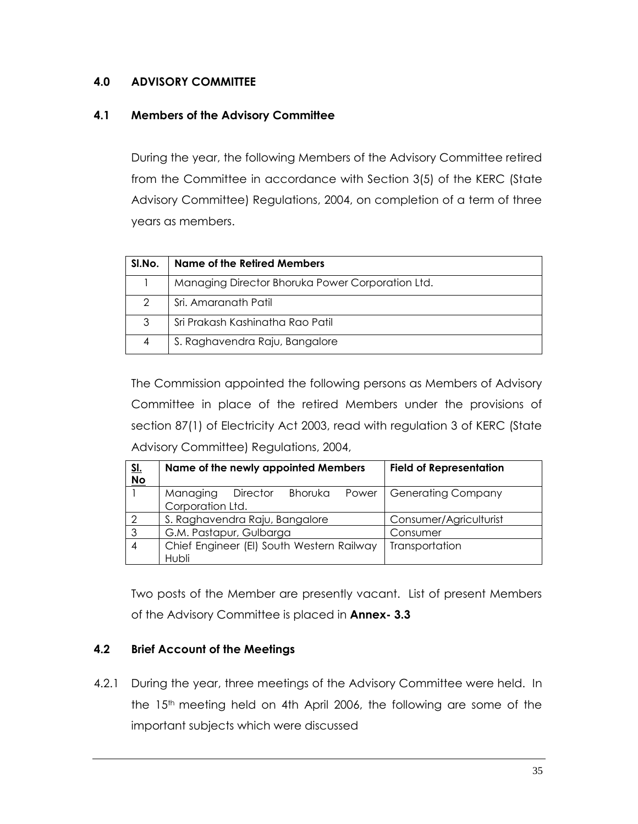### **4.0 ADVISORY COMMITTEE**

### **4.1 Members of the Advisory Committee**

During the year, the following Members of the Advisory Committee retired from the Committee in accordance with Section 3(5) of the KERC (State Advisory Committee) Regulations, 2004, on completion of a term of three years as members.

| SI.No. | Name of the Retired Members                      |
|--------|--------------------------------------------------|
|        | Managing Director Bhoruka Power Corporation Ltd. |
| 2      | Sri. Amaranath Patil                             |
| 3      | Sri Prakash Kashinatha Rao Patil                 |
| 4      | S. Raghavendra Raju, Bangalore                   |

The Commission appointed the following persons as Members of Advisory Committee in place of the retired Members under the provisions of section 87(1) of Electricity Act 2003, read with regulation 3 of KERC (State Advisory Committee) Regulations, 2004,

| <u>SI.</u><br>No | Name of the newly appointed Members                          | <b>Field of Representation</b> |
|------------------|--------------------------------------------------------------|--------------------------------|
|                  | Bhoruka<br>Managing<br>Director<br>Power<br>Corporation Ltd. | Generating Company             |
|                  | S. Raghavendra Raju, Bangalore                               | Consumer/Agriculturist         |
| 3                | G.M. Pastapur, Gulbarga                                      | Consumer                       |
|                  | Chief Engineer (EI) South Western Railway                    | Transportation                 |
|                  | Hubli                                                        |                                |

Two posts of the Member are presently vacant. List of present Members of the Advisory Committee is placed in **Annex- 3.3**

## **4.2 Brief Account of the Meetings**

4.2.1 During the year, three meetings of the Advisory Committee were held. In the 15<sup>th</sup> meeting held on 4th April 2006, the following are some of the important subjects which were discussed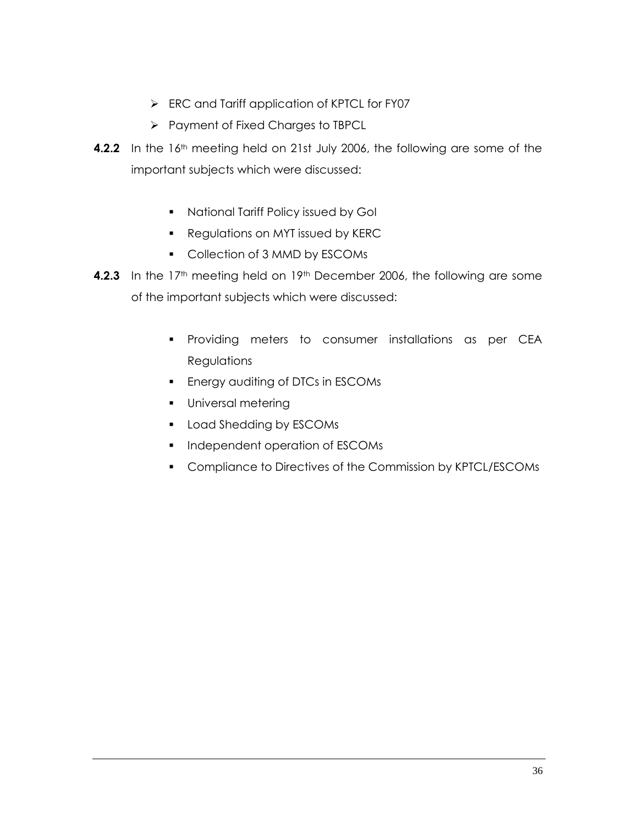- ERC and Tariff application of KPTCL for FY07
- Payment of Fixed Charges to TBPCL
- **4.2.2** In the 16<sup>th</sup> meeting held on 21st July 2006, the following are some of the important subjects which were discussed:
	- **National Tariff Policy issued by Goll**
	- **Regulations on MYT issued by KERC**
	- **Collection of 3 MMD by ESCOMs**
- **4.2.3** In the 17<sup>th</sup> meeting held on 19<sup>th</sup> December 2006, the following are some of the important subjects which were discussed:
	- **Providing meters to consumer installations as per CEA Regulations**
	- **Energy auditing of DTCs in ESCOMs**
	- **Universal metering**
	- **Load Shedding by ESCOMs**
	- **Independent operation of ESCOMs**
	- **Compliance to Directives of the Commission by KPTCL/ESCOMs**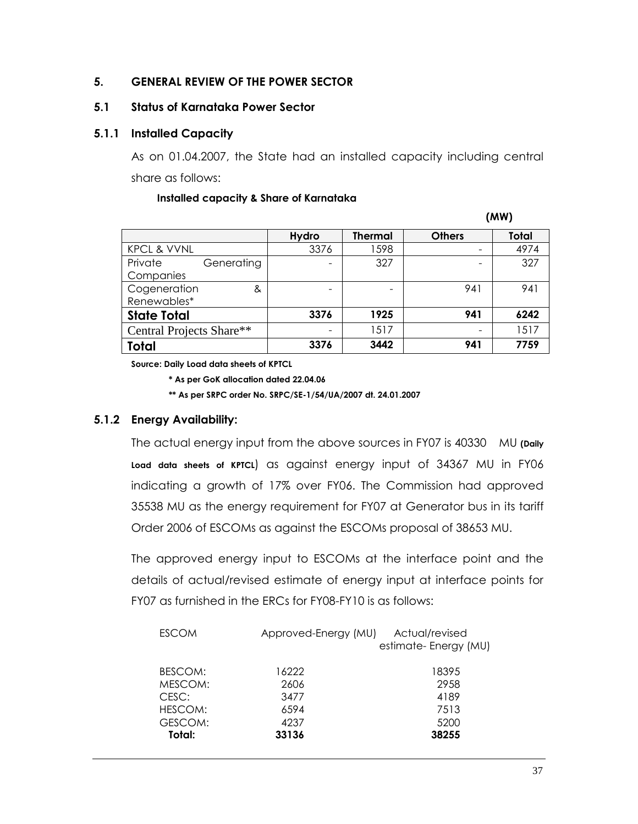## **5. GENERAL REVIEW OF THE POWER SECTOR**

## **5.1 Status of Karnataka Power Sector**

## **5.1.1 Installed Capacity**

As on 01.04.2007, the State had an installed capacity including central share as follows:

#### **Installed capacity & Share of Karnataka**

 **(MW)**

|                          | <b>Hydro</b> | <b>Thermal</b> | <b>Others</b>            | Total |
|--------------------------|--------------|----------------|--------------------------|-------|
| <b>KPCL &amp; VVNL</b>   | 3376         | 1598           | $\qquad \qquad$          | 4974  |
| Private<br>Generating    | ۰            | 327            | $\qquad \qquad$          | 327   |
| Companies                |              |                |                          |       |
| Cogeneration<br>&        | -            |                | 941                      | 941   |
| Renewables*              |              |                |                          |       |
| <b>State Total</b>       | 3376         | 1925           | 941                      | 6242  |
| Central Projects Share** | -            | 1517           | $\overline{\phantom{0}}$ | 1517  |
| <b>Total</b>             | 3376         | 3442           | 941                      | 7759  |

**Source: Daily Load data sheets of KPTCL**

**\* As per GoK allocation dated 22.04.06**

**\*\* As per SRPC order No. SRPC/SE-1/54/UA/2007 dt. 24.01.2007**

## **5.1.2 Energy Availability:**

The actual energy input from the above sources in FY07 is 40330 MU **(Daily Load data sheets of KPTCL**) as against energy input of 34367 MU in FY06 indicating a growth of 17% over FY06. The Commission had approved 35538 MU as the energy requirement for FY07 at Generator bus in its tariff Order 2006 of ESCOMs as against the ESCOMs proposal of 38653 MU.

The approved energy input to ESCOMs at the interface point and the details of actual/revised estimate of energy input at interface points for FY07 as furnished in the ERCs for FY08-FY10 is as follows:

| Actual/revised<br>Approved-Energy (MU)<br><b>ESCOM</b><br>estimate-Energy (MU) |  |
|--------------------------------------------------------------------------------|--|
| BESCOM:<br>16222<br>18395                                                      |  |
| 2958<br>MESCOM:<br>2606                                                        |  |
| CESC:<br>4189<br>3477                                                          |  |
| 7513<br>HESCOM:<br>6594                                                        |  |
| 5200<br>GESCOM:<br>4237                                                        |  |
| Total:<br>38255<br>33136                                                       |  |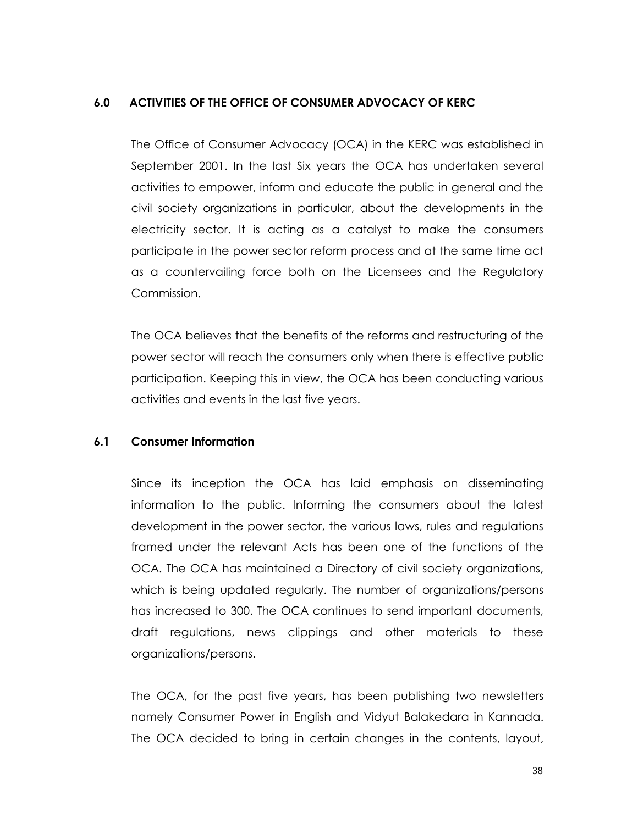## **6.0 ACTIVITIES OF THE OFFICE OF CONSUMER ADVOCACY OF KERC**

The Office of Consumer Advocacy (OCA) in the KERC was established in September 2001. In the last Six years the OCA has undertaken several activities to empower, inform and educate the public in general and the civil society organizations in particular, about the developments in the electricity sector. It is acting as a catalyst to make the consumers participate in the power sector reform process and at the same time act as a countervailing force both on the Licensees and the Regulatory Commission.

The OCA believes that the benefits of the reforms and restructuring of the power sector will reach the consumers only when there is effective public participation. Keeping this in view, the OCA has been conducting various activities and events in the last five years.

#### **6.1 Consumer Information**

Since its inception the OCA has laid emphasis on disseminating information to the public. Informing the consumers about the latest development in the power sector, the various laws, rules and regulations framed under the relevant Acts has been one of the functions of the OCA. The OCA has maintained a Directory of civil society organizations, which is being updated regularly. The number of organizations/persons has increased to 300. The OCA continues to send important documents, draft regulations, news clippings and other materials to these organizations/persons.

The OCA, for the past five years, has been publishing two newsletters namely Consumer Power in English and Vidyut Balakedara in Kannada. The OCA decided to bring in certain changes in the contents, layout,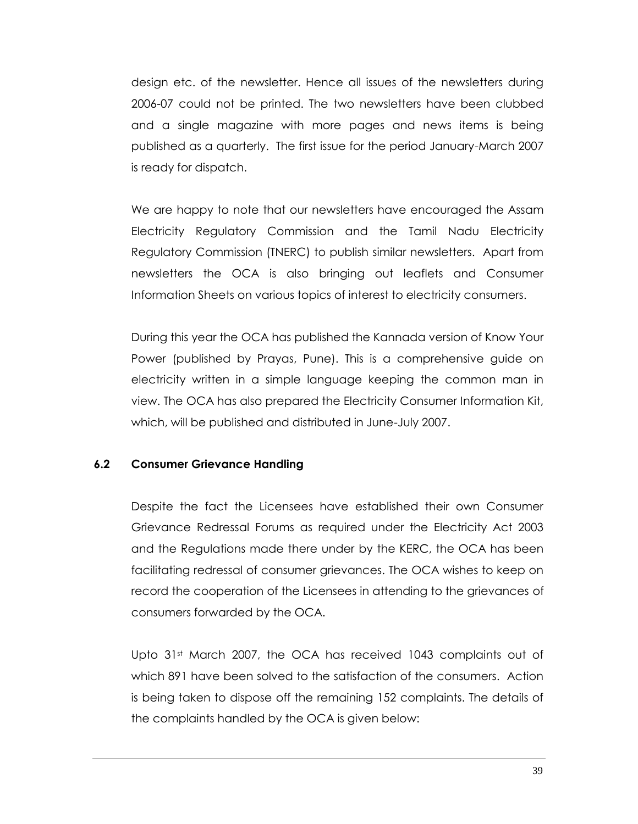design etc. of the newsletter. Hence all issues of the newsletters during 2006-07 could not be printed. The two newsletters have been clubbed and a single magazine with more pages and news items is being published as a quarterly. The first issue for the period January-March 2007 is ready for dispatch.

We are happy to note that our newsletters have encouraged the Assam Electricity Regulatory Commission and the Tamil Nadu Electricity Regulatory Commission (TNERC) to publish similar newsletters. Apart from newsletters the OCA is also bringing out leaflets and Consumer Information Sheets on various topics of interest to electricity consumers.

During this year the OCA has published the Kannada version of Know Your Power (published by Prayas, Pune). This is a comprehensive guide on electricity written in a simple language keeping the common man in view. The OCA has also prepared the Electricity Consumer Information Kit, which, will be published and distributed in June-July 2007.

## **6.2 Consumer Grievance Handling**

Despite the fact the Licensees have established their own Consumer Grievance Redressal Forums as required under the Electricity Act 2003 and the Regulations made there under by the KERC, the OCA has been facilitating redressal of consumer grievances. The OCA wishes to keep on record the cooperation of the Licensees in attending to the grievances of consumers forwarded by the OCA.

Upto 31<sup>st</sup> March 2007, the OCA has received 1043 complaints out of which 891 have been solved to the satisfaction of the consumers. Action is being taken to dispose off the remaining 152 complaints. The details of the complaints handled by the OCA is given below: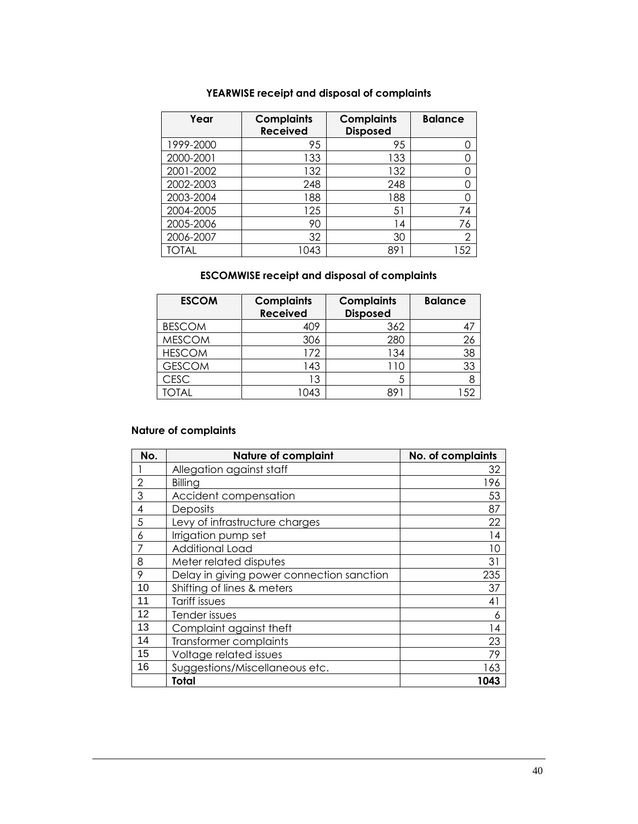## **YEARWISE receipt and disposal of complaints**

| Year      | <b>Complaints</b><br><b>Received</b> | <b>Complaints</b><br><b>Disposed</b> | <b>Balance</b> |
|-----------|--------------------------------------|--------------------------------------|----------------|
| 1999-2000 | 95                                   | 95                                   |                |
| 2000-2001 | 133                                  | 133                                  |                |
| 2001-2002 | 132                                  | 132                                  |                |
| 2002-2003 | 248                                  | 248                                  |                |
| 2003-2004 | 188                                  | 188                                  |                |
| 2004-2005 | 125                                  | 51                                   | 74             |
| 2005-2006 | 90                                   | 14                                   | 76             |
| 2006-2007 | 32                                   | 30                                   | $\overline{2}$ |
| TOTAL     | 1043                                 | 89'                                  | 152            |

#### **ESCOMWISE receipt and disposal of complaints**

| <b>ESCOM</b>  | <b>Complaints</b><br><b>Received</b> | <b>Complaints</b><br><b>Disposed</b> | <b>Balance</b> |
|---------------|--------------------------------------|--------------------------------------|----------------|
| <b>BESCOM</b> | 409                                  | 362                                  |                |
| <b>MESCOM</b> | 306                                  | 280                                  | 26             |
| <b>HESCOM</b> | 172                                  | 134                                  | 38             |
| <b>GESCOM</b> | 143                                  | -10                                  | 33             |
| <b>CESC</b>   | 13                                   | 5                                    |                |
| 'OTAL         | 1043                                 | 89                                   |                |

#### **Nature of complaints**

| No.            | <b>Nature of complaint</b>                | No. of complaints |
|----------------|-------------------------------------------|-------------------|
|                | Allegation against staff                  | 32                |
| $\overline{2}$ | Billing                                   | 196               |
| 3              | Accident compensation                     | 53                |
| 4              | Deposits                                  | 87                |
| 5              | Levy of infrastructure charges            | 22                |
| 6              | Irrigation pump set                       | 14                |
|                | <b>Additional Load</b>                    | 10                |
| 8              | Meter related disputes                    | 31                |
| 9              | Delay in giving power connection sanction | 235               |
| 10             | Shifting of lines & meters                | 37                |
| 11             | Tariff issues                             | 41                |
| 12             | Tender issues                             | 6                 |
| 13             | Complaint against theft                   | 14                |
| 14             | <b>Transformer complaints</b>             | 23                |
| 15             | Voltage related issues                    | 79                |
| 16             | Suggestions/Miscellaneous etc.            | 163               |
|                | Total                                     | 1043              |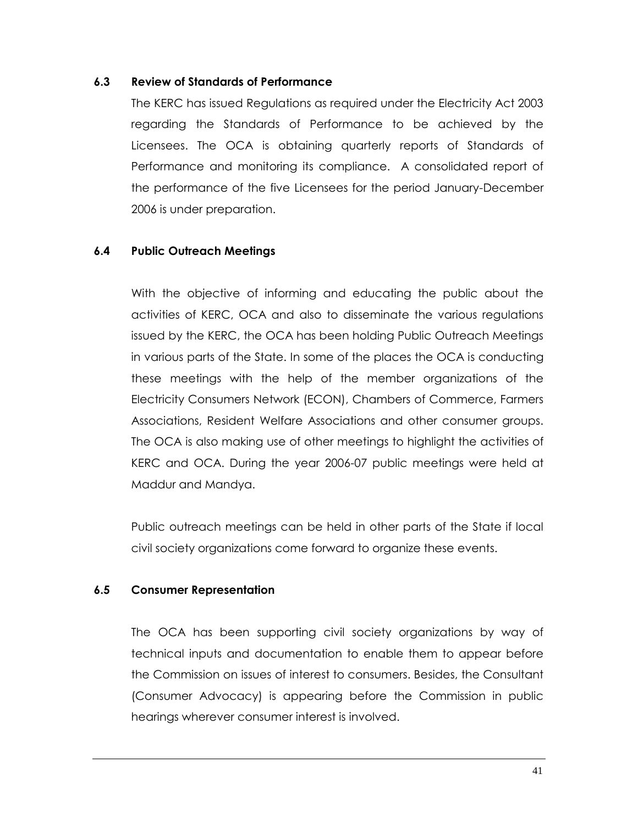#### **6.3 Review of Standards of Performance**

The KERC has issued Regulations as required under the Electricity Act 2003 regarding the Standards of Performance to be achieved by the Licensees. The OCA is obtaining quarterly reports of Standards of Performance and monitoring its compliance. A consolidated report of the performance of the five Licensees for the period January-December 2006 is under preparation.

## **6.4 Public Outreach Meetings**

With the objective of informing and educating the public about the activities of KERC, OCA and also to disseminate the various regulations issued by the KERC, the OCA has been holding Public Outreach Meetings in various parts of the State. In some of the places the OCA is conducting these meetings with the help of the member organizations of the Electricity Consumers Network (ECON), Chambers of Commerce, Farmers Associations, Resident Welfare Associations and other consumer groups. The OCA is also making use of other meetings to highlight the activities of KERC and OCA. During the year 2006-07 public meetings were held at Maddur and Mandya.

Public outreach meetings can be held in other parts of the State if local civil society organizations come forward to organize these events.

#### **6.5 Consumer Representation**

The OCA has been supporting civil society organizations by way of technical inputs and documentation to enable them to appear before the Commission on issues of interest to consumers. Besides, the Consultant (Consumer Advocacy) is appearing before the Commission in public hearings wherever consumer interest is involved.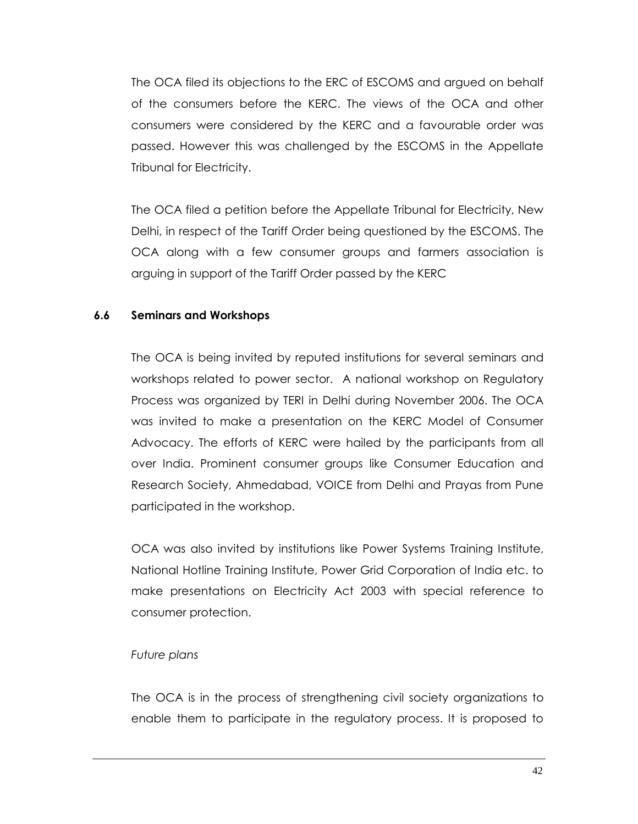The OCA filed its objections to the ERC of ESCOMS and argued on behalf of the consumers before the KERC. The views of the OCA and other consumers were considered by the KERC and a favourable order was passed. However this was challenged by the ESCOMS in the Appellate Tribunal for Electricity.

The OCA filed a petition before the Appellate Tribunal for Electricity, New Delhi, in respect of the Tariff Order being questioned by the ESCOMS. The OCA along with a few consumer groups and farmers association is arguing in support of the Tariff Order passed by the KERC

#### **6.6 Seminars and Workshops**

The OCA is being invited by reputed institutions for several seminars and workshops related to power sector. A national workshop on Regulatory Process was organized by TERI in Delhi during November 2006. The OCA was invited to make a presentation on the KERC Model of Consumer Advocacy. The efforts of KERC were hailed by the participants from all over India. Prominent consumer groups like Consumer Education and Research Society, Ahmedabad, VOICE from Delhi and Prayas from Pune participated in the workshop.

OCA was also invited by institutions like Power Systems Training Institute, National Hotline Training Institute, Power Grid Corporation of India etc. to make presentations on Electricity Act 2003 with special reference to consumer protection.

#### *Future plans*

The OCA is in the process of strengthening civil society organizations to enable them to participate in the regulatory process. It is proposed to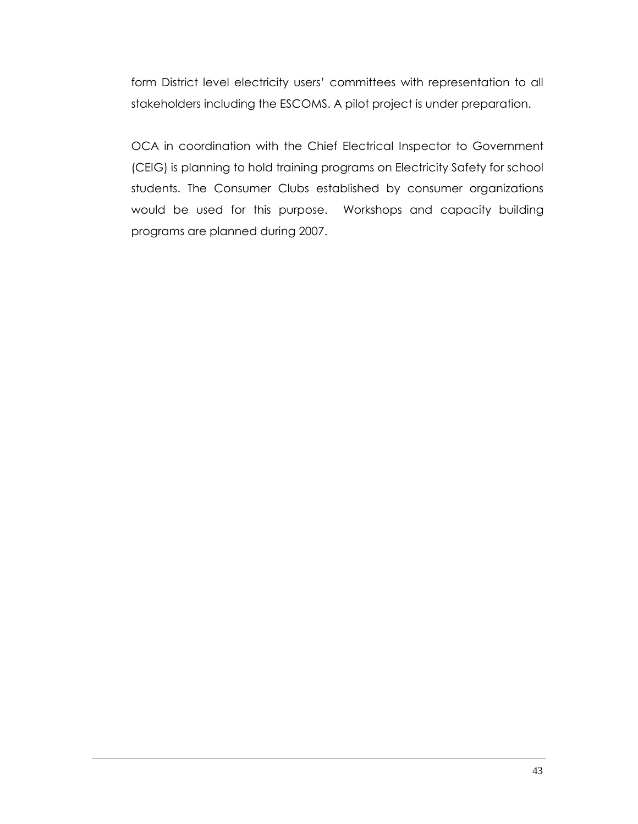form District level electricity users" committees with representation to all stakeholders including the ESCOMS. A pilot project is under preparation.

OCA in coordination with the Chief Electrical Inspector to Government (CEIG) is planning to hold training programs on Electricity Safety for school students. The Consumer Clubs established by consumer organizations would be used for this purpose. Workshops and capacity building programs are planned during 2007.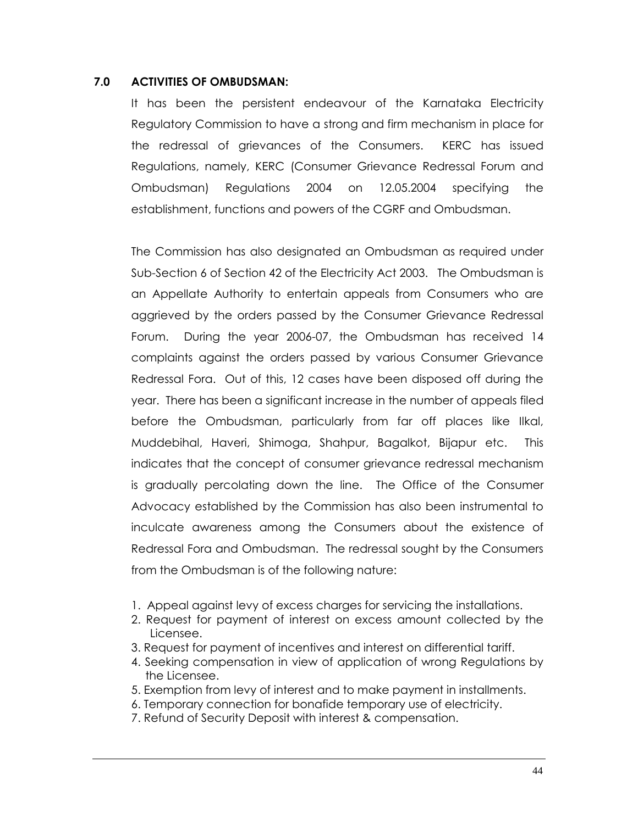#### **7.0 ACTIVITIES OF OMBUDSMAN:**

It has been the persistent endeavour of the Karnataka Electricity Regulatory Commission to have a strong and firm mechanism in place for the redressal of grievances of the Consumers. KERC has issued Regulations, namely, KERC (Consumer Grievance Redressal Forum and Ombudsman) Regulations 2004 on 12.05.2004 specifying the establishment, functions and powers of the CGRF and Ombudsman.

The Commission has also designated an Ombudsman as required under Sub-Section 6 of Section 42 of the Electricity Act 2003. The Ombudsman is an Appellate Authority to entertain appeals from Consumers who are aggrieved by the orders passed by the Consumer Grievance Redressal Forum. During the year 2006-07, the Ombudsman has received 14 complaints against the orders passed by various Consumer Grievance Redressal Fora. Out of this, 12 cases have been disposed off during the year. There has been a significant increase in the number of appeals filed before the Ombudsman, particularly from far off places like Ilkal, Muddebihal, Haveri, Shimoga, Shahpur, Bagalkot, Bijapur etc. This indicates that the concept of consumer grievance redressal mechanism is gradually percolating down the line. The Office of the Consumer Advocacy established by the Commission has also been instrumental to inculcate awareness among the Consumers about the existence of Redressal Fora and Ombudsman. The redressal sought by the Consumers from the Ombudsman is of the following nature:

- 1. Appeal against levy of excess charges for servicing the installations.
- 2. Request for payment of interest on excess amount collected by the Licensee.
- 3. Request for payment of incentives and interest on differential tariff.
- 4. Seeking compensation in view of application of wrong Regulations by the Licensee.
- 5. Exemption from levy of interest and to make payment in installments.
- 6. Temporary connection for bonafide temporary use of electricity.
- 7. Refund of Security Deposit with interest & compensation.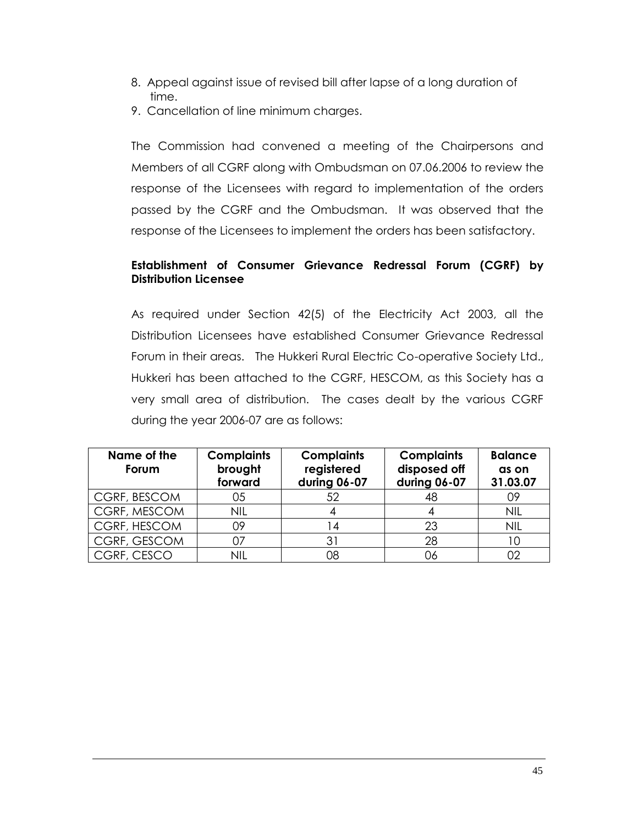- 8. Appeal against issue of revised bill after lapse of a long duration of time.
- 9. Cancellation of line minimum charges.

The Commission had convened a meeting of the Chairpersons and Members of all CGRF along with Ombudsman on 07.06.2006 to review the response of the Licensees with regard to implementation of the orders passed by the CGRF and the Ombudsman. It was observed that the response of the Licensees to implement the orders has been satisfactory.

## **Establishment of Consumer Grievance Redressal Forum (CGRF) by Distribution Licensee**

As required under Section 42(5) of the Electricity Act 2003, all the Distribution Licensees have established Consumer Grievance Redressal Forum in their areas. The Hukkeri Rural Electric Co-operative Society Ltd., Hukkeri has been attached to the CGRF, HESCOM, as this Society has a very small area of distribution. The cases dealt by the various CGRF during the year 2006-07 are as follows:

| Name of the<br>Forum | <b>Complaints</b><br>brought<br>forward | <b>Complaints</b><br>registered<br>during 06-07 | <b>Complaints</b><br>disposed off<br>during 06-07 | <b>Balance</b><br>as on<br>31.03.07 |
|----------------------|-----------------------------------------|-------------------------------------------------|---------------------------------------------------|-------------------------------------|
| CGRF, BESCOM         | 05                                      | 52                                              | 48                                                | 09                                  |
| CGRF, MESCOM         | <b>NIL</b>                              |                                                 |                                                   | <b>NIL</b>                          |
| CGRF, HESCOM         | 09                                      | $\overline{4}$                                  | 23                                                | <b>NIL</b>                          |
| CGRF, GESCOM         | 07                                      | 31                                              | 28                                                |                                     |
| CGRF, CESCO          | nil                                     | 08                                              | ەر                                                |                                     |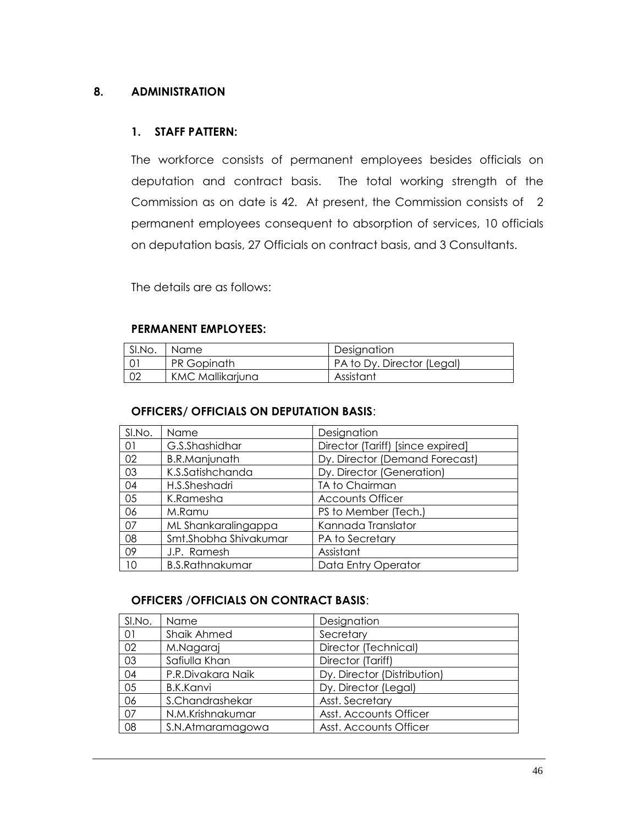#### **8. ADMINISTRATION**

#### **1. STAFF PATTERN:**

The workforce consists of permanent employees besides officials on deputation and contract basis. The total working strength of the Commission as on date is 42. At present, the Commission consists of 2 permanent employees consequent to absorption of services, 10 officials on deputation basis, 27 Officials on contract basis, and 3 Consultants.

The details are as follows:

#### **PERMANENT EMPLOYEES:**

| SI.No. | Name               | Designation                |
|--------|--------------------|----------------------------|
|        | <b>PR Gopinath</b> | PA to Dy. Director (Legal) |
| 02     | KMC Mallikarjuna   | Assistant                  |

#### **OFFICERS/ OFFICIALS ON DEPUTATION BASIS**:

| SI.No. | Name                   | Designation                       |
|--------|------------------------|-----------------------------------|
| 01     | G.S.Shashidhar         | Director (Tariff) [since expired] |
| 02     | <b>B.R.Manjunath</b>   | Dy. Director (Demand Forecast)    |
| 03     | K.S.Satishchanda       | Dy. Director (Generation)         |
| 04     | H.S.Sheshadri          | TA to Chairman                    |
| 05     | K.Ramesha              | <b>Accounts Officer</b>           |
| 06     | M.Ramu                 | PS to Member (Tech.)              |
| 07     | ML Shankaralingappa    | Kannada Translator                |
| 08     | Smt.Shobha Shivakumar  | PA to Secretary                   |
| 09     | J.P. Ramesh            | Assistant                         |
| 10     | <b>B.S.Rathnakumar</b> | Data Entry Operator               |

## **OFFICERS** /**OFFICIALS ON CONTRACT BASIS**:

| SI.No. | Name              | Designation                 |
|--------|-------------------|-----------------------------|
| 01     | Shaik Ahmed       | Secretary                   |
| 02     | M.Nagaraj         | Director (Technical)        |
| 03     | Safiulla Khan     | Director (Tariff)           |
| 04     | P.R.Divakara Naik | Dy. Director (Distribution) |
| 05     | <b>B.K.Kanvi</b>  | Dy. Director (Legal)        |
| 06     | S.Chandrashekar   | Asst. Secretary             |
| 07     | N.M.Krishnakumar  | Asst. Accounts Officer      |
| 08     | S.N.Atmaramagowa  | Asst. Accounts Officer      |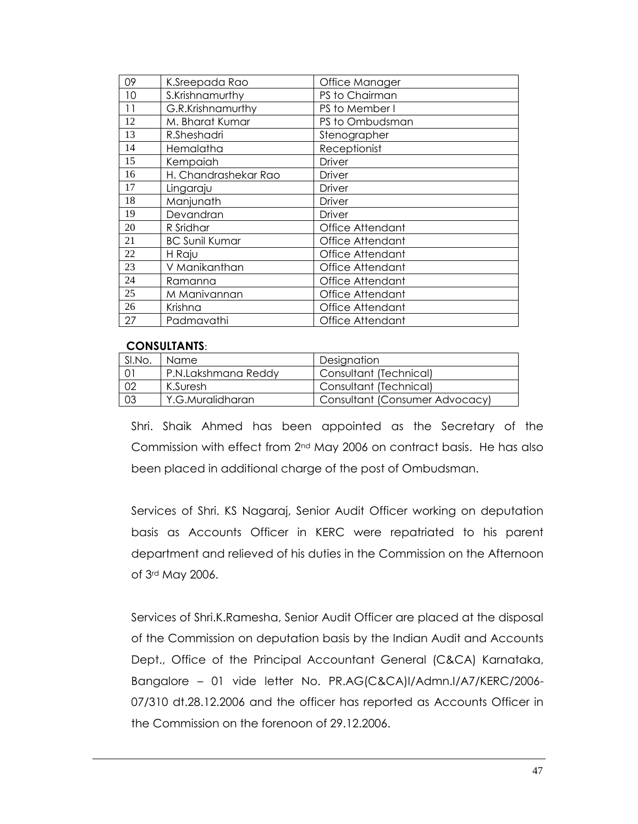| 09 | K.Sreepada Rao        | Office Manager   |
|----|-----------------------|------------------|
| 10 | S.Krishnamurthy       | PS to Chairman   |
| 11 | G.R.Krishnamurthy     | PS to Member I   |
| 12 | M. Bharat Kumar       | PS to Ombudsman  |
| 13 | R.Sheshadri           | Stenographer     |
| 14 | Hemalatha             | Receptionist     |
| 15 | Kempaiah              | Driver           |
| 16 | H. Chandrashekar Rao  | Driver           |
| 17 | Lingaraju             | Driver           |
| 18 | Manjunath             | Driver           |
| 19 | Devandran             | Driver           |
| 20 | R Sridhar             | Office Attendant |
| 21 | <b>BC Sunil Kumar</b> | Office Attendant |
| 22 | H Raju                | Office Attendant |
| 23 | V Manikanthan         | Office Attendant |
| 24 | Ramanna               | Office Attendant |
| 25 | M Manivannan          | Office Attendant |
| 26 | Krishna               | Office Attendant |
| 27 | Padmavathi            | Office Attendant |
|    |                       |                  |

#### **CONSULTANTS**:

| SI.No. | Name.               | Designation                    |
|--------|---------------------|--------------------------------|
| 01     | P.N.Lakshmana Reddy | Consultant (Technical)         |
| 02     | K.Suresh            | Consultant (Technical)         |
| 03     | Y.G.Muralidharan    | Consultant (Consumer Advocacy) |

Shri. Shaik Ahmed has been appointed as the Secretary of the Commission with effect from 2<sup>nd</sup> May 2006 on contract basis. He has also been placed in additional charge of the post of Ombudsman.

Services of Shri. KS Nagaraj, Senior Audit Officer working on deputation basis as Accounts Officer in KERC were repatriated to his parent department and relieved of his duties in the Commission on the Afternoon of 3rd May 2006.

Services of Shri.K.Ramesha, Senior Audit Officer are placed at the disposal of the Commission on deputation basis by the Indian Audit and Accounts Dept., Office of the Principal Accountant General (C&CA) Karnataka, Bangalore – 01 vide letter No. PR.AG(C&CA)I/Admn.I/A7/KERC/2006- 07/310 dt.28.12.2006 and the officer has reported as Accounts Officer in the Commission on the forenoon of 29.12.2006.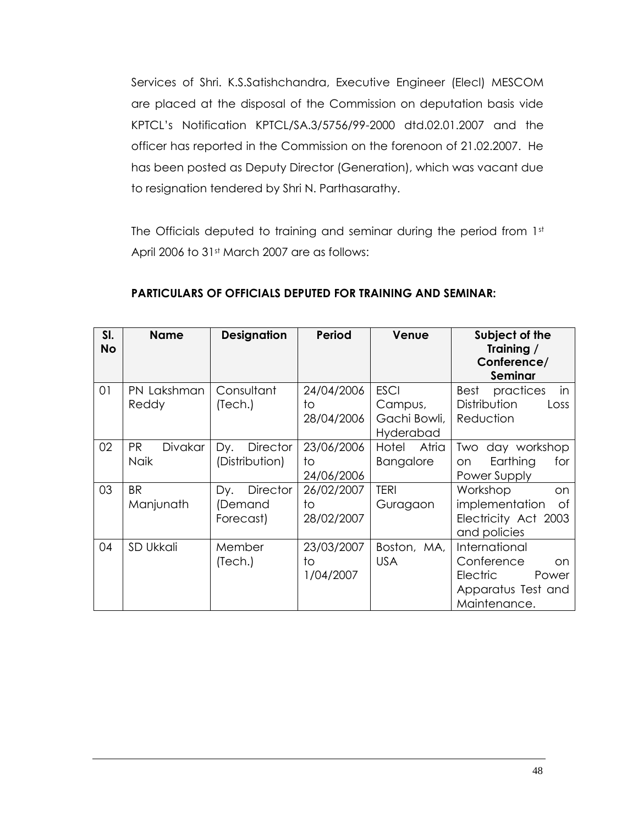Services of Shri. K.S.Satishchandra, Executive Engineer (Elecl) MESCOM are placed at the disposal of the Commission on deputation basis vide KPTCL"s Notification KPTCL/SA.3/5756/99-2000 dtd.02.01.2007 and the officer has reported in the Commission on the forenoon of 21.02.2007. He has been posted as Deputy Director (Generation), which was vacant due to resignation tendered by Shri N. Parthasarathy.

The Officials deputed to training and seminar during the period from 1st April 2006 to 31st March 2007 are as follows:

| SI.<br><b>No</b> | <b>Name</b>                         | <b>Designation</b>                       | <b>Period</b>                  | Venue                                               | Subject of the<br>Training /<br>Conference/<br>Seminar                                               |
|------------------|-------------------------------------|------------------------------------------|--------------------------------|-----------------------------------------------------|------------------------------------------------------------------------------------------------------|
| 01               | PN Lakshman<br>Reddy                | Consultant<br>(Tech.)                    | 24/04/2006<br>to<br>28/04/2006 | <b>ESCI</b><br>Campus,<br>Gachi Bowli,<br>Hyderabad | in<br>practices<br>Best<br>Distribution<br>Loss<br>Reduction                                         |
| 02               | <b>PR</b><br>Divakar<br><b>Naik</b> | Dy.<br><b>Director</b><br>(Distribution) | 23/06/2006<br>to<br>24/06/2006 | Hotel<br>Atria<br><b>Bangalore</b>                  | day workshop<br>Two<br>Earthing<br>for<br>on<br>Power Supply                                         |
| 03               | <b>BR</b><br>Manjunath              | Director<br>Dy.<br>(Demand<br>Forecast)  | 26/02/2007<br>to<br>28/02/2007 | <b>TERI</b><br>Guragaon                             | Workshop<br>on.<br>implementation<br>0f<br>Electricity Act 2003<br>and policies                      |
| 04               | SD Ukkali                           | Member<br>(Tech.)                        | 23/03/2007<br>to<br>1/04/2007  | Boston, MA,<br><b>USA</b>                           | International<br>Conference<br>on.<br><b>Electric</b><br>Power<br>Apparatus Test and<br>Maintenance. |

## **PARTICULARS OF OFFICIALS DEPUTED FOR TRAINING AND SEMINAR:**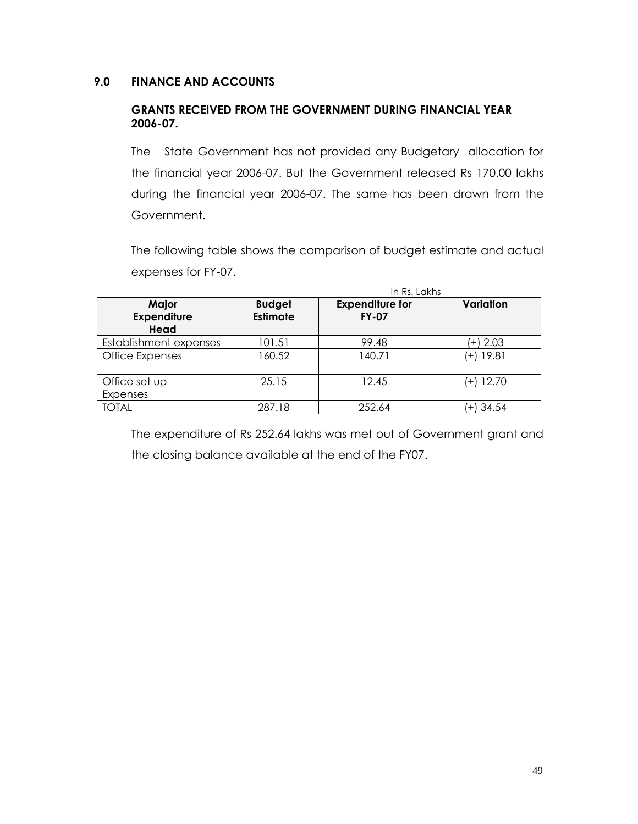## **9.0 FINANCE AND ACCOUNTS**

#### **GRANTS RECEIVED FROM THE GOVERNMENT DURING FINANCIAL YEAR 2006-07.**

The State Government has not provided any Budgetary allocation for the financial year 2006-07. But the Government released Rs 170.00 lakhs during the financial year 2006-07. The same has been drawn from the Government.

The following table shows the comparison of budget estimate and actual expenses for FY-07.

|                                     |                                  | In Rs. Lakhs                           |               |
|-------------------------------------|----------------------------------|----------------------------------------|---------------|
| Major<br><b>Expenditure</b><br>Head | <b>Budget</b><br><b>Estimate</b> | <b>Expenditure for</b><br><b>FY-07</b> | Variation     |
| Establishment expenses              | 101.51                           | 99.48                                  | $(+)$ 2.03    |
| Office Expenses                     | 160.52                           | 140.71                                 | (+) 19.81     |
| Office set up                       | 25.15                            | 12.45                                  | (+) 12.70     |
| Expenses                            |                                  |                                        |               |
| <b>TOTAL</b>                        | 287.18                           | 252.64                                 | 34.54<br>$+1$ |

The expenditure of Rs 252.64 lakhs was met out of Government grant and the closing balance available at the end of the FY07.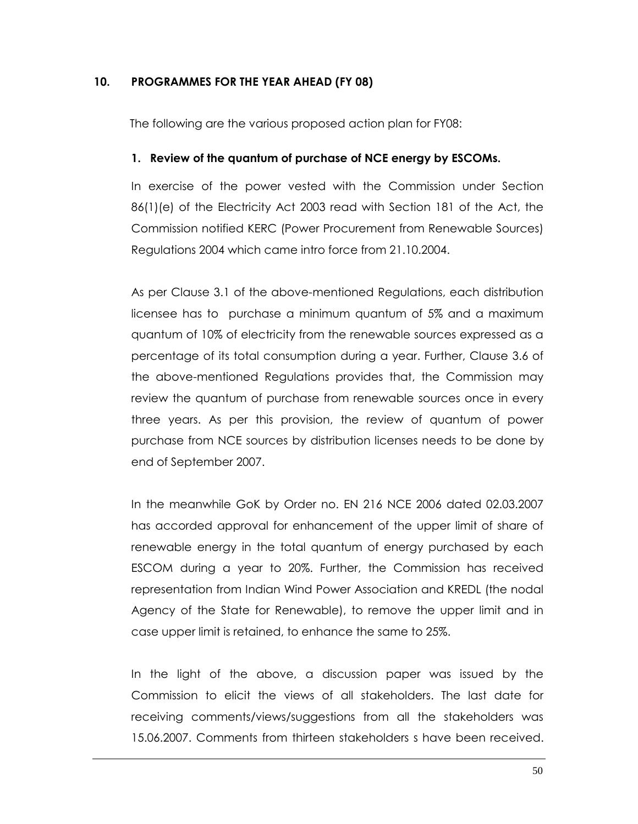## **10. PROGRAMMES FOR THE YEAR AHEAD (FY 08)**

The following are the various proposed action plan for FY08:

## **1. Review of the quantum of purchase of NCE energy by ESCOMs.**

In exercise of the power vested with the Commission under Section 86(1)(e) of the Electricity Act 2003 read with Section 181 of the Act, the Commission notified KERC (Power Procurement from Renewable Sources) Regulations 2004 which came intro force from 21.10.2004.

As per Clause 3.1 of the above-mentioned Regulations, each distribution licensee has to purchase a minimum quantum of 5% and a maximum quantum of 10% of electricity from the renewable sources expressed as a percentage of its total consumption during a year. Further, Clause 3.6 of the above-mentioned Regulations provides that, the Commission may review the quantum of purchase from renewable sources once in every three years. As per this provision, the review of quantum of power purchase from NCE sources by distribution licenses needs to be done by end of September 2007.

In the meanwhile GoK by Order no. EN 216 NCE 2006 dated 02.03.2007 has accorded approval for enhancement of the upper limit of share of renewable energy in the total quantum of energy purchased by each ESCOM during a year to 20%. Further, the Commission has received representation from Indian Wind Power Association and KREDL (the nodal Agency of the State for Renewable), to remove the upper limit and in case upper limit is retained, to enhance the same to 25%.

In the light of the above, a discussion paper was issued by the Commission to elicit the views of all stakeholders. The last date for receiving comments/views/suggestions from all the stakeholders was 15.06.2007. Comments from thirteen stakeholders s have been received.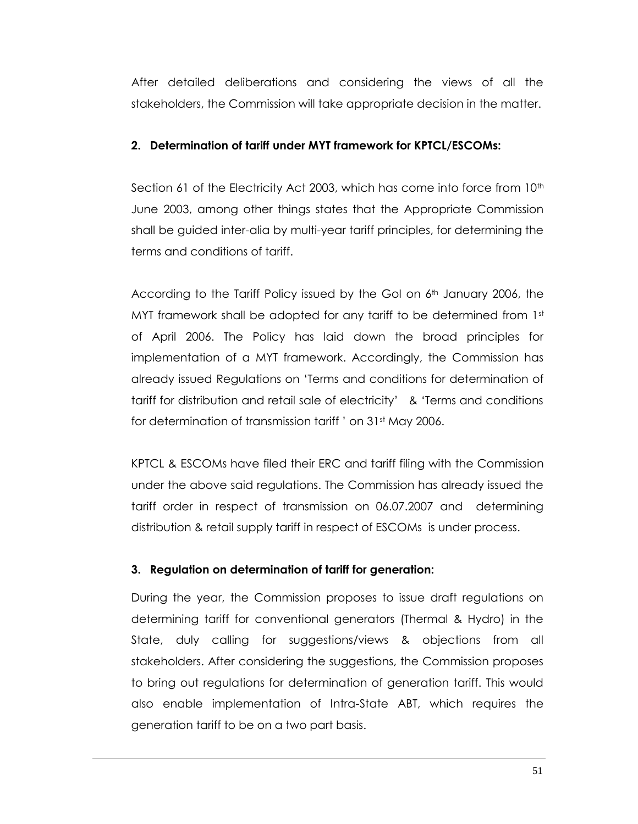After detailed deliberations and considering the views of all the stakeholders, the Commission will take appropriate decision in the matter.

## **2. Determination of tariff under MYT framework for KPTCL/ESCOMs:**

Section 61 of the Electricity Act 2003, which has come into force from 10<sup>th</sup> June 2003, among other things states that the Appropriate Commission shall be guided inter-alia by multi-year tariff principles, for determining the terms and conditions of tariff.

According to the Tariff Policy issued by the GoI on  $6<sup>th</sup>$  January 2006, the MYT framework shall be adopted for any tariff to be determined from  $1<sup>st</sup>$ of April 2006. The Policy has laid down the broad principles for implementation of a MYT framework. Accordingly, the Commission has already issued Regulations on "Terms and conditions for determination of tariff for distribution and retail sale of electricity" & "Terms and conditions for determination of transmission tariff ' on 31<sup>st</sup> May 2006.

KPTCL & ESCOMs have filed their ERC and tariff filing with the Commission under the above said regulations. The Commission has already issued the tariff order in respect of transmission on 06.07.2007 and determining distribution & retail supply tariff in respect of ESCOMs is under process.

## **3. Regulation on determination of tariff for generation:**

During the year, the Commission proposes to issue draft regulations on determining tariff for conventional generators (Thermal & Hydro) in the State, duly calling for suggestions/views & objections from all stakeholders. After considering the suggestions, the Commission proposes to bring out regulations for determination of generation tariff. This would also enable implementation of Intra-State ABT, which requires the generation tariff to be on a two part basis.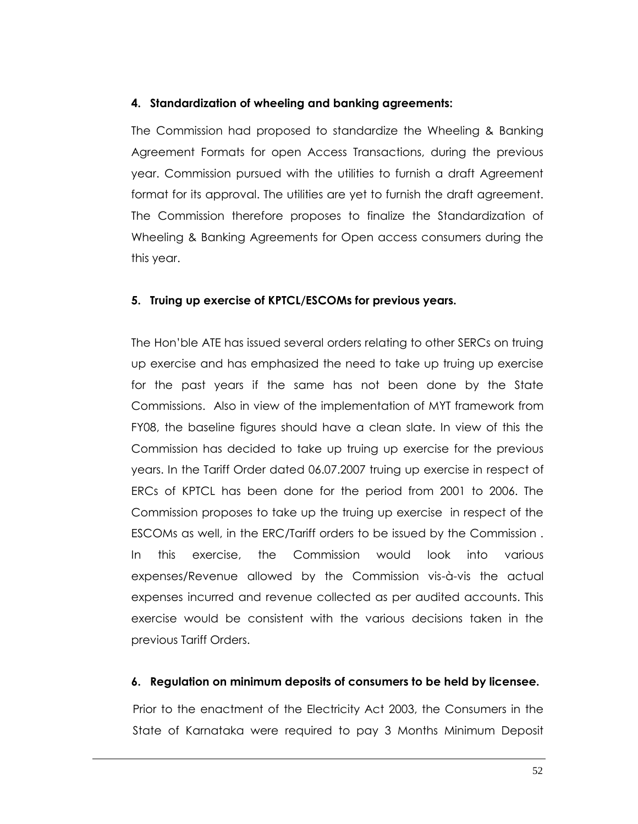#### **4. Standardization of wheeling and banking agreements:**

The Commission had proposed to standardize the Wheeling & Banking Agreement Formats for open Access Transactions, during the previous year. Commission pursued with the utilities to furnish a draft Agreement format for its approval. The utilities are yet to furnish the draft agreement. The Commission therefore proposes to finalize the Standardization of Wheeling & Banking Agreements for Open access consumers during the this year.

#### **5. Truing up exercise of KPTCL/ESCOMs for previous years.**

The Hon"ble ATE has issued several orders relating to other SERCs on truing up exercise and has emphasized the need to take up truing up exercise for the past years if the same has not been done by the State Commissions. Also in view of the implementation of MYT framework from FY08, the baseline figures should have a clean slate. In view of this the Commission has decided to take up truing up exercise for the previous years. In the Tariff Order dated 06.07.2007 truing up exercise in respect of ERCs of KPTCL has been done for the period from 2001 to 2006. The Commission proposes to take up the truing up exercise in respect of the ESCOMs as well, in the ERC/Tariff orders to be issued by the Commission . In this exercise, the Commission would look into various expenses/Revenue allowed by the Commission vis-à-vis the actual expenses incurred and revenue collected as per audited accounts. This exercise would be consistent with the various decisions taken in the previous Tariff Orders.

#### **6. Regulation on minimum deposits of consumers to be held by licensee.**

Prior to the enactment of the Electricity Act 2003, the Consumers in the State of Karnataka were required to pay 3 Months Minimum Deposit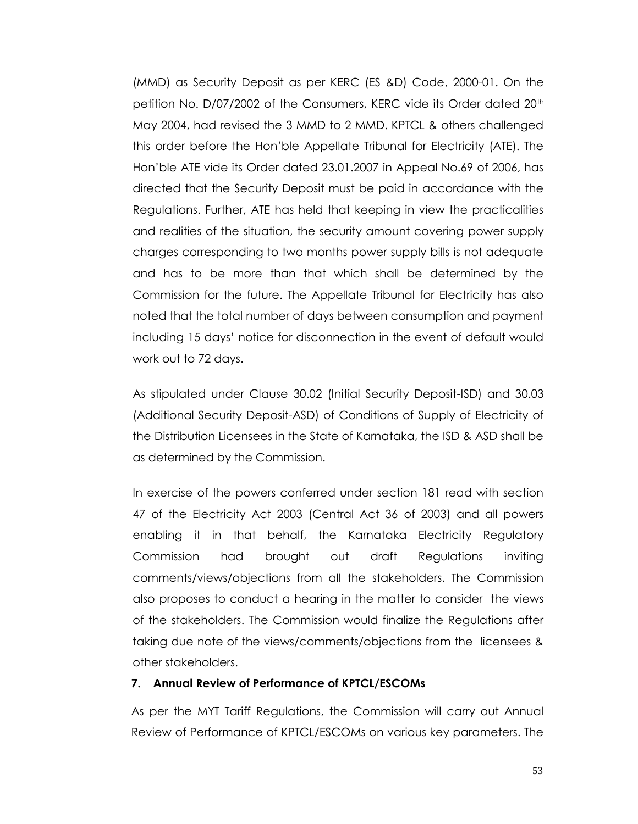(MMD) as Security Deposit as per KERC (ES &D) Code, 2000-01. On the petition No. D/07/2002 of the Consumers, KERC vide its Order dated 20<sup>th</sup> May 2004, had revised the 3 MMD to 2 MMD. KPTCL & others challenged this order before the Hon"ble Appellate Tribunal for Electricity (ATE). The Hon"ble ATE vide its Order dated 23.01.2007 in Appeal No.69 of 2006, has directed that the Security Deposit must be paid in accordance with the Regulations. Further, ATE has held that keeping in view the practicalities and realities of the situation, the security amount covering power supply charges corresponding to two months power supply bills is not adequate and has to be more than that which shall be determined by the Commission for the future. The Appellate Tribunal for Electricity has also noted that the total number of days between consumption and payment including 15 days" notice for disconnection in the event of default would work out to 72 days.

As stipulated under Clause 30.02 (Initial Security Deposit-ISD) and 30.03 (Additional Security Deposit-ASD) of Conditions of Supply of Electricity of the Distribution Licensees in the State of Karnataka, the ISD & ASD shall be as determined by the Commission.

In exercise of the powers conferred under section 181 read with section 47 of the Electricity Act 2003 (Central Act 36 of 2003) and all powers enabling it in that behalf, the Karnataka Electricity Regulatory Commission had brought out draft Regulations inviting comments/views/objections from all the stakeholders. The Commission also proposes to conduct a hearing in the matter to consider the views of the stakeholders. The Commission would finalize the Regulations after taking due note of the views/comments/objections from the licensees & other stakeholders.

#### **7. Annual Review of Performance of KPTCL/ESCOMs**

As per the MYT Tariff Regulations, the Commission will carry out Annual Review of Performance of KPTCL/ESCOMs on various key parameters. The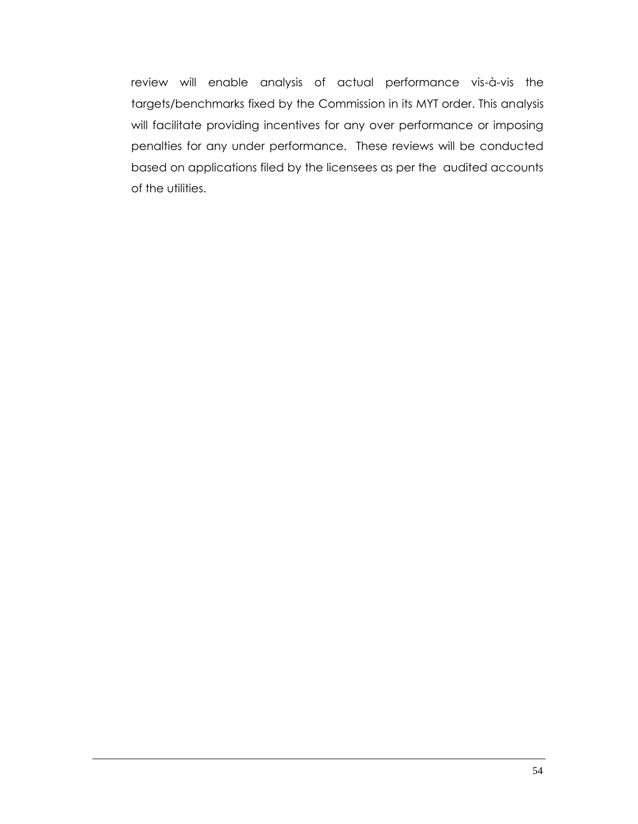review will enable analysis of actual performance vis-à-vis the targets/benchmarks fixed by the Commission in its MYT order. This analysis will facilitate providing incentives for any over performance or imposing penalties for any under performance. These reviews will be conducted based on applications filed by the licensees as per the audited accounts of the utilities.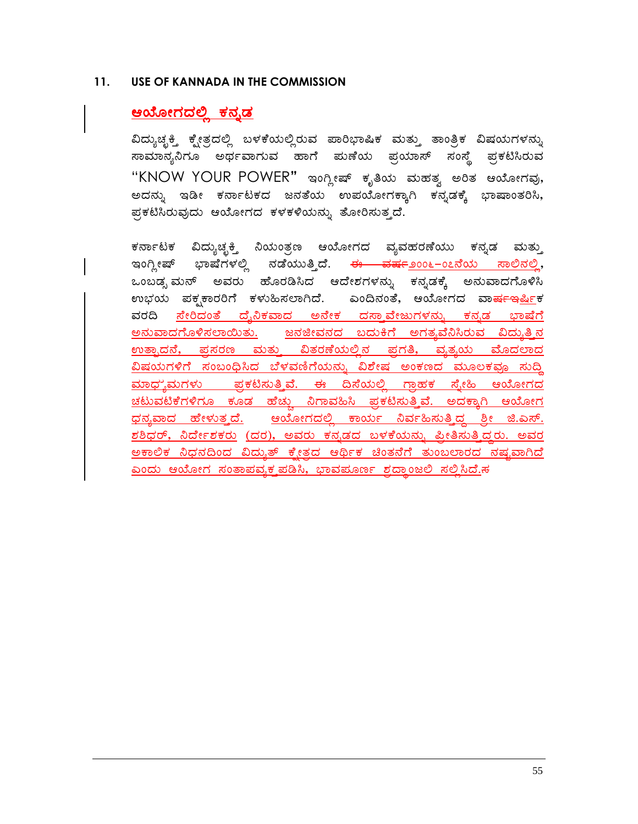#### **11. USE OF KANNADA IN THE COMMISSION**

# <u>ಆಯೋಗದಲ್ಲಿ ಕನ್ನಡ</u>

ವಿದ್ಯುಚ್ಚಕ್ಕಿ ಕ್ಷೇತ್ರದಲ್ಲಿ ಬಳಕೆಯಲ್ಲಿರುವ ಪಾರಿಭಾಷಿಕ ಮತ್ತು ತಾಂತ್ರಿಕ ವಿಷಯಗಳನ್ನು ಸಾಮಾನ್ಯನಿಗೂ ಅರ್ಥವಾಗುವ ಹಾಗೆ ಮಣೆಯ ಪ್ರಯಾಸ್ ಸಂಸ್ಥೆ ಪ್ರಕಟಿಸಿರುವ "KNOW YOUR POWER" ಇಂಗ್ಲೀಷ್ ಕೃತಿಯ ಮಹತ್ವ ಅರಿತ ಆಯೋಗವು, .<br>ಅದನ್ನು ಇಡೀ ಕರ್ನಾಟಕದ ಜನತೆಯ ಉಪಯೋಗಕ್ಕಾಗಿ ಕನ್ಸಡಕ್ಕೆ ಭಾಷಾಂತರಿಸಿ, ಪ್ರಕಟಿಸಿರುವುದು ಆಯೋಗದ ಕಳಕಳಿಯನ್ನು ತೋರಿಸುತ್ತದೆ.

ಕರ್ನಾಟಕ ವಿದ್ಯುಚ್ಛಕ್ತಿ ನಿಯಂತ್ರಣ ಆಯೋಗದ ವ್ಯವಹರಣೆಯು ಕನ್ನಡ ಮತ್ತು ಇಂಗ್ಲೀಷ್ ಭಾಷೆಗಳಲ್ಲಿ ನಡೆಯುತ್ತಿದೆ. <del>ಈ ವರ್ಷ</del>೨೦೦೬–೦೭ನೆಯ <u>ಸಾಲಿನಲ್ಲಿ</u>, ಒಂಬಡ್ಸ ಮನ್ ಅವರು ಹೊರಡಿಸಿದ ಆದೇಶಗಳನ್ನು ಕನ್ನಡಕ್ಕೆ ಅನುವಾದಗೊಳಿಸಿ ಉಭಯ ಪಕ್ಷಕಾರರಿಗೆ ಕಳುಹಿಸಲಾಗಿದೆ. ಎಂದಿನಂತೆ, ಆಯೋಗದ ವಾ<del>ರ್ಷಇ</del>ರ್ಷಿಕ <u>ವರದಿ ಸೇರಿದಂತೆ ದೈನಿಕವಾದ ಅನೇಕ ದಸ್ತಾವೇಜುಗಳನ್ನು ಕನ್ನಡ ಭಾಷೆಗೆ</u> <u>ಅನುವಾದಗೊಳಿಸಲಾಯಿತು. ಜನಜೀವನದ ಬದುಕಿಗೆ ಅಗತ್ಯವೆನಿಸಿರುವ ವಿದ್ಯುತ್ತಿನ</u> <u>ಉತ್ಪಾದನೆ, ಪ್ರಸರಣ ಮತ್ತು ವಿತರಣೆಯಲ್ಲಿನ ಪ್ರಗತಿ, ವ್ಯತ್ಯಯ ಮೊದಲಾದ</u> <u>ವಿಷಯಗಳಿಗೆ ಸಂಬಂಧಿಸಿದ ಬೆಳವಣಿಗೆಯನ್ನು ವಿಶೇಷ ಅಂಕಣದ ಮೂಲಕವೂ ಸುದ್</u>ಧಿ <u>ಮಾಧ್ಯಮಗಳು ಪ್ರಕಟಿಸುತ್ತಿವೆ. ಈ ದಿಸೆಯಲ್ಲಿ ಗಾಹಕ ಸ್ನೇಹಿ ಆಯೋಗದ</u> ಚಟುವಟಿಕೆಗಳಿಗೂ ಕೂಡ ಹೆಚ್ಚು ನಿಗಾವಹಿಸಿ ಪ್ರಕಟಿಸುತ್ತಿವೆ. ಅದಕ್ಕಾಗಿ ಆಯೋಗ ಧನ್ಯವಾದ ಹೇಳುತ್ತದೆ. ಅಯೋಗದಲ್ಲಿ ಕಾರ್ಯ ನಿರ್ವಹಿಸುತ್ತಿದ್ದ ಶ್ರೀ ಜಿ.ಎಸ್.  $\overline{z}$ ಶಿಧರ್, ನಿರ್ದೇಶಕರು (ದರ), ಅವರು ಕನ್ನಡದ ಬಳಕೆಯನ್ನು ಪ್ರೀತಿಸುತ್ತಿದ್ದರು. ಅವರ <u>ಅಕಾಲಿಕ ನಿಧನದಿಂದ ವಿದ್ಯುತ್ ಕ್ಸೇತ್ತದ ಆರ್ಥಿಕ ಚಿಂತನೆಗೆ ತುಂಬಲಾರದ ನಷ್ಟವಾಗಿದೆ</u> <u>ಎಂದು ಆಯೋಗ ಸಂತಾಪವ್ಯಕ್ತಪಡಿಸಿ, ಭಾವಮೂರ್ಣ ಶ್ರದಾಂಜಲಿ ಸಲ್ಲಿಸಿದೆ.<del>ಸ</del></u>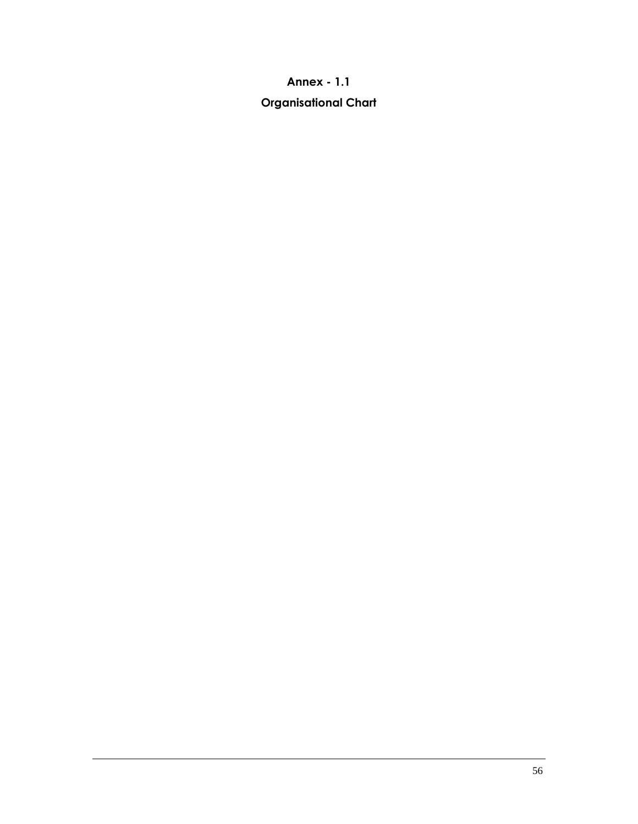# **Annex - 1.1**

# **Organisational Chart**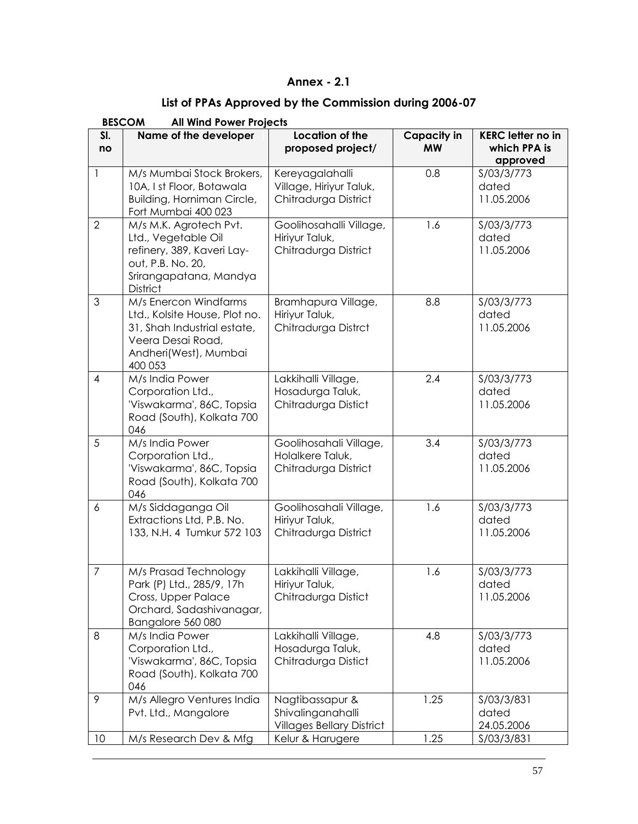## **Annex - 2.1**

# **List of PPAs Approved by the Commission during 2006-07**

|                  | <b>BESCOM</b><br><b>All Wind Power Projects</b>                                                                                                |                                                                          |                          |                                                      |  |  |
|------------------|------------------------------------------------------------------------------------------------------------------------------------------------|--------------------------------------------------------------------------|--------------------------|------------------------------------------------------|--|--|
| SI.<br>no        | Name of the developer                                                                                                                          | <b>Location of the</b><br>proposed project/                              | Capacity in<br><b>MW</b> | <b>KERC letter no in</b><br>which PPA is<br>approved |  |  |
| $\mathbf{1}$     | M/s Mumbai Stock Brokers,<br>10A, I st Floor, Botawala<br>Building, Horniman Circle,<br>Fort Mumbai 400 023                                    | Kereyagalahalli<br>Village, Hiriyur Taluk,<br>Chitradurga District       | 0.8                      | S/03/3/773<br>dated<br>11.05.2006                    |  |  |
| $\overline{2}$   | M/s M.K. Agrotech Pvt.<br>Ltd., Vegetable Oil<br>refinery, 389, Kaveri Lay-<br>out, P.B. No. 20,<br>Srirangapatana, Mandya<br><b>District</b>  | Goolihosahalli Village,<br>Hiriyur Taluk,<br>Chitradurga District        | 1.6                      | S/03/3/773<br>dated<br>11.05.2006                    |  |  |
| 3                | M/s Enercon Windfarms<br>Ltd., Kolsite House, Plot no.<br>31, Shah Industrial estate,<br>Veera Desai Road,<br>Andheri(West), Mumbai<br>400 053 | Bramhapura Village,<br>Hiriyur Taluk,<br>Chitradurga Distrct             | 8.8                      | S/03/3/773<br>dated<br>11.05.2006                    |  |  |
| 4                | M/s India Power<br>Corporation Ltd.,<br>'Viswakarma', 86C, Topsia<br>Road (South), Kolkata 700<br>046                                          | Lakkihalli Village,<br>Hosadurga Taluk,<br>Chitradurga Distict           | 2.4                      | S/03/3/773<br>dated<br>11.05.2006                    |  |  |
| 5                | M/s India Power<br>Corporation Ltd.,<br>'Viswakarma', 86C, Topsia<br>Road (South), Kolkata 700<br>046                                          | Goolihosahali Village,<br>Holalkere Taluk,<br>Chitradurga District       | 3.4                      | S/03/3/773<br>dated<br>11.05.2006                    |  |  |
| $\boldsymbol{6}$ | M/s Siddaganga Oil<br>Extractions Ltd, P.B. No.<br>133, N.H. 4 Tumkur 572 103                                                                  | Goolihosahali Village,<br>Hiriyur Taluk,<br>Chitradurga District         | 1.6                      | S/03/3/773<br>dated<br>11.05.2006                    |  |  |
| $\overline{7}$   | M/s Prasad Technology<br>Park (P) Ltd., 285/9, 17h<br>Cross, Upper Palace<br>Orchard, Sadashivanagar,<br>Bangalore 560 080                     | Lakkihalli Village,<br>Hiriyur Taluk,<br>Chitradurga Distict             | 1.6                      | S/03/3/773<br>dated<br>11.05.2006                    |  |  |
| 8                | M/s India Power<br>Corporation Ltd.,<br>'Viswakarma', 86C, Topsia<br>Road (South), Kolkata 700<br>046                                          | Lakkihalli Village,<br>Hosadurga Taluk,<br>Chitradurga Distict           | 4.8                      | S/03/3/773<br>dated<br>11.05.2006                    |  |  |
| 9                | M/s Allegro Ventures India<br>Pvt. Ltd., Mangalore                                                                                             | Nagtibassapur &<br>Shivalinganahalli<br><b>Villages Bellary District</b> | 1.25                     | S/03/3/831<br>dated<br>24.05.2006                    |  |  |
| 10               | M/s Research Dev & Mfg                                                                                                                         | Kelur & Harugere                                                         | 1.25                     | S/03/3/831                                           |  |  |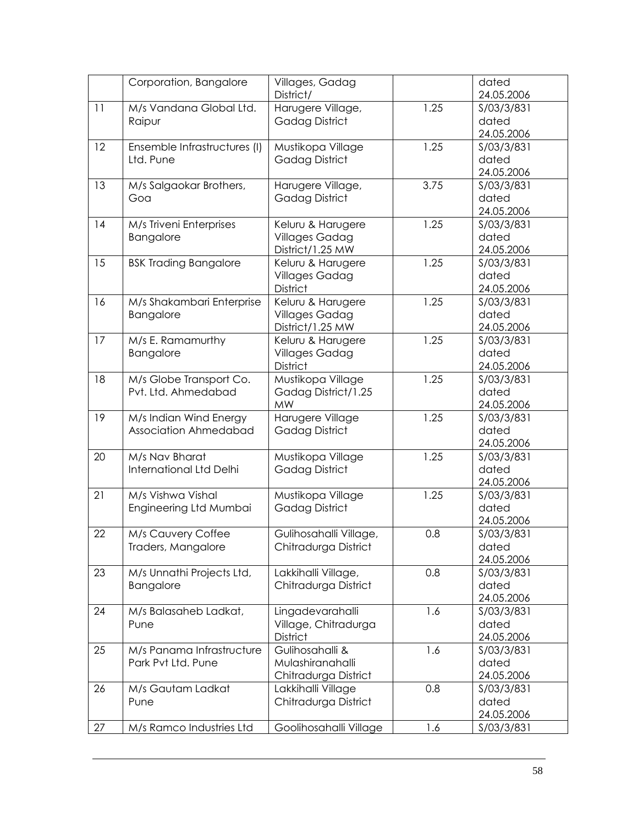| Corporation, Bangalore             | Villages, Gadag        |      | dated      |
|------------------------------------|------------------------|------|------------|
|                                    | District/              |      | 24.05.2006 |
| 11<br>M/s Vandana Global Ltd.      | Harugere Village,      | 1.25 | S/03/3/831 |
| Raipur                             | <b>Gadag District</b>  |      | dated      |
|                                    |                        |      | 24.05.2006 |
| 12<br>Ensemble Infrastructures (I) | Mustikopa Village      | 1.25 | S/03/3/831 |
| Ltd. Pune                          | <b>Gadag District</b>  |      | dated      |
|                                    |                        |      | 24.05.2006 |
| 13<br>M/s Salgaokar Brothers,      | Harugere Village,      | 3.75 | S/03/3/831 |
| Goa                                | <b>Gadag District</b>  |      | dated      |
|                                    |                        |      | 24.05.2006 |
| 14<br>M/s Triveni Enterprises      | Keluru & Harugere      | 1.25 | S/03/3/831 |
| Bangalore                          | <b>Villages Gadag</b>  |      | dated      |
|                                    | District/1.25 MW       |      | 24.05.2006 |
| <b>BSK Trading Bangalore</b><br>15 | Keluru & Harugere      | 1.25 | S/03/3/831 |
|                                    | <b>Villages Gadag</b>  |      | dated      |
|                                    | District               |      | 24.05.2006 |
| 16<br>M/s Shakambari Enterprise    | Keluru & Harugere      | 1.25 | S/03/3/831 |
| Bangalore                          | <b>Villages Gadag</b>  |      | dated      |
|                                    | District/1.25 MW       |      | 24.05.2006 |
| 17<br>M/s E. Ramamurthy            | Keluru & Harugere      | 1.25 | S/03/3/831 |
| Bangalore                          | <b>Villages Gadag</b>  |      | dated      |
|                                    | District               |      | 24.05.2006 |
| 18<br>M/s Globe Transport Co.      | Mustikopa Village      | 1.25 | S/03/3/831 |
| Pvt. Ltd. Ahmedabad                | Gadag District/1.25    |      | dated      |
|                                    | <b>MW</b>              |      | 24.05.2006 |
| 19<br>M/s Indian Wind Energy       | Harugere Village       | 1.25 | S/03/3/831 |
| Association Ahmedabad              | <b>Gadag District</b>  |      | dated      |
|                                    |                        |      | 24.05.2006 |
| 20<br>M/s Nav Bharat               | Mustikopa Village      | 1.25 | S/03/3/831 |
| International Ltd Delhi            | <b>Gadag District</b>  |      | dated      |
|                                    |                        |      | 24.05.2006 |
| 21<br>M/s Vishwa Vishal            | Mustikopa Village      | 1.25 | S/03/3/831 |
| Engineering Ltd Mumbai             | <b>Gadag District</b>  |      | dated      |
|                                    |                        |      | 24.05.2006 |
| 22<br>M/s Cauvery Coffee           | Gulihosahalli Village, | 0.8  | S/03/3/831 |
| Traders, Mangalore                 | Chitradurga District   |      | dated      |
|                                    |                        |      | 24.05.2006 |
| 23<br>M/s Unnathi Projects Ltd,    | Lakkihalli Village,    | 0.8  | S/03/3/831 |
| Bangalore                          | Chitradurga District   |      | dated      |
|                                    |                        |      | 24.05.2006 |
| 24<br>M/s Balasaheb Ladkat,        | Lingadevarahalli       | 1.6  | S/03/3/831 |
| Pune                               | Village, Chitradurga   |      | dated      |
|                                    | <b>District</b>        |      | 24.05.2006 |
| 25<br>M/s Panama Infrastructure    | Gulihosahalli &        | 1.6  | S/03/3/831 |
| Park Pvt Ltd. Pune                 | Mulashiranahalli       |      | dated      |
|                                    | Chitradurga District   |      | 24.05.2006 |
| 26<br>M/s Gautam Ladkat            | Lakkihalli Village     | 0.8  | S/03/3/831 |
| Pune                               | Chitradurga District   |      | dated      |
|                                    |                        |      | 24.05.2006 |
| 27<br>M/s Ramco Industries Ltd     | Goolihosahalli Village | 1.6  | S/03/3/831 |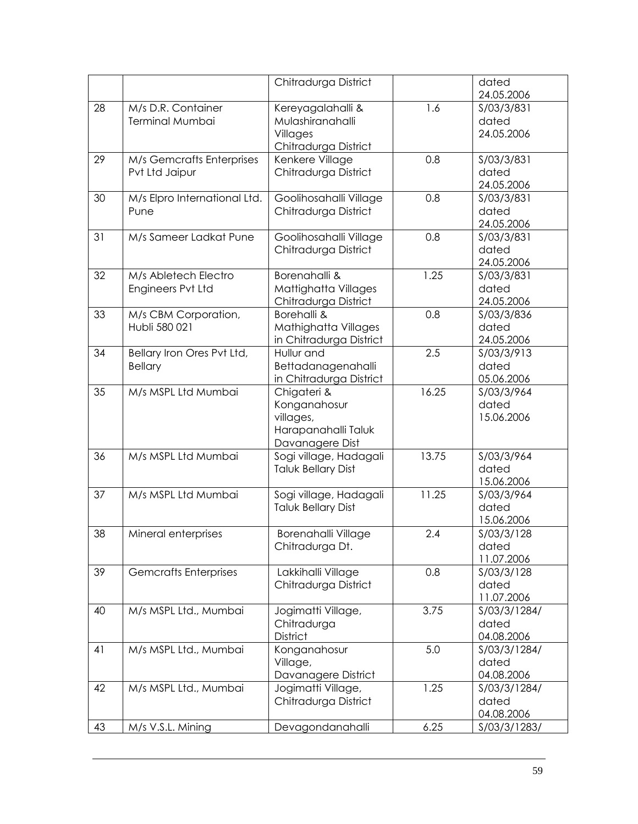|    |                                              | Chitradurga District                                                               |       | dated                               |
|----|----------------------------------------------|------------------------------------------------------------------------------------|-------|-------------------------------------|
|    |                                              |                                                                                    |       | 24.05.2006                          |
| 28 | M/s D.R. Container<br>Terminal Mumbai        | Kereyagalahalli &<br>Mulashiranahalli<br>Villages<br>Chitradurga District          | 1.6   | S/03/3/831<br>dated<br>24.05.2006   |
| 29 | M/s Gemcrafts Enterprises<br>Pvt Ltd Jaipur  | Kenkere Village<br>Chitradurga District                                            | 0.8   | S/03/3/831<br>dated<br>24.05.2006   |
| 30 | M/s Elpro International Ltd.<br>Pune         | Goolihosahalli Village<br>Chitradurga District                                     | 0.8   | S/03/3/831<br>dated<br>24.05.2006   |
| 31 | M/s Sameer Ladkat Pune                       | Goolihosahalli Village<br>Chitradurga District                                     | 0.8   | S/03/3/831<br>dated<br>24.05.2006   |
| 32 | M/s Abletech Electro<br>Engineers Pvt Ltd    | Borenahalli &<br>Mattighatta Villages<br>Chitradurga District                      | 1.25  | S/03/3/831<br>dated<br>24.05.2006   |
| 33 | M/s CBM Corporation,<br>Hubli 580 021        | Borehalli &<br>Mathighatta Villages<br>in Chitradurga District                     | 0.8   | S/03/3/836<br>dated<br>24.05.2006   |
| 34 | Bellary Iron Ores Pvt Ltd,<br><b>Bellary</b> | Hullur and<br>Bettadanagenahalli<br>in Chitradurga District                        | 2.5   | S/03/3/913<br>dated<br>05.06.2006   |
| 35 | M/s MSPL Ltd Mumbai                          | Chigateri &<br>Konganahosur<br>villages,<br>Harapanahalli Taluk<br>Davanagere Dist | 16.25 | S/03/3/964<br>dated<br>15.06.2006   |
| 36 | M/s MSPL Ltd Mumbai                          | Sogi village, Hadagali<br><b>Taluk Bellary Dist</b>                                | 13.75 | S/03/3/964<br>dated<br>15.06.2006   |
| 37 | M/s MSPL Ltd Mumbai                          | Sogi village, Hadagali<br><b>Taluk Bellary Dist</b>                                | 11.25 | S/03/3/964<br>dated<br>15.06.2006   |
| 38 | Mineral enterprises                          | <b>Borenahalli Village</b><br>Chitradurga Dt.                                      | 2.4   | S/03/3/128<br>dated<br>11.07.2006   |
| 39 | <b>Gemcrafts Enterprises</b>                 | Lakkihalli Village<br>Chitradurga District                                         | 0.8   | S/03/3/128<br>dated<br>11.07.2006   |
| 40 | M/s MSPL Ltd., Mumbai                        | Jogimatti Village,<br>Chitradurga<br>District                                      | 3.75  | S/03/3/1284/<br>dated<br>04.08.2006 |
| 41 | M/s MSPL Ltd., Mumbai                        | Konganahosur<br>Village,<br>Davanagere District                                    | 5.0   | S/03/3/1284/<br>dated<br>04.08.2006 |
| 42 | M/s MSPL Ltd., Mumbai                        | Jogimatti Village,<br>Chitradurga District                                         | 1.25  | S/03/3/1284/<br>dated<br>04.08.2006 |
| 43 | M/s V.S.L. Mining                            | Devagondanahalli                                                                   | 6.25  | S/03/3/1283/                        |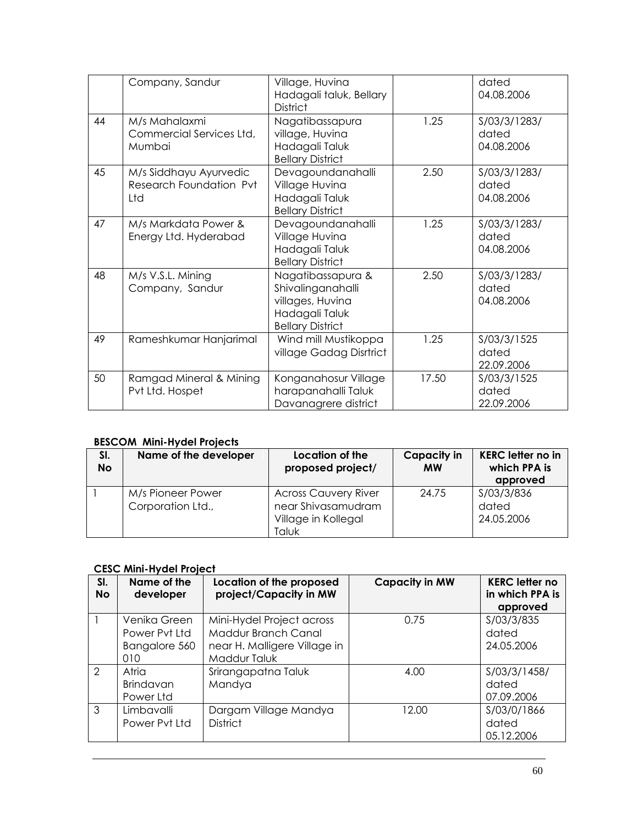|    | Company, Sandur                                          | Village, Huvina<br>Hadagali taluk, Bellary<br><b>District</b>                                           |       | dated<br>04.08.2006                 |
|----|----------------------------------------------------------|---------------------------------------------------------------------------------------------------------|-------|-------------------------------------|
| 44 | M/s Mahalaxmi<br>Commercial Services Ltd,<br>Mumbai      | Nagatibassapura<br>village, Huvina<br>Hadagali Taluk<br><b>Bellary District</b>                         | 1.25  | S/03/3/1283/<br>dated<br>04.08.2006 |
| 45 | M/s Siddhayu Ayurvedic<br>Research Foundation Pvt<br>Ltd | Devagoundanahalli<br>Village Huvina<br>Hadagali Taluk<br><b>Bellary District</b>                        | 2.50  | S/03/3/1283/<br>dated<br>04.08.2006 |
| 47 | M/s Markdata Power &<br>Energy Ltd. Hyderabad            | Devagoundanahalli<br>Village Huvina<br>Hadagali Taluk<br><b>Bellary District</b>                        | 1.25  | S/03/3/1283/<br>dated<br>04.08.2006 |
| 48 | M/s V.S.L. Mining<br>Company, Sandur                     | Nagatibassapura &<br>Shivalinganahalli<br>villages, Huvina<br>Hadagali Taluk<br><b>Bellary District</b> | 2.50  | S/03/3/1283/<br>dated<br>04.08.2006 |
| 49 | Rameshkumar Hanjarimal                                   | Wind mill Mustikoppa<br>village Gadag Disrtrict                                                         | 1.25  | S/03/3/1525<br>dated<br>22.09.2006  |
| 50 | Ramgad Mineral & Mining<br>Pvt Ltd. Hospet               | Konganahosur Village<br>harapanahalli Taluk<br>Davanagrere district                                     | 17.50 | S/03/3/1525<br>dated<br>22.09.2006  |

## **BESCOM Mini-Hydel Projects**

| SI.<br><b>No</b> | Name of the developer                  | Location of the<br>proposed project/                                              | <b>Capacity in</b><br><b>MW</b> | <b>KERC letter no in</b><br>which PPA is<br>approved |
|------------------|----------------------------------------|-----------------------------------------------------------------------------------|---------------------------------|------------------------------------------------------|
|                  | M/s Pioneer Power<br>Corporation Ltd., | <b>Across Cauvery River</b><br>near Shivasamudram<br>Village in Kollegal<br>Taluk | 24.75                           | S/03/3/836<br>dated<br>24.05.2006                    |

#### **CESC Mini-Hydel Project**

| SI.<br><b>No</b> | Name of the<br>developer                              | Location of the proposed<br>project/Capacity in MW                                               | <b>Capacity in MW</b> | <b>KERC letter no</b><br>in which PPA is<br>approved |
|------------------|-------------------------------------------------------|--------------------------------------------------------------------------------------------------|-----------------------|------------------------------------------------------|
|                  | Venika Green<br>Power Pyt Ltd<br>Bangalore 560<br>010 | Mini-Hydel Project across<br>Maddur Branch Canal<br>near H. Malligere Village in<br>Maddur Taluk | 0.75                  | S/03/3/835<br>dated<br>24.05.2006                    |
| $\mathcal{P}$    | Atria<br><b>Brindavan</b><br>Power Ltd                | Srirangapatna Taluk<br>Mandya                                                                    | 4.00                  | S/03/3/1458/<br>dated<br>07.09.2006                  |
| 3                | Limbavalli<br>Power Pyt Ltd                           | Dargam Village Mandya<br><b>District</b>                                                         | 12.00                 | S/03/0/1866<br>dated<br>05.12.2006                   |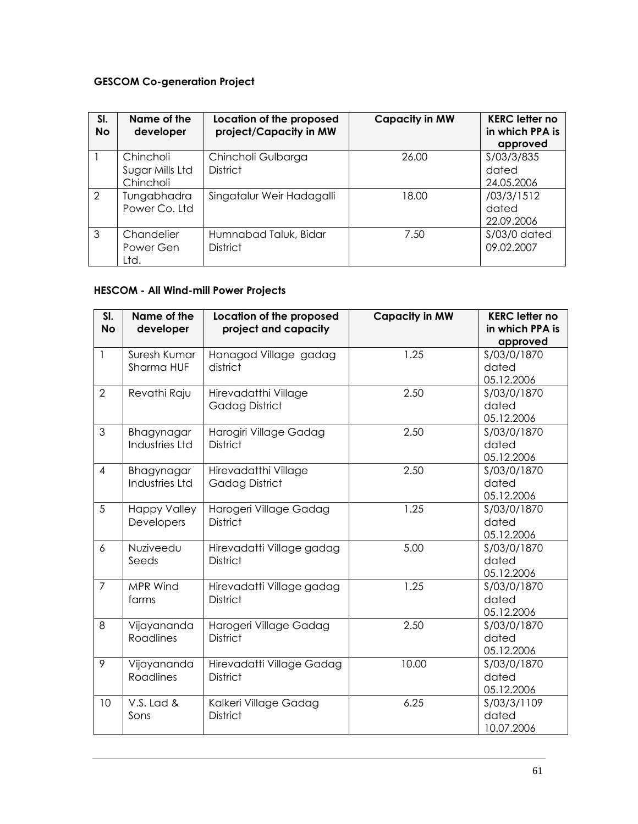## **GESCOM Co-generation Project**

| SI.<br><b>No</b> | Name of the<br>developer                  | Location of the proposed<br>project/Capacity in MW | <b>Capacity in MW</b> | <b>KERC letter no</b><br>in which PPA is<br>approved |
|------------------|-------------------------------------------|----------------------------------------------------|-----------------------|------------------------------------------------------|
|                  | Chincholi<br>Sugar Mills Ltd<br>Chincholi | Chincholi Gulbarga<br><b>District</b>              | 26.00                 | S/03/3/835<br>dated<br>24.05.2006                    |
| $\mathcal{P}$    | Tungabhadra<br>Power Co. Ltd              | Singatalur Weir Hadagalli                          | 18.00                 | /03/3/1512<br>dated<br>22.09.2006                    |
| 3                | Chandelier<br>Power Gen<br>Ltd.           | Humnabad Taluk, Bidar<br><b>District</b>           | 7.50                  | $S/03/0$ dated<br>09.02.2007                         |

## **HESCOM - All Wind-mill Power Projects**

| SI.<br><b>No</b> | Name of the<br>developer            | Location of the proposed<br>project and capacity | <b>Capacity in MW</b> | <b>KERC letter no</b><br>in which PPA is<br>approved |
|------------------|-------------------------------------|--------------------------------------------------|-----------------------|------------------------------------------------------|
| 1                | Suresh Kumar<br>Sharma HUF          | Hanagod Village gadag<br>district                | 1.25                  | S/03/0/1870<br>dated<br>05.12.2006                   |
| $\overline{2}$   | Revathi Raju                        | Hirevadatthi Village<br><b>Gadag District</b>    | 2.50                  | S/03/0/1870<br>dated<br>05.12.2006                   |
| 3                | Bhagynagar<br>Industries Ltd        | Harogiri Village Gadag<br><b>District</b>        | 2.50                  | S/03/0/1870<br>dated<br>05.12.2006                   |
| $\overline{4}$   | Bhagynagar<br><b>Industries Ltd</b> | Hirevadatthi Village<br><b>Gadag District</b>    | 2.50                  | S/03/0/1870<br>dated<br>05.12.2006                   |
| 5                | <b>Happy Valley</b><br>Developers   | Harogeri Village Gadag<br><b>District</b>        | 1.25                  | S/03/0/1870<br>dated<br>05.12.2006                   |
| $\overline{6}$   | Nuziveedu<br>Seeds                  | Hirevadatti Village gadag<br><b>District</b>     | 5.00                  | S/03/0/1870<br>dated<br>05.12.2006                   |
| $\overline{7}$   | MPR Wind<br>farms                   | Hirevadatti Village gadag<br><b>District</b>     | 1.25                  | S/03/0/1870<br>dated<br>05.12.2006                   |
| 8                | Vijayananda<br><b>Roadlines</b>     | Harogeri Village Gadag<br><b>District</b>        | 2.50                  | S/03/0/1870<br>dated<br>05.12.2006                   |
| 9                | Vijayananda<br><b>Roadlines</b>     | Hirevadatti Village Gadag<br><b>District</b>     | 10.00                 | S/03/0/1870<br>dated<br>05.12.2006                   |
| 10               | V.S. Lad &<br>Sons                  | Kalkeri Village Gadag<br><b>District</b>         | 6.25                  | S/03/3/1109<br>dated<br>10.07.2006                   |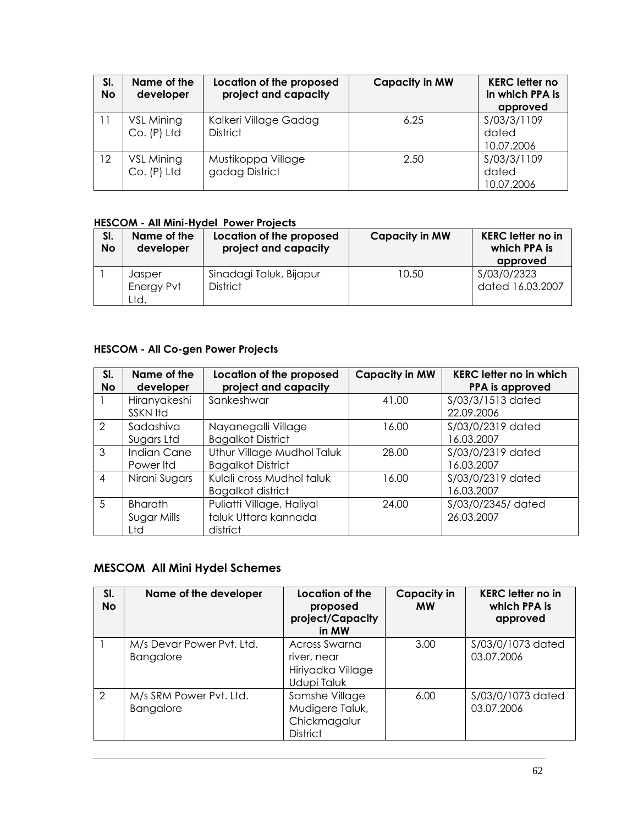| SI.<br><b>No</b> | Name of the<br>developer    | Location of the proposed<br>project and capacity | <b>Capacity in MW</b> | <b>KERC letter no</b><br>in which PPA is<br>approved |
|------------------|-----------------------------|--------------------------------------------------|-----------------------|------------------------------------------------------|
|                  | VSL Mining<br>$Co. (P)$ Ltd | Kalkeri Village Gadag<br><b>District</b>         | 6.25                  | S/03/3/1109<br>dated<br>10.07.2006                   |
| 12               | VSL Mining<br>Co. (P) Ltd   | Mustikoppa Village<br>gadag District             | 2.50                  | S/03/3/1109<br>dated<br>10.07.2006                   |

#### **HESCOM - All Mini-Hydel Power Projects**

| SI.<br><b>No</b> | Name of the<br>developer     | Location of the proposed<br>project and capacity | <b>Capacity in MW</b> | <b>KERC</b> letter no in<br>which PPA is<br>approved |
|------------------|------------------------------|--------------------------------------------------|-----------------------|------------------------------------------------------|
|                  | Jasper<br>Energy Pvt<br>Ltd. | Sinadagi Taluk, Bijapur<br><b>District</b>       | 10.50                 | S/03/0/2323<br>dated 16.03.2007                      |

## **HESCOM - All Co-gen Power Projects**

| SI.<br><b>No</b> | Name of the<br>developer             | Location of the proposed<br>project and capacity              | <b>Capacity in MW</b> | <b>KERC letter no in which</b><br>PPA is approved |
|------------------|--------------------------------------|---------------------------------------------------------------|-----------------------|---------------------------------------------------|
|                  | Hiranyakeshi<br><b>SSKN Itd</b>      | Sankeshwar                                                    | 41.00                 | \$/03/3/1513 dated<br>22.09.2006                  |
| $\mathcal{L}$    | Sadashiva<br>Sugars Ltd              | Nayanegalli Village<br><b>Bagalkot District</b>               | 16.00                 | S/03/0/2319 dated<br>16.03.2007                   |
| 3                | <b>Indian Cane</b><br>Power Itd      | Uthur Village Mudhol Taluk<br><b>Bagalkot District</b>        | 28.00                 | S/03/0/2319 dated<br>16.03.2007                   |
| 4                | Nirani Sugars                        | Kulali cross Mudhol taluk<br><b>Bagalkot district</b>         | 16.00                 | S/03/0/2319 dated<br>16.03.2007                   |
| .5               | <b>Bharath</b><br>Sugar Mills<br>Ltd | Puliatti Village, Haliyal<br>taluk Uttara kannada<br>district | 24.00                 | S/03/0/2345/ dated<br>26.03.2007                  |

## **MESCOM All Mini Hydel Schemes**

| SI.<br><b>No</b> | Name of the developer                         | Location of the<br>proposed<br>project/Capacity<br>in MW             | <b>Capacity in</b><br><b>MW</b> | <b>KERC letter no in</b><br>which PPA is<br>approved |
|------------------|-----------------------------------------------|----------------------------------------------------------------------|---------------------------------|------------------------------------------------------|
|                  | M/s Devar Power Pvt. Ltd.<br><b>Bangalore</b> | Across Swarna<br>river, near<br>Hiriyadka Village<br>Udupi Taluk     | 3.00                            | \$/03/0/1073 dated<br>03.07.2006                     |
| $\mathcal{P}$    | M/s SRM Power Pvt. Ltd.<br><b>Bangalore</b>   | Samshe Village<br>Mudigere Taluk,<br>Chickmagalur<br><b>District</b> | 6.00                            | S/03/0/1073 dated<br>03.07.2006                      |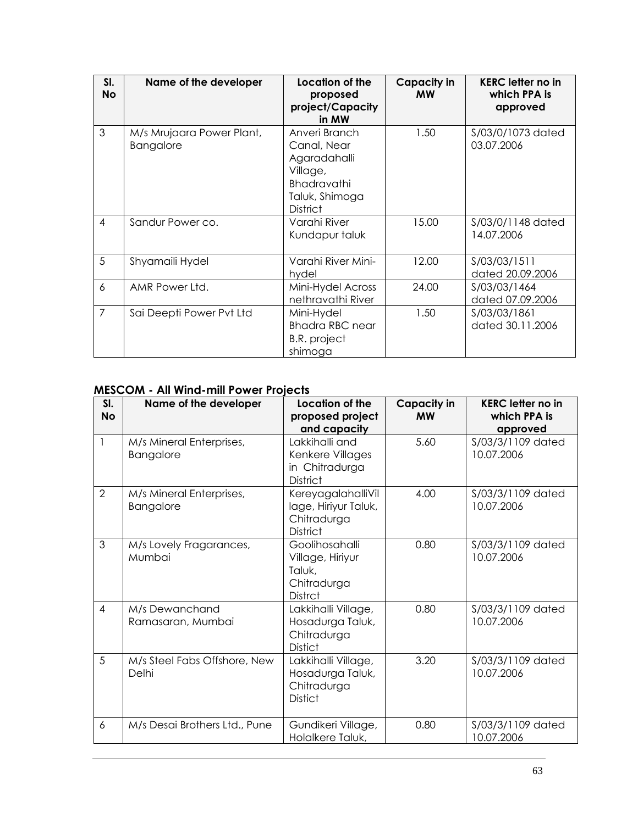| SI.<br><b>No</b> | Name of the developer                         | Location of the<br>proposed<br>project/Capacity<br>in MW                                                            | Capacity in<br><b>MW</b> | <b>KERC</b> letter no in<br>which PPA is<br>approved |
|------------------|-----------------------------------------------|---------------------------------------------------------------------------------------------------------------------|--------------------------|------------------------------------------------------|
| 3                | M/s Mrujaara Power Plant,<br><b>Bangalore</b> | Anveri Branch<br>Canal, Near<br>Agaradahalli<br>Village,<br><b>Bhadravathi</b><br>Taluk, Shimoga<br><b>District</b> | 1.50                     | S/03/0/1073 dated<br>03.07.2006                      |
| $\overline{4}$   | Sandur Power co.                              | Varahi River<br>Kundapur taluk                                                                                      | 15.00                    | \$/03/0/1148 dated<br>14.07.2006                     |
| 5                | Shyamaili Hydel                               | Varahi River Mini-<br>hydel                                                                                         | 12.00                    | S/03/03/1511<br>dated 20.09.2006                     |
| 6                | AMR Power Ltd.                                | Mini-Hydel Across<br>nethravathi River                                                                              | 24.00                    | S/03/03/1464<br>dated 07.09.2006                     |
| $\overline{7}$   | Sai Deepti Power Pvt Ltd                      | Mini-Hydel<br><b>Bhadra RBC near</b><br><b>B.R.</b> project<br>shimoga                                              | 1.50                     | S/03/03/1861<br>dated 30.11.2006                     |

# **MESCOM - All Wind-mill Power Projects**

| SI.<br><b>No</b> | Name of the developer                        | Location of the<br>proposed project<br>and capacity                           | <b>Capacity in</b><br><b>MW</b> | <b>KERC</b> letter no in<br>which PPA is<br>approved |
|------------------|----------------------------------------------|-------------------------------------------------------------------------------|---------------------------------|------------------------------------------------------|
| $\mathbf{1}$     | M/s Mineral Enterprises,<br><b>Bangalore</b> | Lakkihalli and<br>Kenkere Villages<br>in Chitradurga<br><b>District</b>       | 5.60                            | S/03/3/1109 dated<br>10.07.2006                      |
| $\overline{2}$   | M/s Mineral Enterprises,<br>Bangalore        | KereyagalahalliVil<br>lage, Hiriyur Taluk,<br>Chitradurga<br><b>District</b>  | 4.00                            | S/03/3/1109 dated<br>10.07.2006                      |
| 3                | M/s Lovely Fragarances,<br>Mumbai            | Goolihosahalli<br>Village, Hiriyur<br>Taluk,<br>Chitradurga<br><b>Distrct</b> | 0.80                            | S/03/3/1109 dated<br>10.07.2006                      |
| $\overline{4}$   | M/s Dewanchand<br>Ramasaran, Mumbai          | Lakkihalli Village,<br>Hosadurga Taluk,<br>Chitradurga<br><b>Distict</b>      | 0.80                            | S/03/3/1109 dated<br>10.07.2006                      |
| 5                | M/s Steel Fabs Offshore, New<br>Delhi        | Lakkihalli Village,<br>Hosadurga Taluk,<br>Chitradurga<br><b>Distict</b>      | 3.20                            | S/03/3/1109 dated<br>10.07.2006                      |
| 6                | M/s Desai Brothers Ltd., Pune                | Gundikeri Village,<br>Holalkere Taluk,                                        | 0.80                            | S/03/3/1109 dated<br>10.07.2006                      |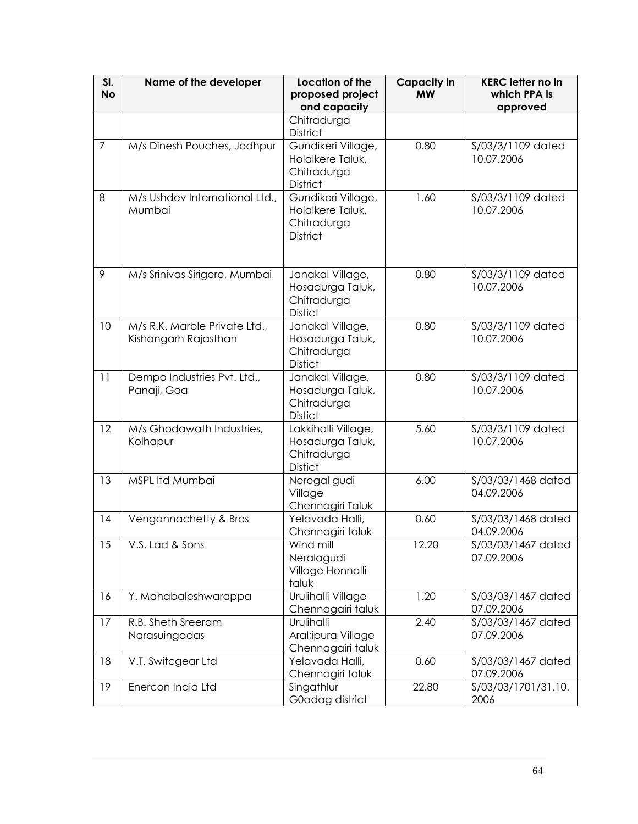| SI.<br><b>No</b> | Name of the developer                                 | Location of the<br>proposed project<br>and capacity                      | <b>Capacity in</b><br><b>MW</b> | <b>KERC letter no in</b><br>which PPA is<br>approved |
|------------------|-------------------------------------------------------|--------------------------------------------------------------------------|---------------------------------|------------------------------------------------------|
|                  |                                                       | Chitradurga<br><b>District</b>                                           |                                 |                                                      |
| $\overline{7}$   | M/s Dinesh Pouches, Jodhpur                           | Gundikeri Village,<br>Holalkere Taluk,<br>Chitradurga<br><b>District</b> | 0.80                            | \$/03/3/1109 dated<br>10.07.2006                     |
| 8                | M/s Ushdev International Ltd.,<br>Mumbai              | Gundikeri Village,<br>Holalkere Taluk,<br>Chitradurga<br><b>District</b> | 1.60                            | S/03/3/1109 dated<br>10.07.2006                      |
| 9                | M/s Srinivas Sirigere, Mumbai                         | Janakal Village,<br>Hosadurga Taluk,<br>Chitradurga<br><b>Distict</b>    | 0.80                            | S/03/3/1109 dated<br>10.07.2006                      |
| 10               | M/s R.K. Marble Private Ltd.,<br>Kishangarh Rajasthan | Janakal Village,<br>Hosadurga Taluk,<br>Chitradurga<br><b>Distict</b>    | 0.80                            | \$/03/3/1109 dated<br>10.07.2006                     |
| 11               | Dempo Industries Pvt. Ltd.,<br>Panaji, Goa            | Janakal Village,<br>Hosadurga Taluk,<br>Chitradurga<br><b>Distict</b>    | 0.80                            | \$/03/3/1109 dated<br>10.07.2006                     |
| 12               | M/s Ghodawath Industries,<br>Kolhapur                 | Lakkihalli Village,<br>Hosadurga Taluk,<br>Chitradurga<br><b>Distict</b> | 5.60                            | S/03/3/1109 dated<br>10.07.2006                      |
| 13               | MSPL Itd Mumbai                                       | Neregal gudi<br>Village<br>Chennagiri Taluk                              | 6.00                            | S/03/03/1468 dated<br>04.09.2006                     |
| 14               | Vengannachetty & Bros                                 | Yelavada Halli,<br>Chennagiri taluk                                      | 0.60                            | S/03/03/1468 dated<br>04.09.2006                     |
| 15               | V.S. Lad & Sons                                       | Wind mill<br>Neralagudi<br>Village Honnalli<br>taluk                     | 12.20                           | S/03/03/1467 dated<br>07.09.2006                     |
| 16               | Y. Mahabaleshwarappa                                  | Urulihalli Village<br>Chennagairi taluk                                  | 1.20                            | \$/03/03/1467 dated<br>07.09.2006                    |
| 17               | R.B. Sheth Sreeram<br>Narasuingadas                   | Urulihalli<br>Aral; ipura Village<br>Chennagairi taluk                   | 2.40                            | \$/03/03/1467 dated<br>07.09.2006                    |
| 18               | V.T. Switcgear Ltd                                    | Yelavada Halli,<br>Chennagiri taluk                                      | 0.60                            | S/03/03/1467 dated<br>07.09.2006                     |
| 19               | Enercon India Ltd                                     | Singathlur<br>G0adag district                                            | 22.80                           | S/03/03/1701/31.10.<br>2006                          |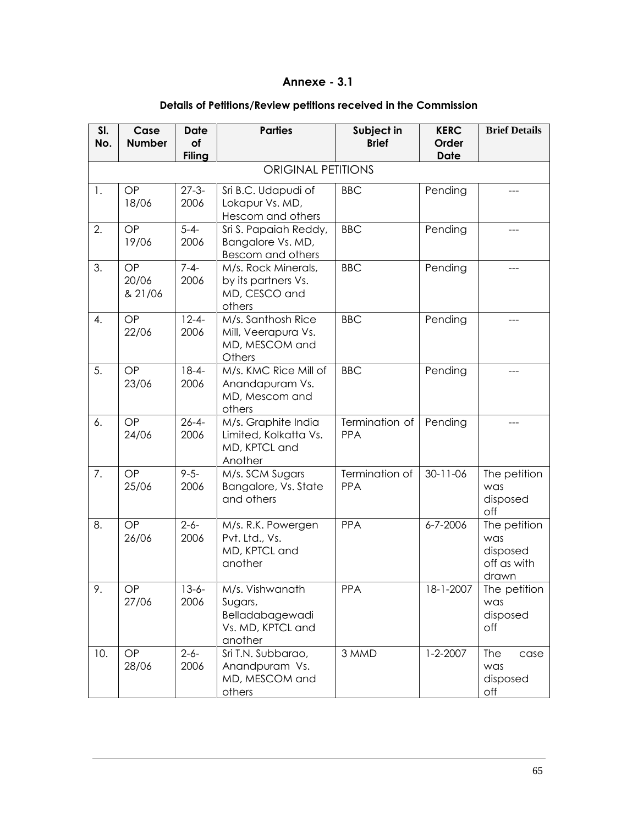## **Annexe - 3.1**

## **Details of Petitions/Review petitions received in the Commission**

| SI.<br>No.     | Case<br><b>Number</b>  | <b>Date</b><br>of  | <b>Parties</b>                                                                | Subject in<br><b>Brief</b>   | <b>KERC</b><br>Order | <b>Brief Details</b>                                    |
|----------------|------------------------|--------------------|-------------------------------------------------------------------------------|------------------------------|----------------------|---------------------------------------------------------|
|                |                        | <b>Filing</b>      |                                                                               |                              | <b>Date</b>          |                                                         |
|                |                        |                    | <b>ORIGINAL PETITIONS</b>                                                     |                              |                      |                                                         |
| $\mathbf{1}$ . | OP<br>18/06            | $27 - 3 -$<br>2006 | Sri B.C. Udapudi of<br>Lokapur Vs. MD,<br>Hescom and others                   | <b>BBC</b>                   | Pending              |                                                         |
| 2.             | OP<br>19/06            | $5 - 4 -$<br>2006  | Sri S. Papaiah Reddy,<br>Bangalore Vs. MD,<br>Bescom and others               | <b>BBC</b>                   | Pending              |                                                         |
| 3.             | OP<br>20/06<br>& 21/06 | $7 - 4 -$<br>2006  | M/s. Rock Minerals,<br>by its partners Vs.<br>MD, CESCO and<br>others         | <b>BBC</b>                   | Pending              |                                                         |
| 4.             | OP<br>22/06            | $12 - 4 -$<br>2006 | M/s. Santhosh Rice<br>Mill, Veerapura Vs.<br>MD, MESCOM and<br>Others         | <b>BBC</b>                   | Pending              |                                                         |
| 5.             | OP<br>23/06            | $18 - 4 -$<br>2006 | M/s. KMC Rice Mill of<br>Anandapuram Vs.<br>MD, Mescom and<br>others          | <b>BBC</b>                   | Pending              |                                                         |
| 6.             | OP<br>24/06            | $26 - 4 -$<br>2006 | M/s. Graphite India<br>Limited, Kolkatta Vs.<br>MD, KPTCL and<br>Another      | Termination of<br>PPA        | Pending              |                                                         |
| 7.             | OP<br>25/06            | $9 - 5 -$<br>2006  | M/s. SCM Sugars<br>Bangalore, Vs. State<br>and others                         | Termination of<br><b>PPA</b> | $30 - 11 - 06$       | The petition<br>was<br>disposed<br>off                  |
| 8.             | OP<br>26/06            | $2 - 6 -$<br>2006  | M/s. R.K. Powergen<br>Pvt. Ltd., Vs.<br>MD, KPTCL and<br>another              | <b>PPA</b>                   | $6 - 7 - 2006$       | The petition<br>was<br>disposed<br>off as with<br>drawn |
| 9.             | $\mathsf{OP}$<br>27/06 | $13-6-$<br>2006    | M/s. Vishwanath<br>Sugars,<br>Belladabagewadi<br>Vs. MD, KPTCL and<br>another | PPA                          | 18-1-2007            | The petition<br>was<br>disposed<br>off                  |
| 10.            | <b>OP</b><br>28/06     | $2 - 6 -$<br>2006  | Sri T.N. Subbarao,<br>Anandpuram Vs.<br>MD, MESCOM and<br>others              | 3 MMD                        | $1 - 2 - 2007$       | The<br>case<br>was<br>disposed<br>off                   |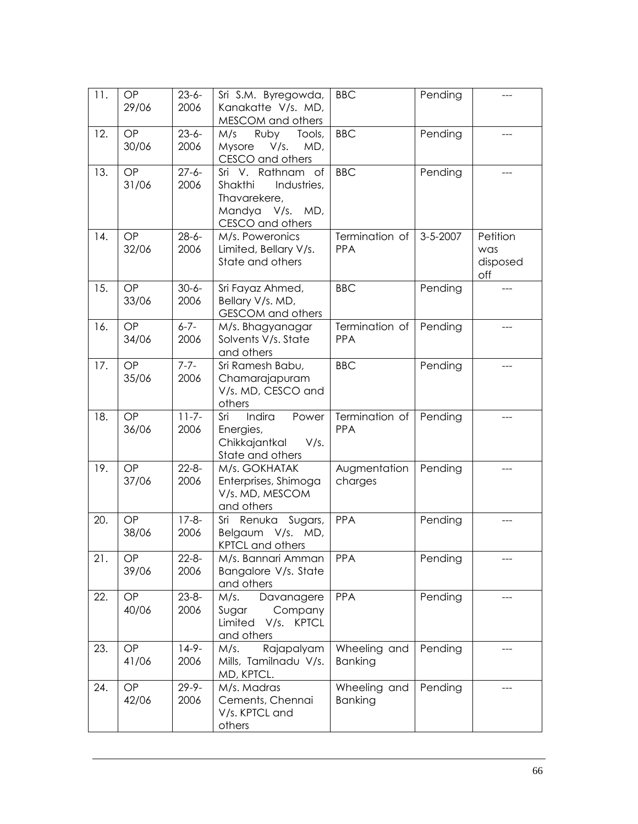| 11. | OP<br>29/06 | $23 - 6 -$<br>2006 | Sri S.M. Byregowda,<br>Kanakatte V/s. MD,<br>MESCOM and others                                           | <b>BBC</b>                     | Pending  |                                    |
|-----|-------------|--------------------|----------------------------------------------------------------------------------------------------------|--------------------------------|----------|------------------------------------|
| 12. | OP<br>30/06 | $23 - 6 -$<br>2006 | Ruby<br>M/s<br>Tools,<br>Mysore<br>V/s.<br>MD,<br>CESCO and others                                       | <b>BBC</b>                     | Pending  | ---                                |
| 13. | OP<br>31/06 | $27 - 6 -$<br>2006 | Sri V. Rathnam of<br>Shakthi<br>Industries,<br>Thavarekere,<br>Mandya<br>V/s.<br>MD,<br>CESCO and others | <b>BBC</b>                     | Pending  | ---                                |
| 14. | OP<br>32/06 | $28 - 6 -$<br>2006 | M/s. Poweronics<br>Limited, Bellary V/s.<br>State and others                                             | Termination of<br><b>PPA</b>   | 3-5-2007 | Petition<br>was<br>disposed<br>off |
| 15. | OP<br>33/06 | $30 - 6 -$<br>2006 | Sri Fayaz Ahmed,<br>Bellary V/s. MD,<br><b>GESCOM</b> and others                                         | <b>BBC</b>                     | Pending  |                                    |
| 16. | OP<br>34/06 | $6 - 7 -$<br>2006  | M/s. Bhagyanagar<br>Solvents V/s. State<br>and others                                                    | Termination of<br>PPA          | Pending  |                                    |
| 17. | OP<br>35/06 | $7 - 7 -$<br>2006  | Sri Ramesh Babu,<br>Chamarajapuram<br>V/s. MD, CESCO and<br>others                                       | <b>BBC</b>                     | Pending  | ---                                |
| 18. | OP<br>36/06 | $11 - 7 -$<br>2006 | Indira<br>Sri<br>Power<br>Energies,<br>Chikkajantkal<br>V/s.<br>State and others                         | Termination of<br>PPA          | Pending  | ---                                |
| 19. | OP<br>37/06 | $22 - 8 -$<br>2006 | M/s. GOKHATAK<br>Enterprises, Shimoga<br>V/s. MD, MESCOM<br>and others                                   | Augmentation<br>charges        | Pending  |                                    |
| 20. | OP<br>38/06 | $17 - 8 -$<br>2006 | Renuka Sugars,<br>Sri<br>Belgaum V/s.<br>MD,<br><b>KPTCL and others</b>                                  | <b>PPA</b>                     | Pending  | ---                                |
| 21. | OP<br>39/06 | $22 - 8 -$<br>2006 | M/s. Bannari Amman<br>Bangalore V/s. State<br>and others                                                 | <b>PPA</b>                     | Pending  |                                    |
| 22. | OP<br>40/06 | $23 - 8 -$<br>2006 | Davanagere<br>M/s.<br>Sugar<br>Company<br>Limited V/s.<br><b>KPTCL</b><br>and others                     | <b>PPA</b>                     | Pending  |                                    |
| 23. | OP<br>41/06 | $14-9-$<br>2006    | Rajapalyam<br>M/s.<br>Mills, Tamilnadu V/s.<br>MD, KPTCL.                                                | Wheeling and<br><b>Banking</b> | Pending  |                                    |
| 24. | OP<br>42/06 | $29 - 9 -$<br>2006 | M/s. Madras<br>Cements, Chennai<br>V/s. KPTCL and<br>others                                              | Wheeling and<br><b>Banking</b> | Pending  |                                    |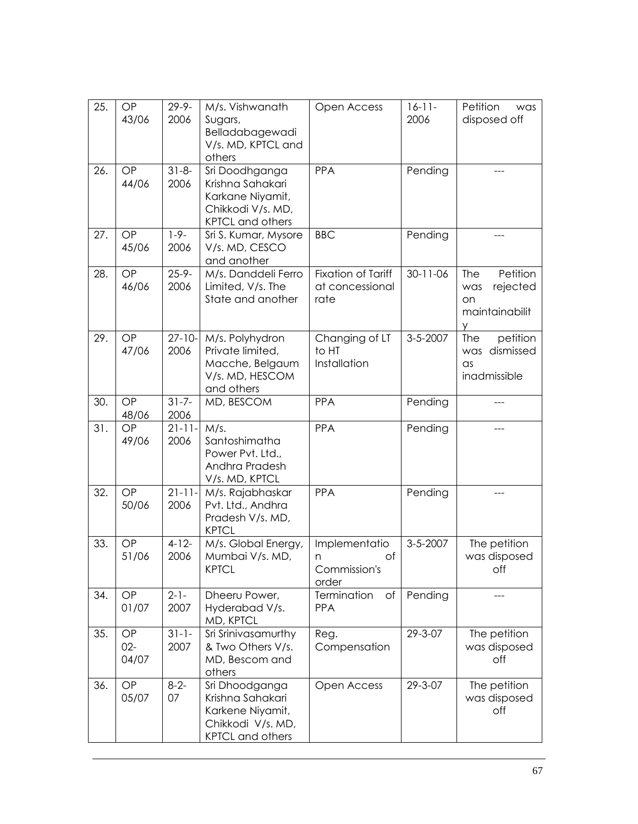| 25. | OP<br>43/06           | $29 - 9 -$<br>2006  | M/s. Vishwanath<br>Sugars,<br>Belladabagewadi<br>V/s. MD, KPTCL and<br>others                          | Open Access                                          | $16-11-$<br>2006 | Petition<br>was<br>disposed off                                 |
|-----|-----------------------|---------------------|--------------------------------------------------------------------------------------------------------|------------------------------------------------------|------------------|-----------------------------------------------------------------|
| 26. | OP<br>44/06           | $31 - 8 -$<br>2006  | Sri Doodhganga<br>Krishna Sahakari<br>Karkane Niyamit,<br>Chikkodi V/s. MD,<br><b>KPTCL and others</b> | <b>PPA</b>                                           | Pending          |                                                                 |
| 27. | OP<br>45/06           | $1 - 9 -$<br>2006   | Sri S. Kumar, Mysore<br>V/s. MD, CESCO<br>and another                                                  | <b>BBC</b>                                           | Pending          |                                                                 |
| 28. | OP<br>46/06           | $25 - 9 -$<br>2006  | M/s. Danddeli Ferro<br>Limited, V/s. The<br>State and another                                          | <b>Fixation of Tariff</b><br>at concessional<br>rate | $30 - 11 - 06$   | Petition<br>The<br>rejected<br>was<br>on<br>maintainabilit<br>У |
| 29. | OP<br>47/06           | $27 - 10 -$<br>2006 | M/s. Polyhydron<br>Private limited,<br>Macche, Belgaum<br>V/s. MD, HESCOM<br>and others                | Changing of LT<br>to HT<br>Installation              | $3 - 5 - 2007$   | petition<br>The<br>was dismissed<br>$\alpha$ s<br>inadmissible  |
| 30. | OP<br>48/06           | $31 - 7 -$<br>2006  | MD, BESCOM                                                                                             | PPA                                                  | Pending          |                                                                 |
| 31. | OP<br>49/06           | $21 - 11 -$<br>2006 | M/s.<br>Santoshimatha<br>Power Pvt. Ltd.,<br>Andhra Pradesh<br>V/s. MD, KPTCL                          | PPA                                                  | Pending          |                                                                 |
| 32. | OP<br>50/06           | $21 - 11 -$<br>2006 | M/s. Rajabhaskar<br>Pvt. Ltd., Andhra<br>Pradesh V/s. MD,<br><b>KPTCL</b>                              | <b>PPA</b>                                           | Pending          |                                                                 |
| 33. | OP<br>51/06           | $4-12-$<br>2006     | M/s. Global Energy,<br>Mumbai V/s. MD,<br><b>KPTCL</b>                                                 | Implementatio<br>Οf<br>n<br>Commission's<br>order    | $3 - 5 - 2007$   | The petition<br>was disposed<br>off                             |
| 34. | OP<br>01/07           | $2 - 1 -$<br>2007   | Dheeru Power,<br>Hyderabad V/s.<br>MD, KPTCL                                                           | Termination<br>of<br><b>PPA</b>                      | Pending          |                                                                 |
| 35. | OP<br>$02 -$<br>04/07 | $31 - 1 -$<br>2007  | Sri Srinivasamurthy<br>& Two Others V/s.<br>MD, Bescom and<br>others                                   | Reg.<br>Compensation                                 | 29-3-07          | The petition<br>was disposed<br>off                             |
| 36. | OP<br>05/07           | $8 - 2 -$<br>07     | Sri Dhoodganga<br>Krishna Sahakari<br>Karkene Niyamit,<br>Chikkodi V/s. MD,<br><b>KPTCL</b> and others | Open Access                                          | 29-3-07          | The petition<br>was disposed<br>off                             |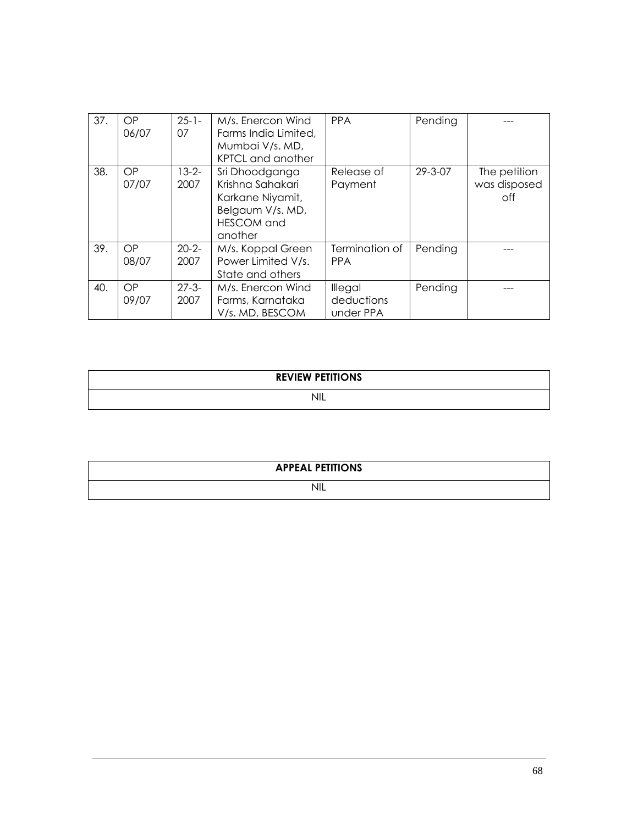| 37. | OP.<br>06/07       | $25 - 1 -$<br>07   | M/s. Enercon Wind<br>Farms India Limited,<br>Mumbai V/s. MD,<br>KPTCL and another                          | <b>PPA</b>                         | Pending       |                                     |
|-----|--------------------|--------------------|------------------------------------------------------------------------------------------------------------|------------------------------------|---------------|-------------------------------------|
| 38. | OP<br>07/07        | $13 - 2 -$<br>2007 | Sri Dhoodganga<br>Krishna Sahakari<br>Karkane Niyamit,<br>Belgaum V/s. MD,<br><b>HESCOM</b> and<br>another | Release of<br>Payment              | $29 - 3 - 07$ | The petition<br>was disposed<br>off |
| 39. | OP.<br>08/07       | $20 - 2 -$<br>2007 | M/s. Koppal Green<br>Power Limited V/s.<br>State and others                                                | Termination of<br><b>PPA</b>       | Pending       |                                     |
| 40. | <b>OP</b><br>09/07 | $27 - 3 -$<br>2007 | M/s. Enercon Wind<br>Farms, Karnataka<br>V/s. MD, BESCOM                                                   | Illegal<br>deductions<br>under PPA | Pending       |                                     |

| <b>REVIEW PETITIONS</b> |  |
|-------------------------|--|
| ◥▮∟                     |  |

| <b>APPEAL PETITIONS</b> |  |
|-------------------------|--|
| <b>NIL</b>              |  |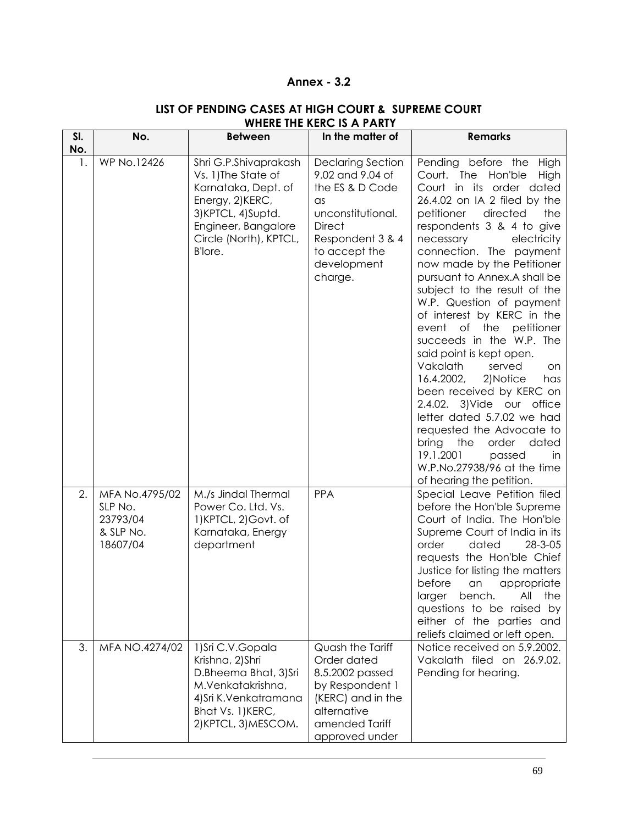## **Annex - 3.2**

| SI.<br>No. | No.                                                            | <b>Between</b>                                                                                                                                                            | In the matter of                                                                                                                                                                   | <b>Remarks</b>                                                                                                                                                                                                                                                                                                                                                                                                                                                                                                                                                                                                                                                                                                                                                                                      |
|------------|----------------------------------------------------------------|---------------------------------------------------------------------------------------------------------------------------------------------------------------------------|------------------------------------------------------------------------------------------------------------------------------------------------------------------------------------|-----------------------------------------------------------------------------------------------------------------------------------------------------------------------------------------------------------------------------------------------------------------------------------------------------------------------------------------------------------------------------------------------------------------------------------------------------------------------------------------------------------------------------------------------------------------------------------------------------------------------------------------------------------------------------------------------------------------------------------------------------------------------------------------------------|
| 1.         | <b>WP No.12426</b>                                             | Shri G.P.Shivaprakash<br>Vs. 1) The State of<br>Karnataka, Dept. of<br>Energy, 2)KERC,<br>3) KPTCL, 4) Suptd.<br>Engineer, Bangalore<br>Circle (North), KPTCL,<br>B'lore. | <b>Declaring Section</b><br>9.02 and 9.04 of<br>the ES & D Code<br>$\alpha$ s<br>unconstitutional.<br><b>Direct</b><br>Respondent 3 & 4<br>to accept the<br>development<br>charge. | Pending before the High<br>Court. The Hon'ble<br>High<br>Court in its order dated<br>26.4.02 on IA 2 filed by the<br>petitioner<br>directed<br>the<br>respondents 3 & 4 to give<br>electricity<br>necessary<br>connection. The payment<br>now made by the Petitioner<br>pursuant to Annex.A shall be<br>subject to the result of the<br>W.P. Question of payment<br>of interest by KERC in the<br>event<br>of the<br>petitioner<br>succeeds in the W.P. The<br>said point is kept open.<br>Vakalath<br>served<br>on<br>16.4.2002,<br>2)Notice<br>has<br>been received by KERC on<br>2.4.02. 3) Vide our office<br>letter dated 5.7.02 we had<br>requested the Advocate to<br>the<br>bring<br>order<br>dated<br>19.1.2001<br>passed<br>in<br>W.P.No.27938/96 at the time<br>of hearing the petition. |
| 2.         | MFA No.4795/02<br>SLP No.<br>23793/04<br>& SLP No.<br>18607/04 | M./s Jindal Thermal<br>Power Co. Ltd. Vs.<br>1) KPTCL, 2) Govt. of<br>Karnataka, Energy<br>department                                                                     | <b>PPA</b>                                                                                                                                                                         | Special Leave Petition filed<br>before the Hon'ble Supreme<br>Court of India. The Hon'ble<br>Supreme Court of India in its<br>dated<br>28-3-05<br>order<br>requests the Hon'ble Chief<br>Justice for listing the matters<br>before<br>appropriate<br>an<br>bench.<br>All the<br>laraer<br>questions to be raised by<br>either of the parties and<br>reliefs claimed or left open.                                                                                                                                                                                                                                                                                                                                                                                                                   |
| 3.         | MFA NO.4274/02                                                 | 1) Sri C.V. Gopala<br>Krishna, 2)Shri<br>D.Bheema Bhat, 3)Sri<br>M.Venkatakrishna,<br>4) Sri K. Venkatramana<br>Bhat Vs. 1) KERC,<br>2) KPTCL, 3) MESCOM.                 | Quash the Tariff<br>Order dated<br>8.5.2002 passed<br>by Respondent 1<br>(KERC) and in the<br>alternative<br>amended Tariff<br>approved under                                      | Notice received on 5.9.2002.<br>Vakalath filed on 26.9.02.<br>Pending for hearing.                                                                                                                                                                                                                                                                                                                                                                                                                                                                                                                                                                                                                                                                                                                  |

## **LIST OF PENDING CASES AT HIGH COURT & SUPREME COURT WHERE THE KERC IS A PARTY**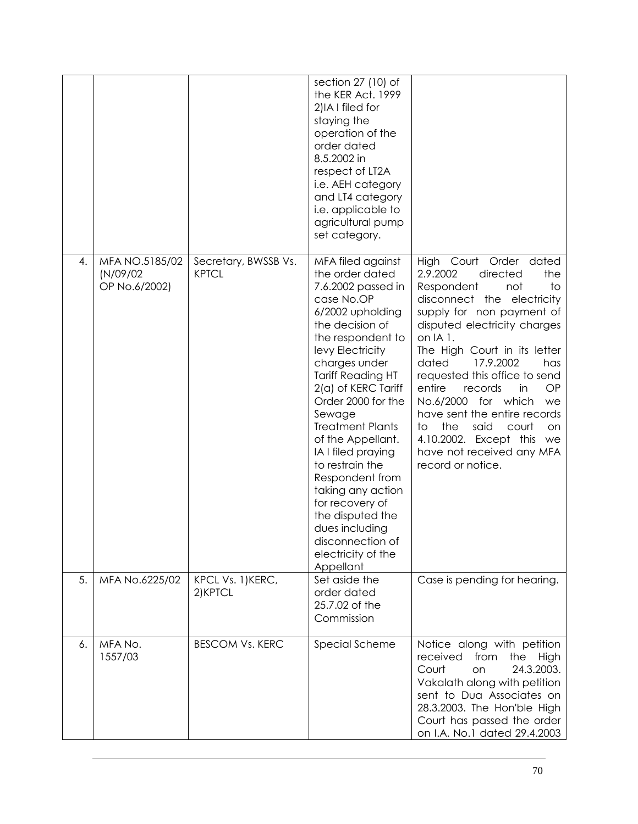|    |                                             |                                      | section 27 (10) of<br>the KER Act. 1999<br>2) IA I filed for<br>staying the<br>operation of the<br>order dated<br>8.5.2002 in<br>respect of LT2A<br>i.e. AEH category<br>and LT4 category<br><i>i.e.</i> applicable to<br>agricultural pump<br>set category.                                                                                                                                                                                                                                                  |                                                                                                                                                                                                                                                                                                                                                                                                                                                                                                                     |
|----|---------------------------------------------|--------------------------------------|---------------------------------------------------------------------------------------------------------------------------------------------------------------------------------------------------------------------------------------------------------------------------------------------------------------------------------------------------------------------------------------------------------------------------------------------------------------------------------------------------------------|---------------------------------------------------------------------------------------------------------------------------------------------------------------------------------------------------------------------------------------------------------------------------------------------------------------------------------------------------------------------------------------------------------------------------------------------------------------------------------------------------------------------|
| 4. | MFA NO.5185/02<br>(N/09/02<br>OP No.6/2002) | Secretary, BWSSB Vs.<br><b>KPTCL</b> | MFA filed against<br>the order dated<br>7.6.2002 passed in<br>case No.OP<br>6/2002 upholding<br>the decision of<br>the respondent to<br>levy Electricity<br>charges under<br><b>Tariff Reading HT</b><br>2(a) of KERC Tariff<br>Order 2000 for the<br>Sewage<br><b>Treatment Plants</b><br>of the Appellant.<br>IA I filed praying<br>to restrain the<br>Respondent from<br>taking any action<br>for recovery of<br>the disputed the<br>dues including<br>disconnection of<br>electricity of the<br>Appellant | <b>High</b><br>Court<br>Order dated<br>2.9.2002<br>directed<br>the<br>Respondent<br>to<br>not<br>disconnect the electricity<br>supply for non payment of<br>disputed electricity charges<br>on IA 1.<br>The High Court in its letter<br>17.9.2002<br>dated<br>has<br>requested this office to send<br>entire<br>records<br>OP<br>in<br>No.6/2000 for which<br>we<br>have sent the entire records<br>the<br>to<br>said<br>court<br>on<br>4.10.2002. Except this we<br>have not received any MFA<br>record or notice. |
| 5. | MFA No.6225/02                              | KPCL Vs. 1) KERC,<br>2) KPTCL        | Set aside the<br>order dated<br>25.7.02 of the<br>Commission                                                                                                                                                                                                                                                                                                                                                                                                                                                  | Case is pending for hearing.                                                                                                                                                                                                                                                                                                                                                                                                                                                                                        |
| 6. | MFA No.<br>1557/03                          | <b>BESCOM Vs. KERC</b>               | Special Scheme                                                                                                                                                                                                                                                                                                                                                                                                                                                                                                | Notice along with petition<br>received<br>from<br>the<br>High<br>24.3.2003.<br>Court<br>on<br>Vakalath along with petition<br>sent to Dua Associates on<br>28.3.2003. The Hon'ble High<br>Court has passed the order<br>on I.A. No.1 dated 29.4.2003                                                                                                                                                                                                                                                                |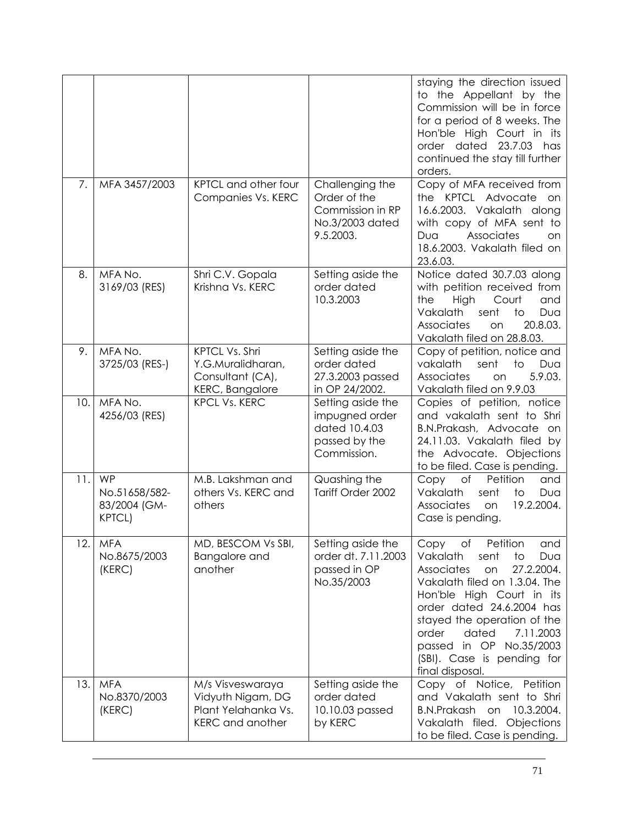|       |                                                             |                                                                                         |                                                                                      | staying the direction issued<br>to the Appellant by the<br>Commission will be in force<br>for a period of 8 weeks. The<br>Hon'ble High Court in its<br>order dated 23.7.03 has<br>continued the stay till further<br>orders.                                                                                                          |
|-------|-------------------------------------------------------------|-----------------------------------------------------------------------------------------|--------------------------------------------------------------------------------------|---------------------------------------------------------------------------------------------------------------------------------------------------------------------------------------------------------------------------------------------------------------------------------------------------------------------------------------|
| 7.    | MFA 3457/2003                                               | KPTCL and other four<br>Companies Vs. KERC                                              | Challenging the<br>Order of the<br>Commission in RP<br>No.3/2003 dated<br>9.5.2003.  | Copy of MFA received from<br>the KPTCL Advocate<br>on<br>16.6.2003. Vakalath along<br>with copy of MFA sent to<br>Associates<br>Dua<br>on<br>18.6.2003. Vakalath filed on<br>23.6.03.                                                                                                                                                 |
| 8.    | MFA No.<br>3169/03 (RES)                                    | Shri C.V. Gopala<br>Krishna Vs. KERC                                                    | Setting aside the<br>order dated<br>10.3.2003                                        | Notice dated 30.7.03 along<br>with petition received from<br>the<br>High<br>Court<br>and<br>Vakalath<br>sent<br>to<br>Dua<br>Associates<br>20.8.03.<br>on<br>Vakalath filed on 28.8.03.                                                                                                                                               |
| 9.    | MFA No.<br>3725/03 (RES-)                                   | KPTCL Vs. Shri<br>Y.G.Muralidharan,<br>Consultant (CA),<br><b>KERC, Bangalore</b>       | Setting aside the<br>order dated<br>27.3.2003 passed<br>in OP 24/2002.               | Copy of petition, notice and<br>vakalath<br>sent<br>$\overline{10}$<br>Dua<br>5.9.03.<br>Associates<br>on<br>Vakalath filed on 9.9.03                                                                                                                                                                                                 |
| 10.   | MFA No.<br>4256/03 (RES)                                    | <b>KPCL Vs. KERC</b>                                                                    | Setting aside the<br>impugned order<br>dated 10.4.03<br>passed by the<br>Commission. | Copies of petition, notice<br>and vakalath sent to Shri<br>B.N.Prakash, Advocate on<br>24.11.03. Vakalath filed by<br>the Advocate. Objections<br>to be filed. Case is pending.                                                                                                                                                       |
| 11.   | <b>WP</b><br>No.51658/582-<br>83/2004 (GM-<br><b>KPTCL)</b> | M.B. Lakshman and<br>others Vs. KERC and<br>others                                      | Quashing the<br>Tariff Order 2002                                                    | Petition<br>Copy<br>of<br>and<br>Vakalath<br>sent<br>to<br>Dua<br>19.2.2004.<br><b>Associates</b><br>on<br>Case is pending.                                                                                                                                                                                                           |
| 12. I | <b>MFA</b><br>No.8675/2003<br>(KERC)                        | MD, BESCOM Vs SBI,<br><b>Bangalore and</b><br>another                                   | Setting aside the<br>order dt. 7.11.2003<br>passed in OP<br>No.35/2003               | Copy<br>Petition<br>and<br>Οt<br>Vakalath<br>Dua<br>sent<br>to<br>27.2.2004.<br>Associates<br>on<br>Vakalath filed on 1.3.04. The<br>Hon'ble High Court in its<br>order dated 24.6.2004 has<br>stayed the operation of the<br>dated<br>order<br>7.11.2003<br>passed in OP No.35/2003<br>(SBI). Case is pending for<br>final disposal. |
| 13.   | <b>MFA</b><br>No.8370/2003<br>(KERC)                        | M/s Visveswaraya<br>Vidyuth Nigam, DG<br>Plant Yelahanka Vs.<br><b>KERC</b> and another | Setting aside the<br>order dated<br>10.10.03 passed<br>by KERC                       | Copy of Notice, Petition<br>and Vakalath sent to Shri<br><b>B.N.Prakash</b><br>10.3.2004.<br>on<br>Vakalath filed. Objections<br>to be filed. Case is pending.                                                                                                                                                                        |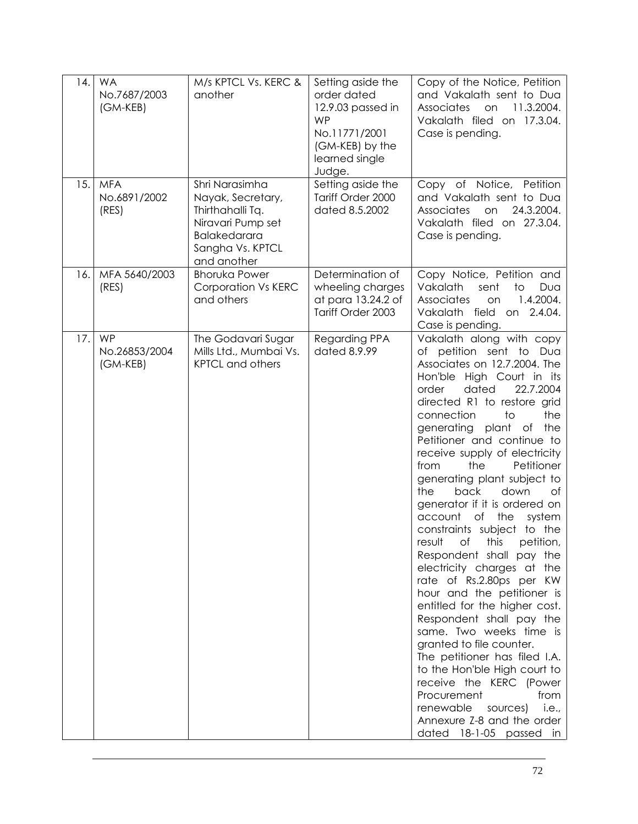| 14. | <b>WA</b><br>No.7687/2003<br>(GM-KEB)  | M/s KPTCL Vs. KERC &<br>another                                                                                                 | Setting aside the<br>order dated<br>12.9.03 passed in<br><b>WP</b><br>No.11771/2001<br>(GM-KEB) by the<br>learned single<br>Judge. | Copy of the Notice, Petition<br>and Vakalath sent to Dua<br>11.3.2004.<br><b>Associates</b><br>on<br>Vakalath filed on 17.3.04.<br>Case is pending.                                                                                                                                                                                                                                                                                                                                                                                                                                                                                                                                                                                                                                                                                                                                                                                                                                                     |
|-----|----------------------------------------|---------------------------------------------------------------------------------------------------------------------------------|------------------------------------------------------------------------------------------------------------------------------------|---------------------------------------------------------------------------------------------------------------------------------------------------------------------------------------------------------------------------------------------------------------------------------------------------------------------------------------------------------------------------------------------------------------------------------------------------------------------------------------------------------------------------------------------------------------------------------------------------------------------------------------------------------------------------------------------------------------------------------------------------------------------------------------------------------------------------------------------------------------------------------------------------------------------------------------------------------------------------------------------------------|
| 15. | <b>MFA</b><br>No.6891/2002<br>(RES)    | Shri Narasimha<br>Nayak, Secretary,<br>Thirthahalli Tq.<br>Niravari Pump set<br>Balakedarara<br>Sangha Vs. KPTCL<br>and another | Setting aside the<br>Tariff Order 2000<br>dated 8.5.2002                                                                           | Copy of Notice, Petition<br>and Vakalath sent to Dua<br>24.3.2004.<br>Associates<br>on<br>Vakalath filed on 27.3.04.<br>Case is pending.                                                                                                                                                                                                                                                                                                                                                                                                                                                                                                                                                                                                                                                                                                                                                                                                                                                                |
| 16. | MFA 5640/2003<br>(RES)                 | <b>Bhoruka Power</b><br>Corporation Vs KERC<br>and others                                                                       | Determination of<br>wheeling charges<br>at para 13.24.2 of<br>Tariff Order 2003                                                    | Copy Notice, Petition and<br>Vakalath<br>sent<br>to<br>Dua<br>1.4.2004.<br>Associates<br>on<br>Vakalath field<br>on 2.4.04.<br>Case is pending.                                                                                                                                                                                                                                                                                                                                                                                                                                                                                                                                                                                                                                                                                                                                                                                                                                                         |
| 17. | <b>WP</b><br>No.26853/2004<br>(GM-KEB) | The Godavari Sugar<br>Mills Ltd., Mumbai Vs.<br><b>KPTCL and others</b>                                                         | Regarding PPA<br>dated 8.9.99                                                                                                      | Vakalath along with copy<br>of petition sent to Dua<br>Associates on 12.7.2004. The<br>Hon'ble High Court in its<br>dated<br>22.7.2004<br>order<br>directed R1 to restore grid<br>connection<br>$\overline{1}$<br>the<br>generating plant<br>of the<br>Petitioner and continue to<br>receive supply of electricity<br>the<br>Petitioner<br>from<br>generating plant subject to<br>the<br>back<br>down<br>Οf<br>generator if it is ordered on<br>account<br>Оf<br>the<br>system<br>constraints subject to the<br>result<br>ot<br>this<br>petition,<br>Respondent shall pay the<br>electricity charges at the<br>rate of Rs.2.80ps per KW<br>hour and the petitioner is<br>entitled for the higher cost.<br>Respondent shall pay the<br>same. Two weeks time is<br>granted to file counter.<br>The petitioner has filed I.A.<br>to the Hon'ble High court to<br>receive the KERC (Power<br>Procurement<br>from<br>renewable<br>sources)<br>i.e.,<br>Annexure Z-8 and the order<br>dated 18-1-05 passed in |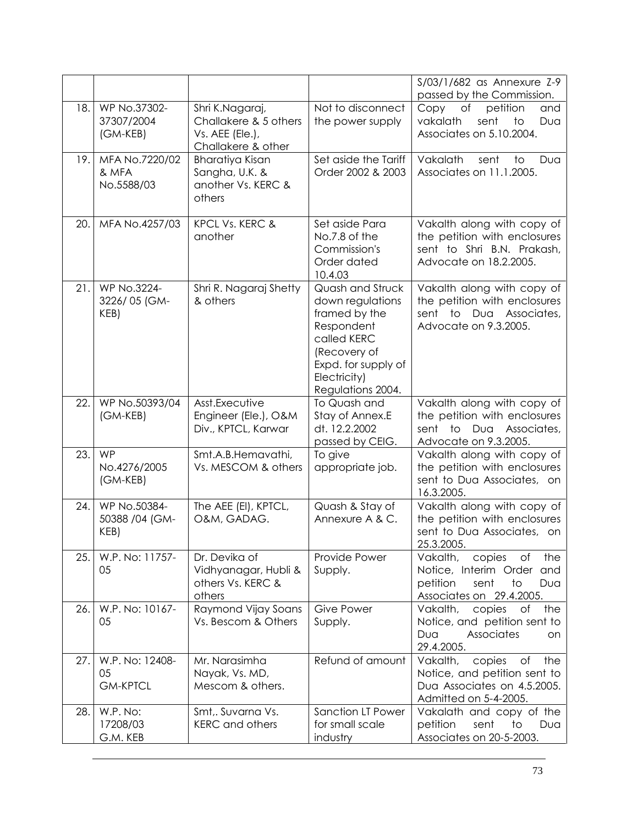|      |                                          |                                                                                   |                                                                                                                                                                | S/03/1/682 as Annexure Z-9<br>passed by the Commission.                                                                                 |
|------|------------------------------------------|-----------------------------------------------------------------------------------|----------------------------------------------------------------------------------------------------------------------------------------------------------------|-----------------------------------------------------------------------------------------------------------------------------------------|
| 18.  | WP No.37302-<br>37307/2004<br>(GM-KEB)   | Shri K.Nagaraj,<br>Challakere & 5 others<br>Vs. AEE (Ele.),<br>Challakere & other | Not to disconnect<br>the power supply                                                                                                                          | Copy<br>of<br>petition<br>and<br>vakalath<br>sent<br>to<br>Dua<br>Associates on 5.10.2004.                                              |
| 19.  | MFA No.7220/02<br>& MFA<br>No.5588/03    | <b>Bharatiya Kisan</b><br>Sangha, U.K. &<br>another Vs. KERC &<br>others          | Set aside the Tariff<br>Order 2002 & 2003                                                                                                                      | Vakalath<br>sent<br>to<br>Dua<br>Associates on 11.1.2005.                                                                               |
| 20.  | MFA No.4257/03                           | KPCL Vs. KERC &<br>another                                                        | Set aside Para<br>No.7.8 of the<br>Commission's<br>Order dated<br>10.4.03                                                                                      | Vakalth along with copy of<br>the petition with enclosures<br>sent to Shri B.N. Prakash,<br>Advocate on 18.2.2005.                      |
| 21.  | WP No.3224-<br>3226/05 (GM-<br>KEB)      | Shri R. Nagaraj Shetty<br>& others                                                | Quash and Struck<br>down regulations<br>framed by the<br>Respondent<br>called KERC<br>(Recovery of<br>Expd. for supply of<br>Electricity)<br>Regulations 2004. | Vakalth along with copy of<br>the petition with enclosures<br>sent to<br>Dua<br>Associates,<br>Advocate on 9.3.2005.                    |
| 22.  | WP No.50393/04<br>(GM-KEB)               | Asst.Executive<br>Engineer (Ele.), O&M<br>Div., KPTCL, Karwar                     | To Quash and<br>Stay of Annex.E<br>dt. 12.2.2002<br>passed by CEIG.                                                                                            | Vakalth along with copy of<br>the petition with enclosures<br>sent to Dua Associates,<br>Advocate on 9.3.2005.                          |
| 23.  | <b>WP</b><br>No.4276/2005<br>(GM-KEB)    | Smt.A.B.Hemavathi,<br>Vs. MESCOM & others                                         | To give<br>appropriate job.                                                                                                                                    | Vakalth along with copy of<br>the petition with enclosures<br>sent to Dua Associates, on<br>16.3.2005.                                  |
| 24.1 | WP No.50384-<br>50388 /04 (GM-<br>KEB)   | The AEE (EI), KPTCL,<br>O&M, GADAG.                                               | Quash & Stay of<br>Annexure A & C.                                                                                                                             | Vakalth along with copy of<br>the petition with enclosures<br>sent to Dua Associates, on<br>25.3.2005.                                  |
| 25.  | W.P. No: 11757-<br>05                    | Dr. Devika of<br>Vidhyanagar, Hubli &<br>others Vs. KERC &<br>others              | Provide Power<br>Supply.                                                                                                                                       | Vakalth,<br>copies<br>Оf<br>the<br>Notice, Interim Order<br>and<br>petition<br>sent<br>$\mathsf{to}$<br>Dua<br>Associates on 29.4.2005. |
| 26.  | W.P. No: 10167-<br>05                    | Raymond Vijay Soans<br>Vs. Bescom & Others                                        | <b>Give Power</b><br>Supply.                                                                                                                                   | Vakalth,<br>copies<br>the<br>Оf<br>Notice, and petition sent to<br>Associates<br>Dua<br>on<br>29.4.2005.                                |
| 27.  | W.P. No: 12408-<br>05<br><b>GM-KPTCL</b> | Mr. Narasimha<br>Nayak, Vs. MD,<br>Mescom & others.                               | Refund of amount                                                                                                                                               | copies<br>Vakalth,<br>Оf<br>the<br>Notice, and petition sent to<br>Dua Associates on 4.5.2005.<br>Admitted on 5-4-2005.                 |
| 28.  | W.P. No:<br>17208/03<br>G.M. KEB         | Smt,. Suvarna Vs.<br><b>KERC</b> and others                                       | <b>Sanction LT Power</b><br>for small scale<br>industry                                                                                                        | Vakalath and copy of the<br>petition<br>sent<br>to<br>Dua<br>Associates on 20-5-2003.                                                   |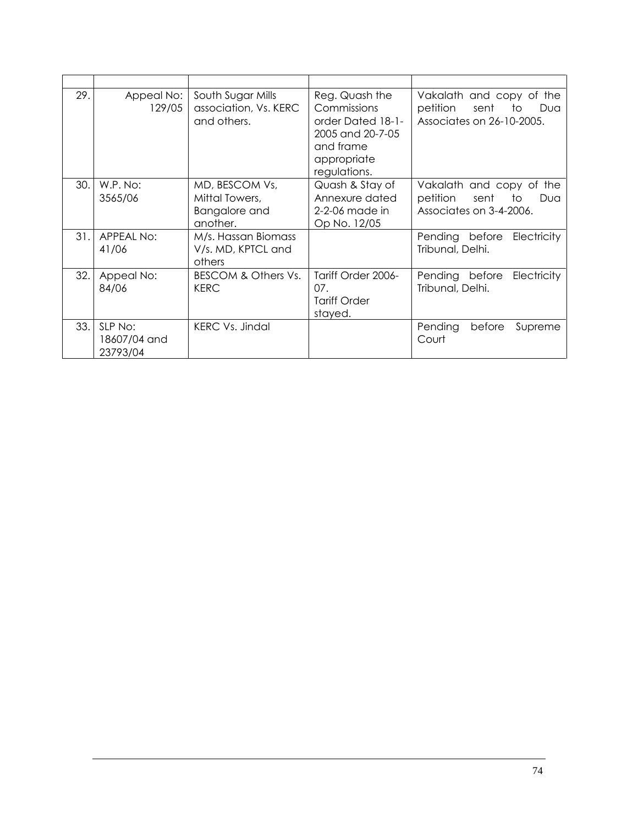| 29. | Appeal No:<br>129/05                | South Sugar Mills<br>association, Vs. KERC<br>and others.     | Reg. Quash the<br>Commissions<br>order Dated 18-1-<br>2005 and 20-7-05<br>and frame<br>appropriate<br>regulations. | Vakalath and copy of the<br>petition<br>sent<br>to<br>Dua<br>Associates on 26-10-2005. |
|-----|-------------------------------------|---------------------------------------------------------------|--------------------------------------------------------------------------------------------------------------------|----------------------------------------------------------------------------------------|
| 30. | W.P. No:<br>3565/06                 | MD, BESCOM Vs,<br>Mittal Towers,<br>Bangalore and<br>another. | Quash & Stay of<br>Annexure dated<br>2-2-06 made in<br>Op No. 12/05                                                | Vakalath and copy of the<br>petition<br>sent<br>to<br>Dua<br>Associates on 3-4-2006.   |
| 31. | APPEAL No:<br>41/06                 | M/s. Hassan Biomass<br>V/s. MD, KPTCL and<br>others           |                                                                                                                    | Pending before<br>Electricity<br>Tribunal, Delhi.                                      |
| 32. | Appeal No:<br>84/06                 | BESCOM & Others Vs.<br><b>KERC</b>                            | Tariff Order 2006-<br>07.<br><b>Tariff Order</b><br>stayed.                                                        | Electricity<br>Pending before<br>Tribunal, Delhi.                                      |
| 33. | SLP No:<br>18607/04 and<br>23793/04 | <b>KERC Vs. Jindal</b>                                        |                                                                                                                    | Pending<br>before<br>Supreme<br>Court                                                  |